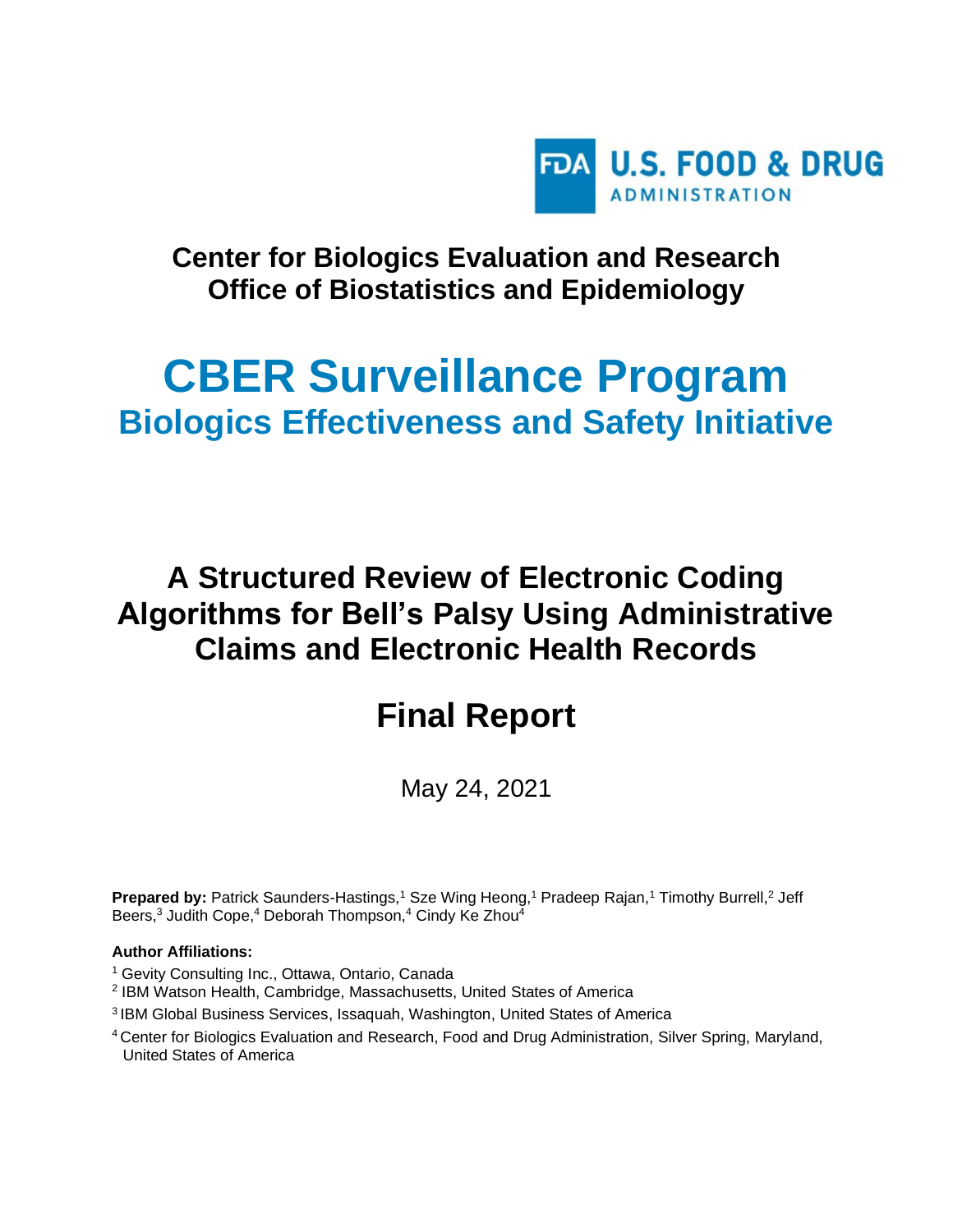

# **Center for Biologics Evaluation and Research Office of Biostatistics and Epidemiology**

# **CBER Surveillance Program Biologics Effectiveness and Safety Initiative**

# **A Structured Review of Electronic Coding Algorithms for Bell's Palsy Using Administrative Claims and Electronic Health Records**

# **Final Report**

May 24, 2021

Prepared by: Patrick Saunders-Hastings,<sup>1</sup> Sze Wing Heong,<sup>1</sup> Pradeep Rajan,<sup>1</sup> Timothy Burrell,<sup>2</sup> Jeff Beers,<sup>3</sup> Judith Cope,<sup>4</sup> Deborah Thompson,<sup>4</sup> Cindy Ke Zhou<sup>4</sup>

#### **Author Affiliations:**

- <sup>1</sup> Gevity Consulting Inc., Ottawa, Ontario, Canada
- 2 IBM Watson Health, Cambridge, Massachusetts, United States of America
- <sup>3</sup> IBM Global Business Services, Issaquah, Washington, United States of America
- <sup>4</sup>Center for Biologics Evaluation and Research, Food and Drug Administration, Silver Spring, Maryland, United States of America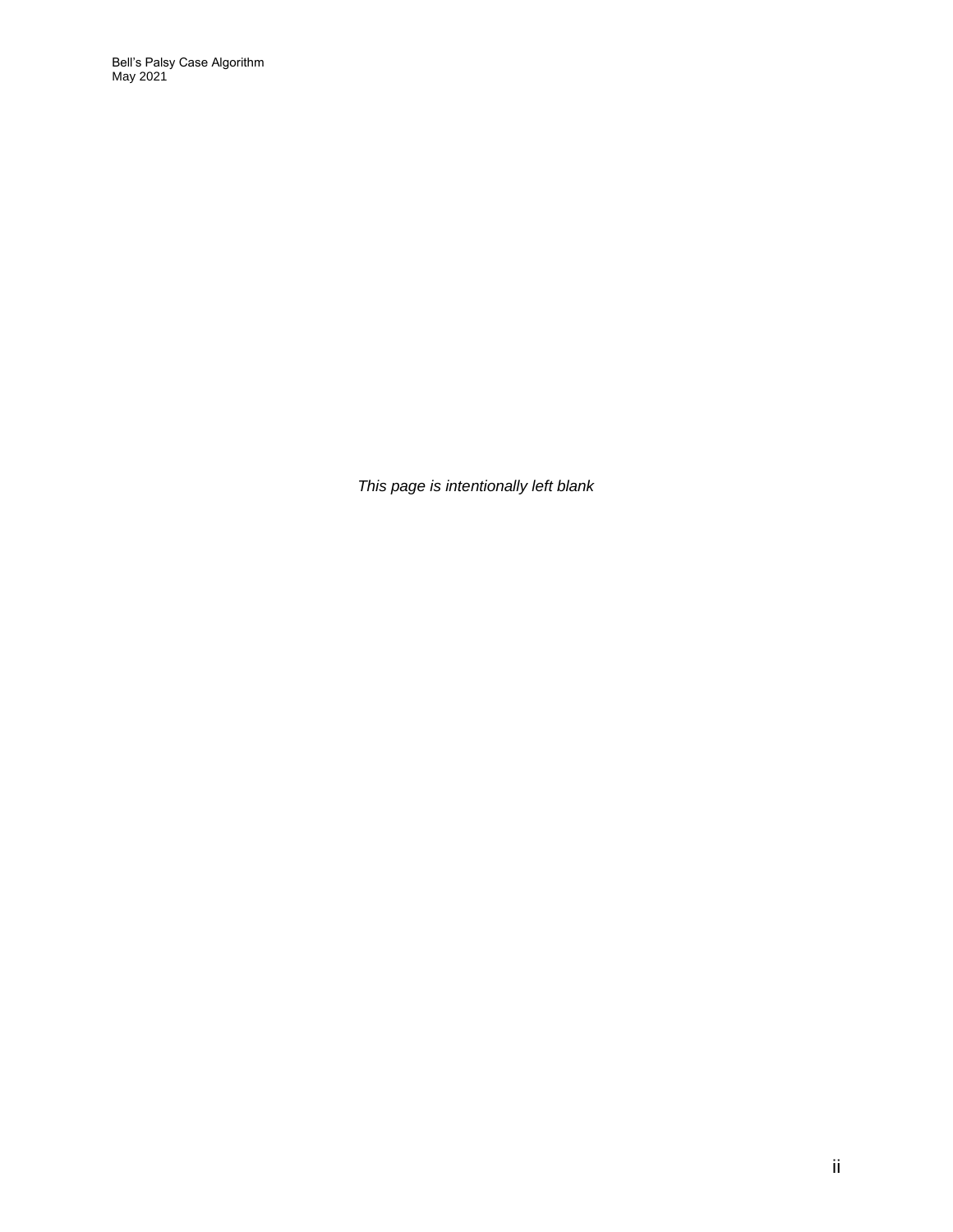Bell's Palsy Case Algorithm May 2021

*This page is intentionally left blank*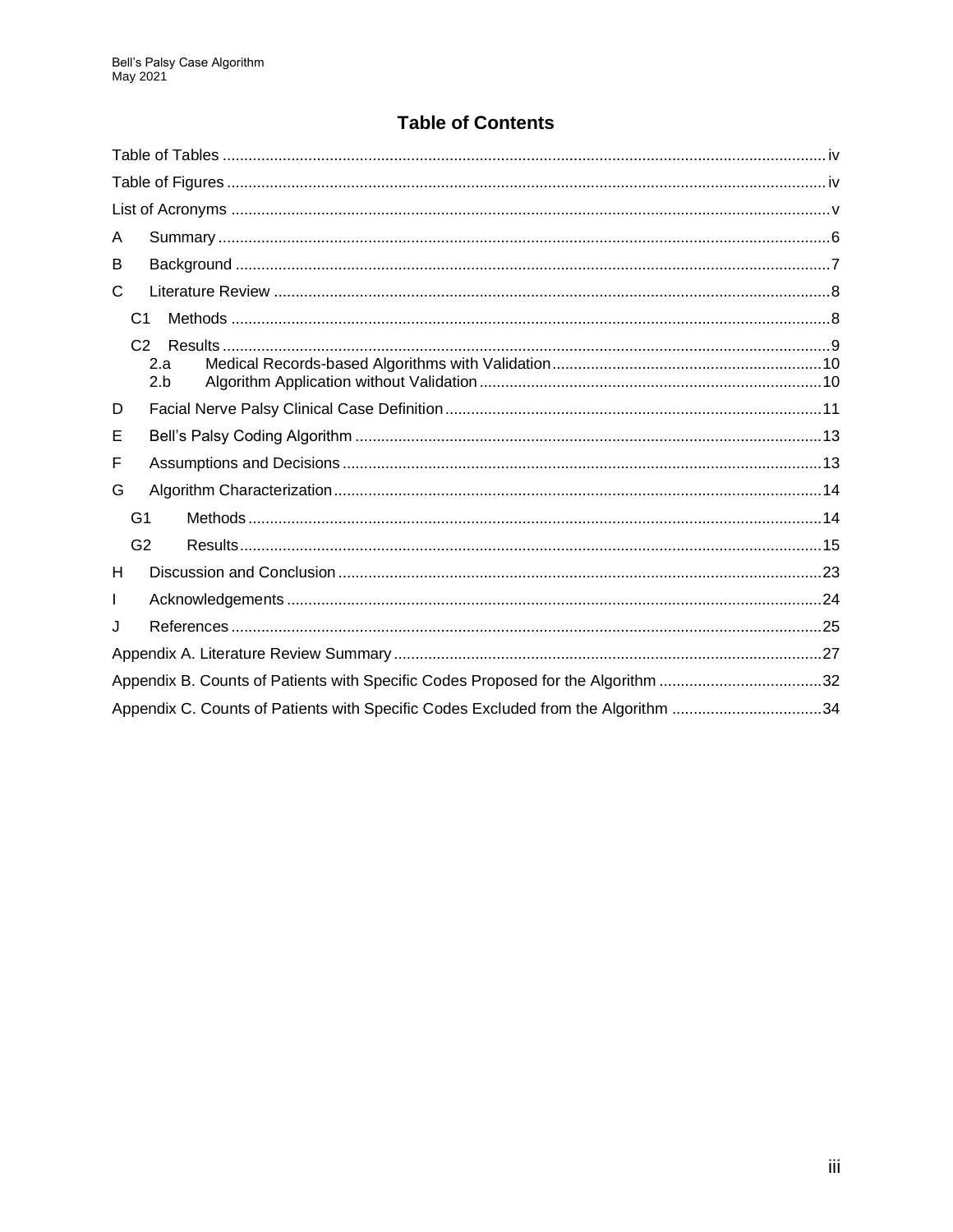# **Table of Contents**

| A                                                                                 |
|-----------------------------------------------------------------------------------|
| В                                                                                 |
| C                                                                                 |
| C <sub>1</sub>                                                                    |
| C <sub>2</sub><br>2.a<br>2.b                                                      |
| D                                                                                 |
| Е                                                                                 |
| F                                                                                 |
| G                                                                                 |
| G <sub>1</sub>                                                                    |
| G <sub>2</sub>                                                                    |
| H                                                                                 |
|                                                                                   |
| J                                                                                 |
|                                                                                   |
| Appendix B. Counts of Patients with Specific Codes Proposed for the Algorithm 32  |
| Appendix C. Counts of Patients with Specific Codes Excluded from the Algorithm 34 |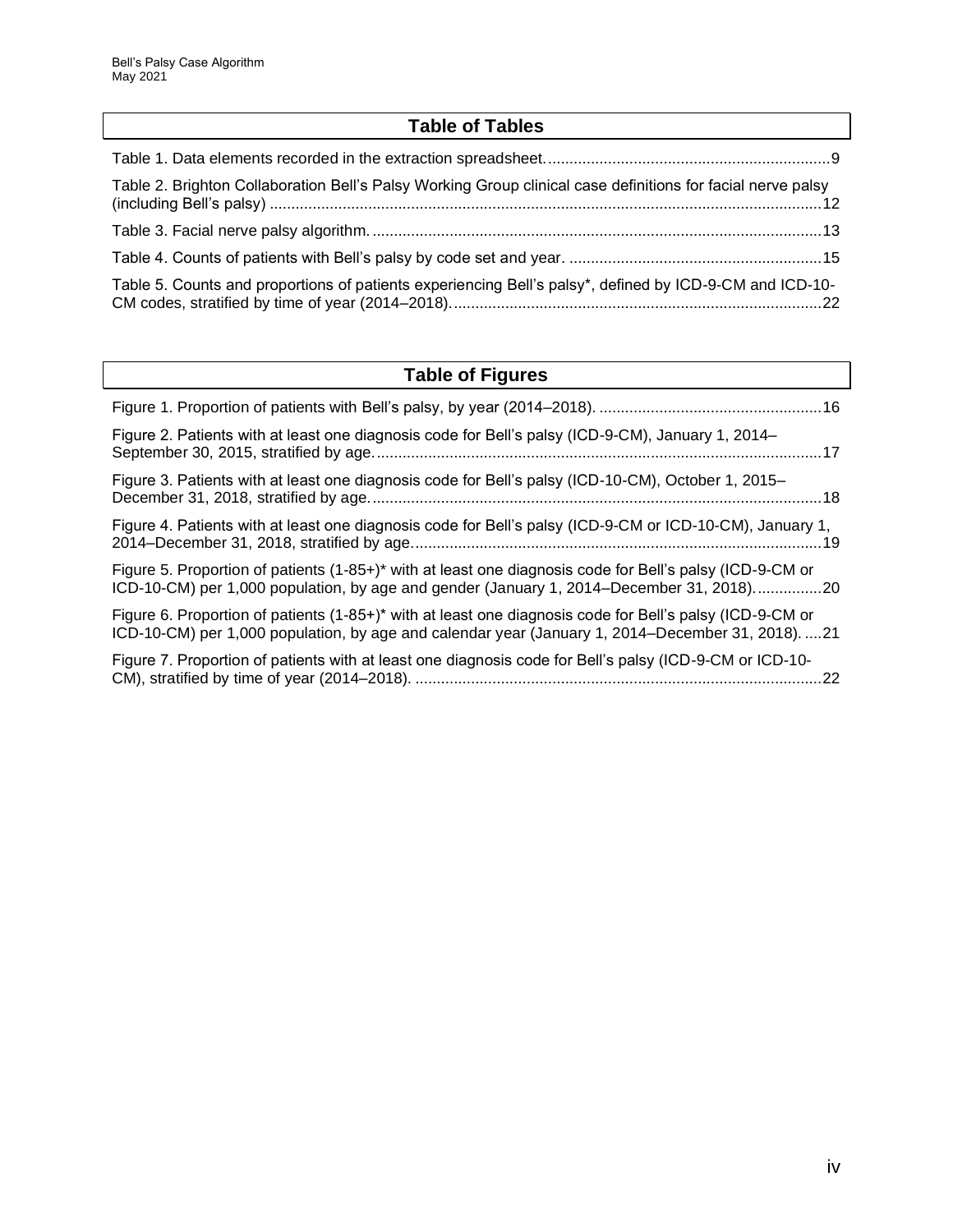# **Table of Tables**

<span id="page-3-0"></span>

| Table 2. Brighton Collaboration Bell's Palsy Working Group clinical case definitions for facial nerve palsy |  |
|-------------------------------------------------------------------------------------------------------------|--|
|                                                                                                             |  |
|                                                                                                             |  |
| Table 5. Counts and proportions of patients experiencing Bell's palsy*, defined by ICD-9-CM and ICD-10-     |  |

# **Table of Figures**

<span id="page-3-1"></span>

| Figure 2. Patients with at least one diagnosis code for Bell's palsy (ICD-9-CM), January 1, 2014–                                                                                                             |  |
|---------------------------------------------------------------------------------------------------------------------------------------------------------------------------------------------------------------|--|
| Figure 3. Patients with at least one diagnosis code for Bell's palsy (ICD-10-CM), October 1, 2015–                                                                                                            |  |
| Figure 4. Patients with at least one diagnosis code for Bell's palsy (ICD-9-CM or ICD-10-CM), January 1,                                                                                                      |  |
| Figure 5. Proportion of patients (1-85+)* with at least one diagnosis code for Bell's palsy (ICD-9-CM or<br>ICD-10-CM) per 1,000 population, by age and gender (January 1, 2014–December 31, 2018)20          |  |
| Figure 6. Proportion of patients (1-85+)* with at least one diagnosis code for Bell's palsy (ICD-9-CM or<br>ICD-10-CM) per 1,000 population, by age and calendar year (January 1, 2014–December 31, 2018). 21 |  |
| Figure 7. Proportion of patients with at least one diagnosis code for Bell's palsy (ICD-9-CM or ICD-10-<br>22                                                                                                 |  |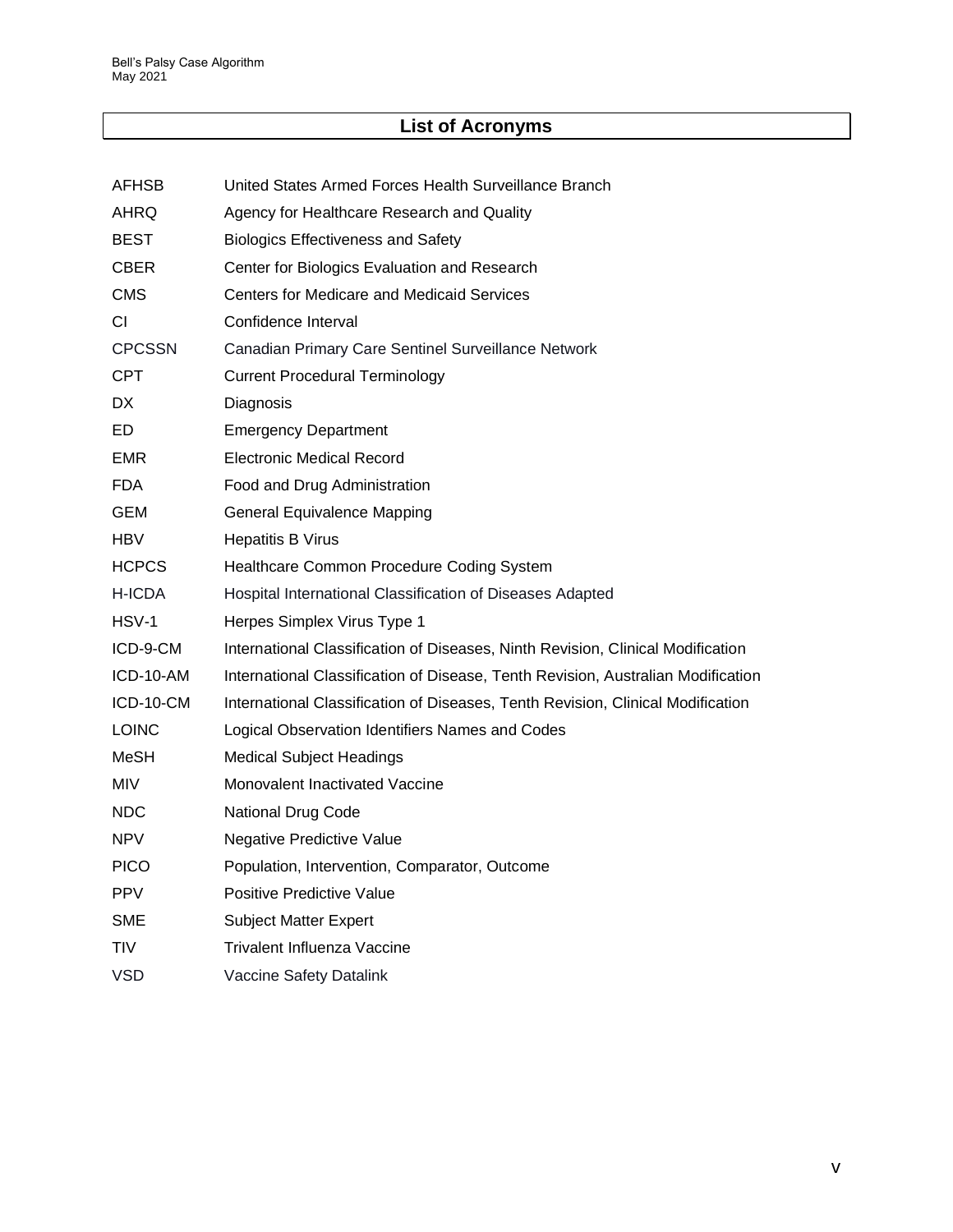# **List of Acronyms**

<span id="page-4-0"></span>

| AFHSB         | United States Armed Forces Health Surveillance Branch                            |
|---------------|----------------------------------------------------------------------------------|
| AHRQ          | Agency for Healthcare Research and Quality                                       |
| BEST          | <b>Biologics Effectiveness and Safety</b>                                        |
| CBER          | Center for Biologics Evaluation and Research                                     |
| CMS           | <b>Centers for Medicare and Medicaid Services</b>                                |
| СI            | Confidence Interval                                                              |
| <b>CPCSSN</b> | Canadian Primary Care Sentinel Surveillance Network                              |
| <b>CPT</b>    | <b>Current Procedural Terminology</b>                                            |
| DX.           | Diagnosis                                                                        |
| ED            | <b>Emergency Department</b>                                                      |
| EMR           | Electronic Medical Record                                                        |
| FDA.          | Food and Drug Administration                                                     |
| GEM           | <b>General Equivalence Mapping</b>                                               |
| HBV           | <b>Hepatitis B Virus</b>                                                         |
| <b>HCPCS</b>  | Healthcare Common Procedure Coding System                                        |
| H-ICDA        | Hospital International Classification of Diseases Adapted                        |
| HSV-1         | Herpes Simplex Virus Type 1                                                      |
| ICD-9-CM      | International Classification of Diseases, Ninth Revision, Clinical Modification  |
| ICD-10-AM     | International Classification of Disease, Tenth Revision, Australian Modification |
| ICD-10-CM     | International Classification of Diseases, Tenth Revision, Clinical Modification  |
| LOINC         | Logical Observation Identifiers Names and Codes                                  |
| MeSH          | <b>Medical Subject Headings</b>                                                  |
| MIV           | Monovalent Inactivated Vaccine                                                   |
| NDC.          | <b>National Drug Code</b>                                                        |
| <b>NPV</b>    | <b>Negative Predictive Value</b>                                                 |
| <b>PICO</b>   | Population, Intervention, Comparator, Outcome                                    |
| <b>PPV</b>    | <b>Positive Predictive Value</b>                                                 |
| <b>SME</b>    | <b>Subject Matter Expert</b>                                                     |
| TIV           | Trivalent Influenza Vaccine                                                      |
| VSD           | Vaccine Safety Datalink                                                          |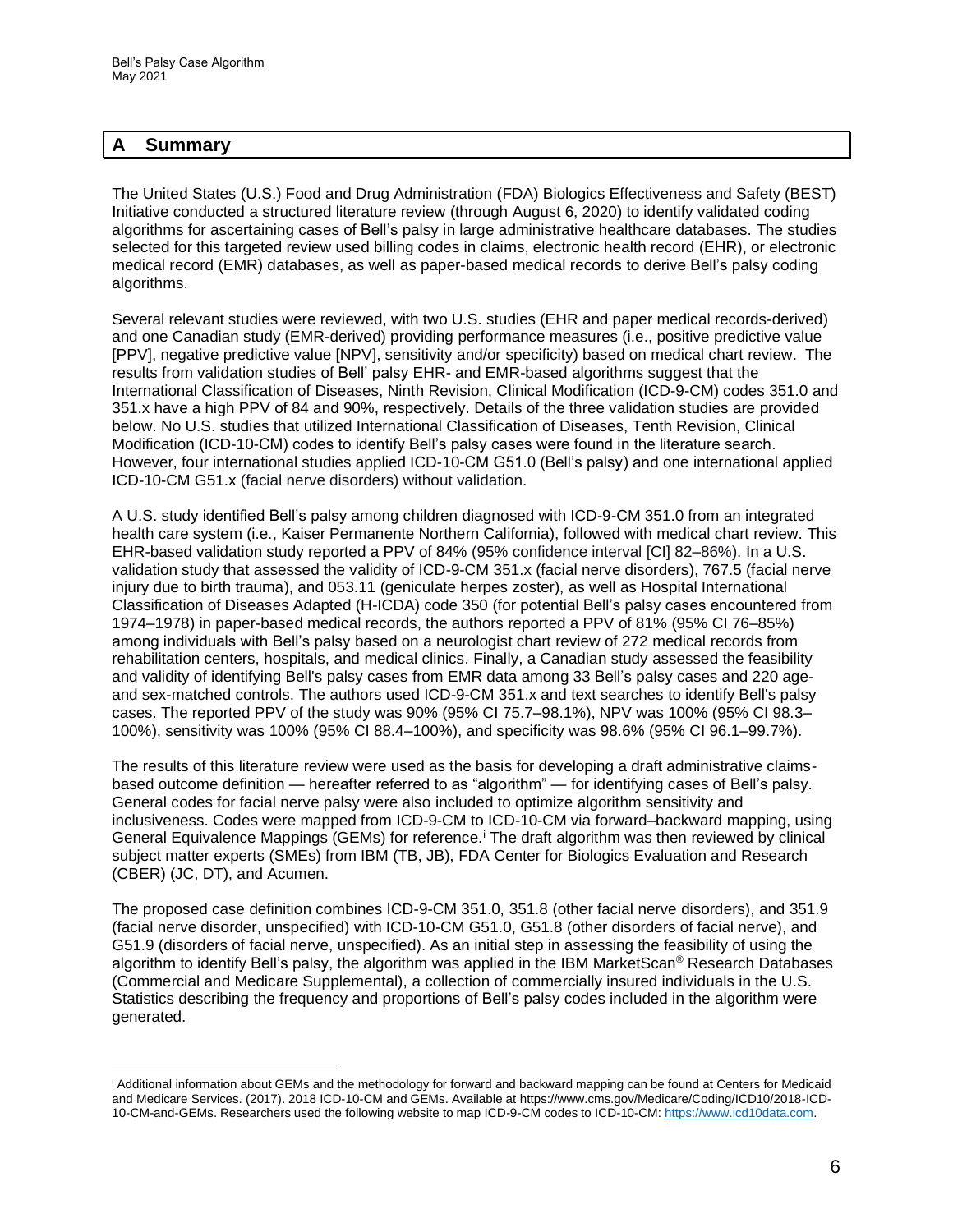#### <span id="page-5-0"></span>**A Summary**

The United States (U.S.) Food and Drug Administration (FDA) Biologics Effectiveness and Safety (BEST) Initiative conducted a structured literature review (through August 6, 2020) to identify validated coding algorithms for ascertaining cases of Bell's palsy in large administrative healthcare databases. The studies selected for this targeted review used billing codes in claims, electronic health record (EHR), or electronic medical record (EMR) databases, as well as paper-based medical records to derive Bell's palsy coding algorithms.

Several relevant studies were reviewed, with two U.S. studies (EHR and paper medical records-derived) and one Canadian study (EMR-derived) providing performance measures (i.e., positive predictive value [PPV], negative predictive value [NPV], sensitivity and/or specificity) based on medical chart review. The results from validation studies of Bell' palsy EHR- and EMR-based algorithms suggest that the International Classification of Diseases, Ninth Revision, Clinical Modification (ICD-9-CM) codes 351.0 and 351.x have a high PPV of 84 and 90%, respectively. Details of the three validation studies are provided below. No U.S. studies that utilized International Classification of Diseases, Tenth Revision, Clinical Modification (ICD-10-CM) codes to identify Bell's palsy cases were found in the literature search. However, four international studies applied ICD-10-CM G51.0 (Bell's palsy) and one international applied ICD-10-CM G51.x (facial nerve disorders) without validation.

A U.S. study identified Bell's palsy among children diagnosed with ICD-9-CM 351.0 from an integrated health care system (i.e., Kaiser Permanente Northern California), followed with medical chart review. This EHR-based validation study reported a PPV of 84% (95% confidence interval [CI] 82–86%). In a U.S. validation study that assessed the validity of ICD-9-CM 351.x (facial nerve disorders), 767.5 (facial nerve injury due to birth trauma), and 053.11 (geniculate herpes zoster), as well as Hospital International Classification of Diseases Adapted (H-ICDA) code 350 (for potential Bell's palsy cases encountered from 1974–1978) in paper-based medical records, the authors reported a PPV of 81% (95% CI 76–85%) among individuals with Bell's palsy based on a neurologist chart review of 272 medical records from rehabilitation centers, hospitals, and medical clinics. Finally, a Canadian study assessed the feasibility and validity of identifying Bell's palsy cases from EMR data among 33 Bell's palsy cases and 220 ageand sex-matched controls. The authors used ICD-9-CM 351.x and text searches to identify Bell's palsy cases. The reported PPV of the study was 90% (95% CI 75.7–98.1%), NPV was 100% (95% CI 98.3– 100%), sensitivity was 100% (95% CI 88.4–100%), and specificity was 98.6% (95% CI 96.1–99.7%).

The results of this literature review were used as the basis for developing a draft administrative claimsbased outcome definition — hereafter referred to as "algorithm" — for identifying cases of Bell's palsy. General codes for facial nerve palsy were also included to optimize algorithm sensitivity and inclusiveness. Codes were mapped from ICD-9-CM to ICD-10-CM via forward–backward mapping, using General Equivalence Mappings (GEMs) for reference.<sup>i</sup> The draft algorithm was then reviewed by clinical subject matter experts (SMEs) from IBM (TB, JB), FDA Center for Biologics Evaluation and Research (CBER) (JC, DT), and Acumen.

The proposed case definition combines ICD-9-CM 351.0, 351.8 (other facial nerve disorders), and 351.9 (facial nerve disorder, unspecified) with ICD-10-CM G51.0, G51.8 (other disorders of facial nerve), and G51.9 (disorders of facial nerve, unspecified). As an initial step in assessing the feasibility of using the algorithm to identify Bell's palsy, the algorithm was applied in the IBM MarketScan® Research Databases (Commercial and Medicare Supplemental), a collection of commercially insured individuals in the U.S. Statistics describing the frequency and proportions of Bell's palsy codes included in the algorithm were generated.

<sup>i</sup> Additional information about GEMs and the methodology for forward and backward mapping can be found at Centers for Medicaid and Medicare Services. (2017). 2018 ICD-10-CM and GEMs. Available at https://www.cms.gov/Medicare/Coding/ICD10/2018-ICD-10-CM-and-GEMs. Researchers used the following website to map ICD-9-CM codes to ICD-10-CM[: https://www.icd10data.com.](https://www.icd10data.com/)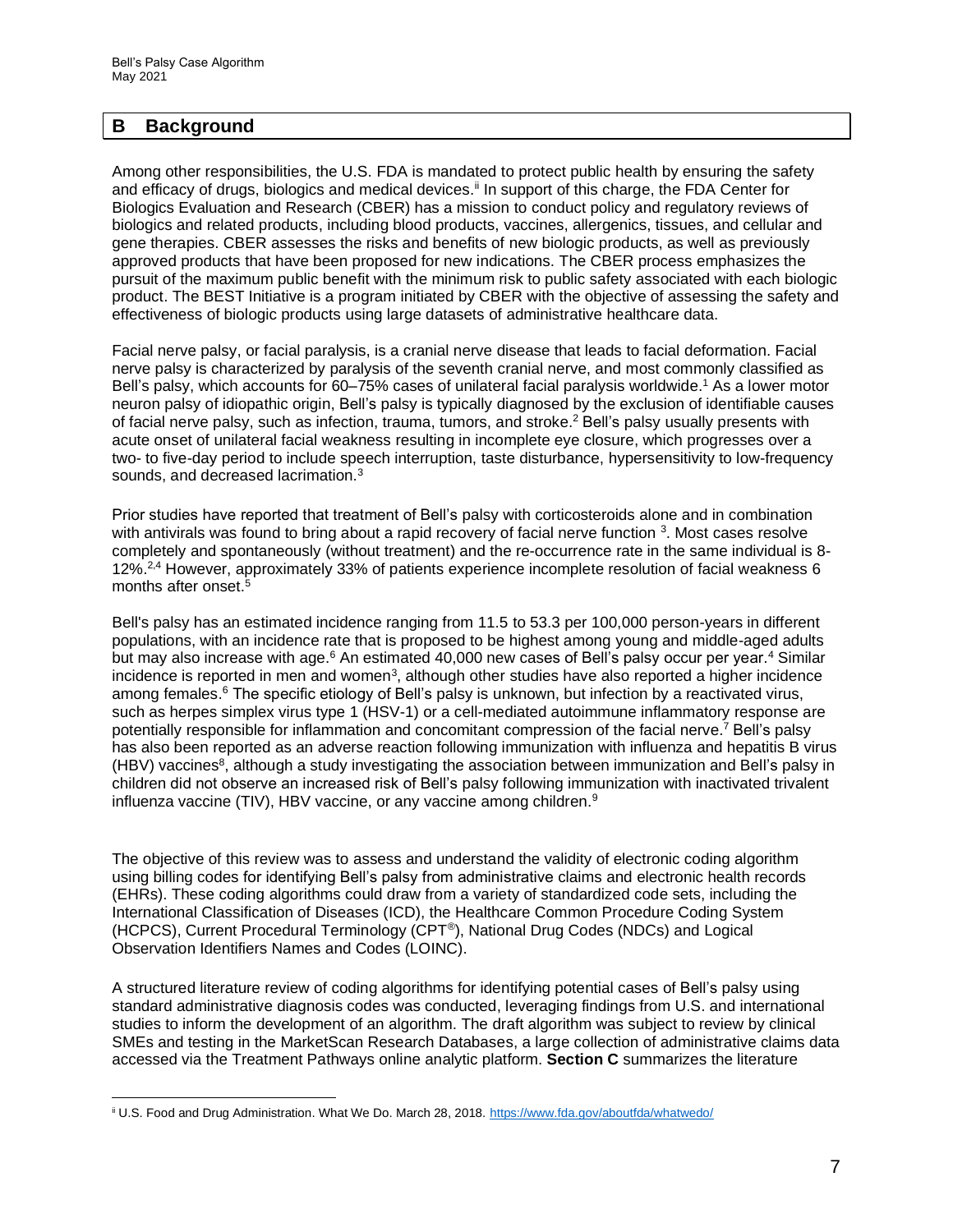### <span id="page-6-0"></span>**B Background**

Among other responsibilities, the U.S. FDA is mandated to protect public health by ensuring the safety and efficacy of drugs, biologics and medical devices.<sup>ii</sup> In support of this charge, the FDA Center for Biologics Evaluation and Research (CBER) has a mission to conduct policy and regulatory reviews of biologics and related products, including blood products, vaccines, allergenics, tissues, and cellular and gene therapies. CBER assesses the risks and benefits of new biologic products, as well as previously approved products that have been proposed for new indications. The CBER process emphasizes the pursuit of the maximum public benefit with the minimum risk to public safety associated with each biologic product. The BEST Initiative is a program initiated by CBER with the objective of assessing the safety and effectiveness of biologic products using large datasets of administrative healthcare data.

Facial nerve palsy, or facial paralysis, is a cranial nerve disease that leads to facial deformation. Facial nerve palsy is characterized by paralysis of the seventh cranial nerve, and most commonly classified as Bell's palsy, which accounts for 60–75% cases of unilateral facial paralysis worldwide. <sup>1</sup> As a lower motor neuron palsy of idiopathic origin, Bell's palsy is typically diagnosed by the exclusion of identifiable causes of facial nerve palsy, such as infection, trauma, tumors, and stroke. <sup>2</sup> Bell's palsy usually presents with acute onset of unilateral facial weakness resulting in incomplete eye closure, which progresses over a two- to five-day period to include speech interruption, taste disturbance, hypersensitivity to low-frequency sounds, and decreased lacrimation.<sup>3</sup>

Prior studies have reported that treatment of Bell's palsy with corticosteroids alone and in combination with antivirals was found to bring about a rapid recovery of facial nerve function  $3$ . Most cases resolve completely and spontaneously (without treatment) and the re-occurrence rate in the same individual is 8- 12%.<sup>2,4</sup> However, approximately 33% of patients experience incomplete resolution of facial weakness 6 months after onset. 5

Bell's palsy has an estimated incidence ranging from 11.5 to 53.3 per 100,000 person-years in different populations, with an incidence rate that is proposed to be highest among young and middle-aged adults but may also increase with age.<sup>6</sup> An estimated 40,000 new cases of Bell's palsy occur per year.<sup>4</sup> Similar incidence is reported in men and women<sup>3</sup>, although other studies have also reported a higher incidence among females.<sup>6</sup> The specific etiology of Bell's palsy is unknown, but infection by a reactivated virus, such as herpes simplex virus type 1 (HSV-1) or a cell-mediated autoimmune inflammatory response are potentially responsible for inflammation and concomitant compression of the facial nerve.<sup>7</sup> Bell's palsy has also been reported as an adverse reaction following immunization with influenza and hepatitis B virus (HBV) vaccines<sup>8</sup>, although a study investigating the association between immunization and Bell's palsy in children did not observe an increased risk of Bell's palsy following immunization with inactivated trivalent influenza vaccine (TIV), HBV vaccine, or any vaccine among children.<sup>9</sup>

The objective of this review was to assess and understand the validity of electronic coding algorithm using billing codes for identifying Bell's palsy from administrative claims and electronic health records (EHRs). These coding algorithms could draw from a variety of standardized code sets, including the International Classification of Diseases (ICD), the Healthcare Common Procedure Coding System (HCPCS), Current Procedural Terminology (CPT®), National Drug Codes (NDCs) and Logical Observation Identifiers Names and Codes (LOINC).

A structured literature review of coding algorithms for identifying potential cases of Bell's palsy using standard administrative diagnosis codes was conducted, leveraging findings from U.S. and international studies to inform the development of an algorithm. The draft algorithm was subject to review by clinical SMEs and testing in the MarketScan Research Databases, a large collection of administrative claims data accessed via the Treatment Pathways online analytic platform. **Section C** summarizes the literature

ii U.S. Food and Drug Administration. What We Do. March 28, 2018.<https://www.fda.gov/aboutfda/whatwedo/>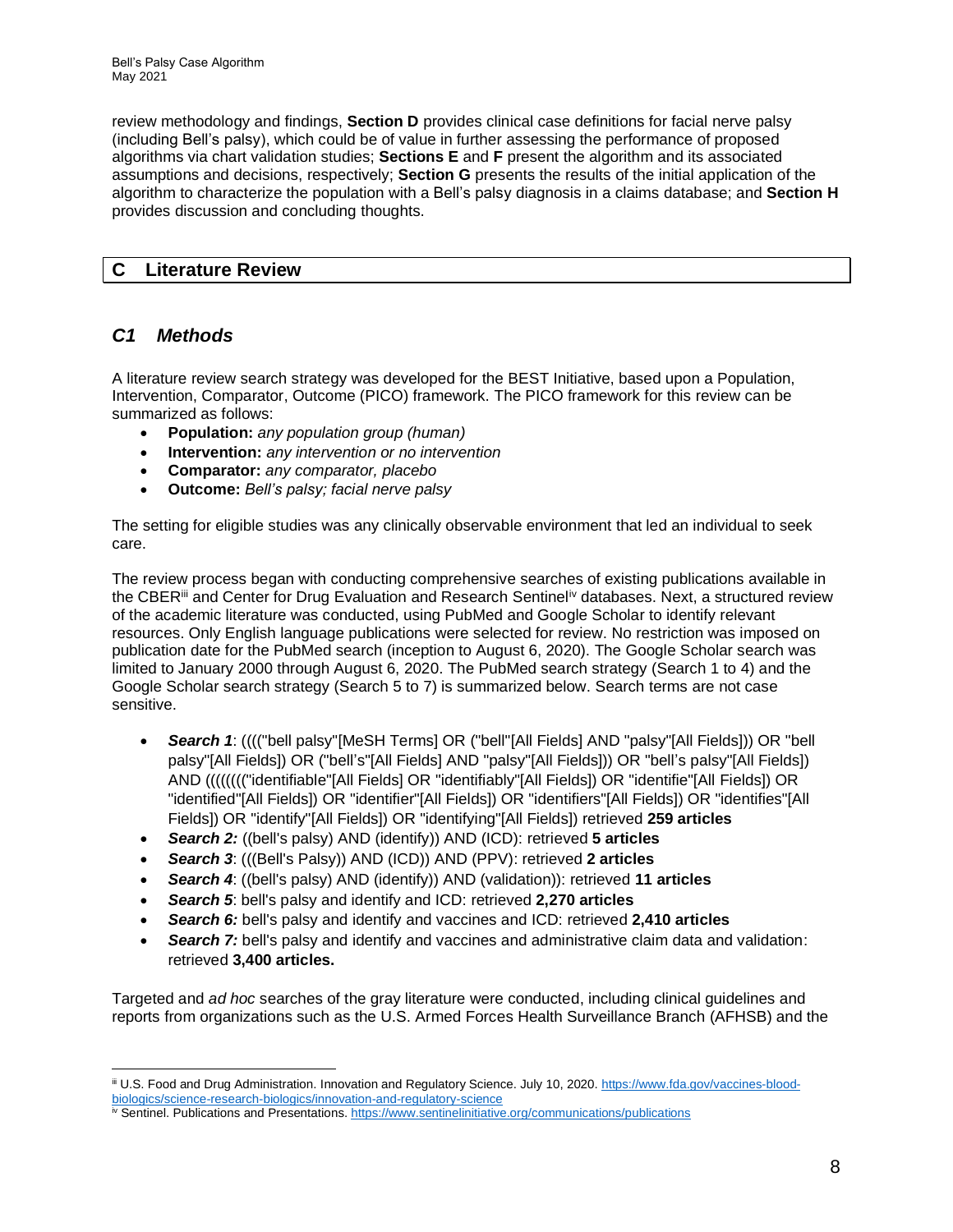review methodology and findings, **Section D** provides clinical case definitions for facial nerve palsy (including Bell's palsy), which could be of value in further assessing the performance of proposed algorithms via chart validation studies; **Sections E** and **F** present the algorithm and its associated assumptions and decisions, respectively; **Section G** presents the results of the initial application of the algorithm to characterize the population with a Bell's palsy diagnosis in a claims database; and **Section H**  provides discussion and concluding thoughts.

### <span id="page-7-0"></span>**C Literature Review**

## <span id="page-7-1"></span>*C1 Methods*

A literature review search strategy was developed for the BEST Initiative, based upon a Population, Intervention, Comparator, Outcome (PICO) framework. The PICO framework for this review can be summarized as follows:

- **Population:** *any population group (human)*
- **Intervention:** *any intervention or no intervention*
- **Comparator:** *any comparator, placebo*
- **Outcome:** *Bell's palsy; facial nerve palsy*

The setting for eligible studies was any clinically observable environment that led an individual to seek care.

The review process began with conducting comprehensive searches of existing publications available in the CBER<sup>iii</sup> and Center for Drug Evaluation and Research Sentinel<sup>iv</sup> databases. Next, a structured review of the academic literature was conducted, using PubMed and Google Scholar to identify relevant resources. Only English language publications were selected for review. No restriction was imposed on publication date for the PubMed search (inception to August 6, 2020). The Google Scholar search was limited to January 2000 through August 6, 2020. The PubMed search strategy (Search 1 to 4) and the Google Scholar search strategy (Search 5 to 7) is summarized below. Search terms are not case sensitive.

- *Search 1*: (((("bell palsy"[MeSH Terms] OR ("bell"[All Fields] AND "palsy"[All Fields])) OR "bell palsy"[All Fields]) OR ("bell's"[All Fields] AND "palsy"[All Fields])) OR "bell's palsy"[All Fields]) AND (((((((("identifiable"[All Fields] OR "identifiably"[All Fields]) OR "identifie"[All Fields]) OR "identified"[All Fields]) OR "identifier"[All Fields]) OR "identifiers"[All Fields]) OR "identifies"[All Fields]) OR "identify"[All Fields]) OR "identifying"[All Fields]) retrieved **259 articles**
- *Search 2:* ((bell's palsy) AND (identify)) AND (ICD): retrieved **5 articles**
- *Search 3*: (((Bell's Palsy)) AND (ICD)) AND (PPV): retrieved **2 articles**
- *Search 4*: ((bell's palsy) AND (identify)) AND (validation)): retrieved **11 articles**
- *Search 5*: bell's palsy and identify and ICD: retrieved **2,270 articles**
- *Search 6:* bell's palsy and identify and vaccines and ICD: retrieved **2,410 articles**
- **Search 7:** bell's palsy and identify and vaccines and administrative claim data and validation: retrieved **3,400 articles.**

Targeted and *ad hoc* searches of the gray literature were conducted, including clinical guidelines and reports from organizations such as the U.S. Armed Forces Health Surveillance Branch (AFHSB) and the

iii U.S. Food and Drug Administration. Innovation and Regulatory Science. July 10, 2020[. https://www.fda.gov/vaccines-blood](https://www.fda.gov/vaccines-blood-biologics/science-research-biologics/innovation-and-regulatory-science)[biologics/science-research-biologics/innovation-and-regulatory-science](https://www.fda.gov/vaccines-blood-biologics/science-research-biologics/innovation-and-regulatory-science)

iv Sentinel. Publications and Presentations. <https://www.sentinelinitiative.org/communications/publications>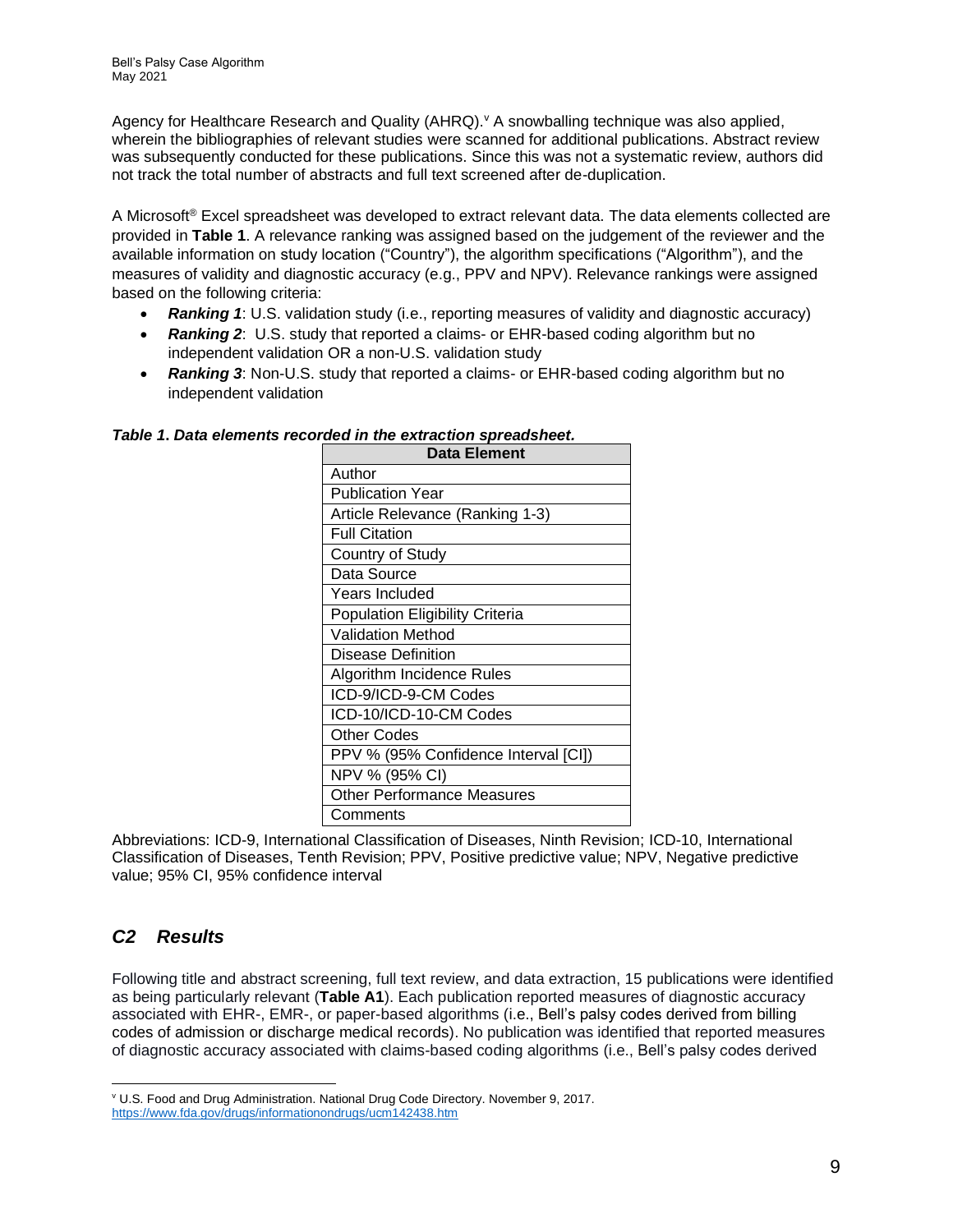Agency for Healthcare Research and Quality (AHRQ). <sup>v</sup> A snowballing technique was also applied, wherein the bibliographies of relevant studies were scanned for additional publications. Abstract review was subsequently conducted for these publications. Since this was not a systematic review, authors did not track the total number of abstracts and full text screened after de-duplication.

A Microsoft® Excel spreadsheet was developed to extract relevant data. The data elements collected are provided in **[Table 1](#page-8-1)**. A relevance ranking was assigned based on the judgement of the reviewer and the available information on study location ("Country"), the algorithm specifications ("Algorithm"), and the measures of validity and diagnostic accuracy (e.g., PPV and NPV). Relevance rankings were assigned based on the following criteria:

- **Ranking 1:** U.S. validation study (i.e., reporting measures of validity and diagnostic accuracy)
- *Ranking 2*: U.S. study that reported a claims- or EHR-based coding algorithm but no independent validation OR a non-U.S. validation study
- **Ranking 3:** Non-U.S. study that reported a claims- or EHR-based coding algorithm but no independent validation

| <b>Data Element</b>                    |  |  |  |  |  |
|----------------------------------------|--|--|--|--|--|
| Author                                 |  |  |  |  |  |
| <b>Publication Year</b>                |  |  |  |  |  |
| Article Relevance (Ranking 1-3)        |  |  |  |  |  |
| <b>Full Citation</b>                   |  |  |  |  |  |
| Country of Study                       |  |  |  |  |  |
| Data Source                            |  |  |  |  |  |
| Years Included                         |  |  |  |  |  |
| <b>Population Eligibility Criteria</b> |  |  |  |  |  |
| <b>Validation Method</b>               |  |  |  |  |  |
| Disease Definition                     |  |  |  |  |  |
| Algorithm Incidence Rules              |  |  |  |  |  |
| ICD-9/ICD-9-CM Codes                   |  |  |  |  |  |
| ICD-10/ICD-10-CM Codes                 |  |  |  |  |  |
| <b>Other Codes</b>                     |  |  |  |  |  |
| PPV % (95% Confidence Interval [CI])   |  |  |  |  |  |
| NPV % (95% CI)                         |  |  |  |  |  |
| <b>Other Performance Measures</b>      |  |  |  |  |  |
| Comments                               |  |  |  |  |  |

<span id="page-8-1"></span>*Table 1***.** *Data elements recorded in the extraction spreadsheet.*

Abbreviations: ICD-9, International Classification of Diseases, Ninth Revision; ICD-10, International Classification of Diseases, Tenth Revision; PPV, Positive predictive value; NPV, Negative predictive value; 95% CI, 95% confidence interval

# <span id="page-8-0"></span>*C2 Results*

Following title and abstract screening, full text review, and data extraction, 15 publications were identified as being particularly relevant (**[Table A1](#page-26-1)**). Each publication reported measures of diagnostic accuracy associated with EHR-, EMR-, or paper-based algorithms (i.e., Bell's palsy codes derived from billing codes of admission or discharge medical records). No publication was identified that reported measures of diagnostic accuracy associated with claims-based coding algorithms (i.e., Bell's palsy codes derived

<sup>v</sup> U.S. Food and Drug Administration. National Drug Code Directory. November 9, 2017. <https://www.fda.gov/drugs/informationondrugs/ucm142438.htm>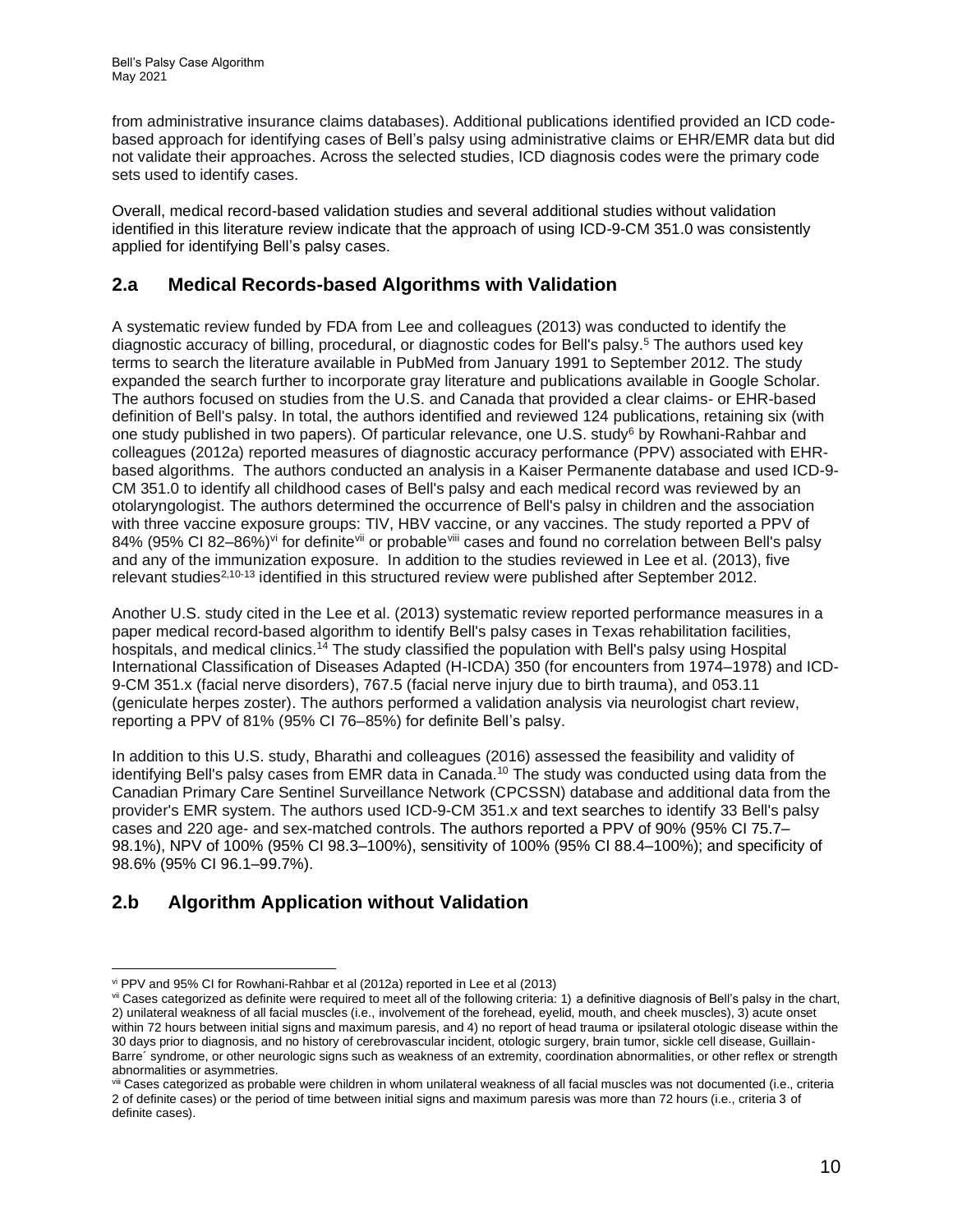from administrative insurance claims databases). Additional publications identified provided an ICD codebased approach for identifying cases of Bell's palsy using administrative claims or EHR/EMR data but did not validate their approaches. Across the selected studies, ICD diagnosis codes were the primary code sets used to identify cases.

Overall, medical record-based validation studies and several additional studies without validation identified in this literature review indicate that the approach of using ICD-9-CM 351.0 was consistently applied for identifying Bell's palsy cases.

# <span id="page-9-0"></span>**2.a Medical Records-based Algorithms with Validation**

A systematic review funded by FDA from Lee and colleagues (2013) was conducted to identify the diagnostic accuracy of billing, procedural, or diagnostic codes for Bell's palsy. <sup>5</sup> The authors used key terms to search the literature available in PubMed from January 1991 to September 2012. The study expanded the search further to incorporate gray literature and publications available in Google Scholar. The authors focused on studies from the U.S. and Canada that provided a clear claims- or EHR-based definition of Bell's palsy. In total, the authors identified and reviewed 124 publications, retaining six (with one study published in two papers). Of particular relevance, one U.S. study<sup>6</sup> by Rowhani-Rahbar and colleagues (2012a) reported measures of diagnostic accuracy performance (PPV) associated with EHRbased algorithms. The authors conducted an analysis in a Kaiser Permanente database and used ICD-9- CM 351.0 to identify all childhood cases of Bell's palsy and each medical record was reviewed by an otolaryngologist. The authors determined the occurrence of Bell's palsy in children and the association with three vaccine exposure groups: TIV, HBV vaccine, or any vaccines. The study reported a PPV of 84% (95% CI 82-86%)<sup>vi</sup> for definite<sup>vii</sup> or probable<sup>viii</sup> cases and found no correlation between Bell's palsy and any of the immunization exposure. In addition to the studies reviewed in Lee et al. (2013), five relevant studies<sup>2,10-13</sup> identified in this structured review were published after September 2012.

Another U.S. study cited in the Lee et al. (2013) systematic review reported performance measures in a paper medical record-based algorithm to identify Bell's palsy cases in Texas rehabilitation facilities, hospitals, and medical clinics.<sup>14</sup> The study classified the population with Bell's palsy using Hospital International Classification of Diseases Adapted (H-ICDA) 350 (for encounters from 1974–1978) and ICD-9-CM 351.x (facial nerve disorders), 767.5 (facial nerve injury due to birth trauma), and 053.11 (geniculate herpes zoster). The authors performed a validation analysis via neurologist chart review, reporting a PPV of 81% (95% CI 76–85%) for definite Bell's palsy.

In addition to this U.S. study, Bharathi and colleagues (2016) assessed the feasibility and validity of identifying Bell's palsy cases from EMR data in Canada.<sup>10</sup> The study was conducted using data from the Canadian Primary Care Sentinel Surveillance Network (CPCSSN) database and additional data from the provider's EMR system. The authors used ICD-9-CM 351.x and text searches to identify 33 Bell's palsy cases and 220 age- and sex-matched controls. The authors reported a PPV of 90% (95% CI 75.7– 98.1%), NPV of 100% (95% CI 98.3–100%), sensitivity of 100% (95% CI 88.4–100%); and specificity of 98.6% (95% CI 96.1–99.7%).

# <span id="page-9-1"></span>**2.b Algorithm Application without Validation**

vi PPV and 95% CI for Rowhani-Rahbar et al (2012a) reported in Lee et al (2013)

vii Cases categorized as definite were required to meet all of the following criteria: 1) a definitive diagnosis of Bell's palsy in the chart, 2) unilateral weakness of all facial muscles (i.e., involvement of the forehead, eyelid, mouth, and cheek muscles), 3) acute onset within 72 hours between initial signs and maximum paresis, and 4) no report of head trauma or ipsilateral otologic disease within the 30 days prior to diagnosis, and no history of cerebrovascular incident, otologic surgery, brain tumor, sickle cell disease, Guillain-Barre´ syndrome, or other neurologic signs such as weakness of an extremity, coordination abnormalities, or other reflex or strength abnormalities or asymmetries.

viii Cases categorized as probable were children in whom unilateral weakness of all facial muscles was not documented (i.e., criteria 2 of definite cases) or the period of time between initial signs and maximum paresis was more than 72 hours (i.e., criteria 3 of definite cases).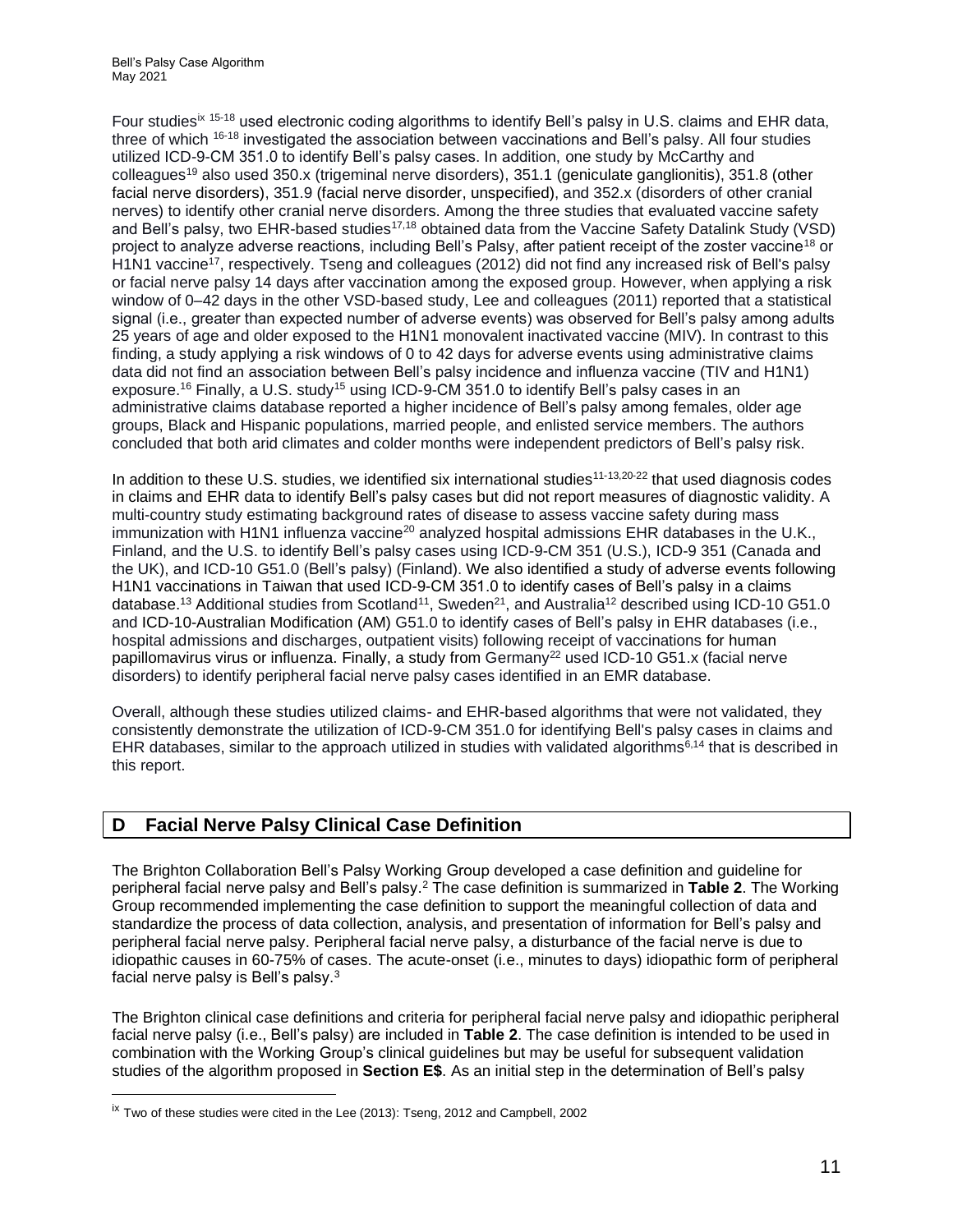Bell's Palsy Case Algorithm May 2021

Four studies<sup>ix 15-18</sup> used electronic coding algorithms to identify Bell's palsy in U.S. claims and EHR data, three of which <sup>16-18</sup> investigated the association between vaccinations and Bell's palsy. All four studies utilized ICD-9-CM 351.0 to identify Bell's palsy cases. In addition, one study by McCarthy and colleagues<sup>19</sup> also used 350.x (trigeminal nerve disorders), 351.1 (geniculate ganglionitis), 351.8 (other facial nerve disorders), 351.9 (facial nerve disorder, unspecified), and 352.x (disorders of other cranial nerves) to identify other cranial nerve disorders. Among the three studies that evaluated vaccine safety and Bell's palsy, two EHR-based studies<sup>17,18</sup> obtained data from the Vaccine Safety Datalink Study (VSD) project to analyze adverse reactions, including Bell's Palsy, after patient receipt of the zoster vaccine<sup>18</sup> or H1N1 vaccine<sup>17</sup>, respectively. Tseng and colleagues (2012) did not find any increased risk of Bell's palsy or facial nerve palsy 14 days after vaccination among the exposed group. However, when applying a risk window of 0–42 days in the other VSD-based study, Lee and colleagues (2011) reported that a statistical signal (i.e., greater than expected number of adverse events) was observed for Bell's palsy among adults 25 years of age and older exposed to the H1N1 monovalent inactivated vaccine (MIV). In contrast to this finding, a study applying a risk windows of 0 to 42 days for adverse events using administrative claims data did not find an association between Bell's palsy incidence and influenza vaccine (TIV and H1N1) exposure.<sup>16</sup> Finally, a U.S. study<sup>15</sup> using ICD-9-CM 351.0 to identify Bell's palsy cases in an administrative claims database reported a higher incidence of Bell's palsy among females, older age groups, Black and Hispanic populations, married people, and enlisted service members. The authors concluded that both arid climates and colder months were independent predictors of Bell's palsy risk.

In addition to these U.S. studies, we identified six international studies<sup>11-13,20-22</sup> that used diagnosis codes in claims and EHR data to identify Bell's palsy cases but did not report measures of diagnostic validity. A multi-country study estimating background rates of disease to assess vaccine safety during mass immunization with H1N1 influenza vaccine<sup>20</sup> analyzed hospital admissions EHR databases in the U.K., Finland, and the U.S. to identify Bell's palsy cases using ICD-9-CM 351 (U.S.), ICD-9 351 (Canada and the UK), and ICD-10 G51.0 (Bell's palsy) (Finland). We also identified a study of adverse events following H1N1 vaccinations in Taiwan that used ICD-9-CM 351.0 to identify cases of Bell's palsy in a claims database.<sup>13</sup> Additional studies from Scotland<sup>11</sup>, Sweden<sup>21</sup>, and Australia<sup>12</sup> described using ICD-10 G51.0 and ICD-10-Australian Modification (AM) G51.0 to identify cases of Bell's palsy in EHR databases (i.e., hospital admissions and discharges, outpatient visits) following receipt of vaccinations for human papillomavirus virus or influenza. Finally, a study from Germany<sup>22</sup> used ICD-10 G51.x (facial nerve disorders) to identify peripheral facial nerve palsy cases identified in an EMR database.

Overall, although these studies utilized claims- and EHR-based algorithms that were not validated, they consistently demonstrate the utilization of ICD-9-CM 351.0 for identifying Bell's palsy cases in claims and EHR databases, similar to the approach utilized in studies with validated algorithms6,14 that is described in this report.

### <span id="page-10-0"></span>**D Facial Nerve Palsy Clinical Case Definition**

The Brighton Collaboration Bell's Palsy Working Group developed a case definition and guideline for peripheral facial nerve palsy and Bell's palsy. <sup>2</sup> The case definition is summarized in **[Table 2](#page-11-0)**. The Working Group recommended implementing the case definition to support the meaningful collection of data and standardize the process of data collection, analysis, and presentation of information for Bell's palsy and peripheral facial nerve palsy. Peripheral facial nerve palsy, a disturbance of the facial nerve is due to idiopathic causes in 60-75% of cases. The acute-onset (i.e., minutes to days) idiopathic form of peripheral facial nerve palsy is Bell's palsy. $^3$ 

The Brighton clinical case definitions and criteria for peripheral facial nerve palsy and idiopathic peripheral facial nerve palsy (i.e., Bell's palsy) are included in **[Table 2](#page-11-0)**. The case definition is intended to be used in combination with the Working Group's clinical guidelines but may be useful for subsequent validation studies of the algorithm proposed in **Section E\$**. As an initial step in the determination of Bell's palsy

ix Two of these studies were cited in the Lee (2013): Tseng, 2012 and Campbell, 2002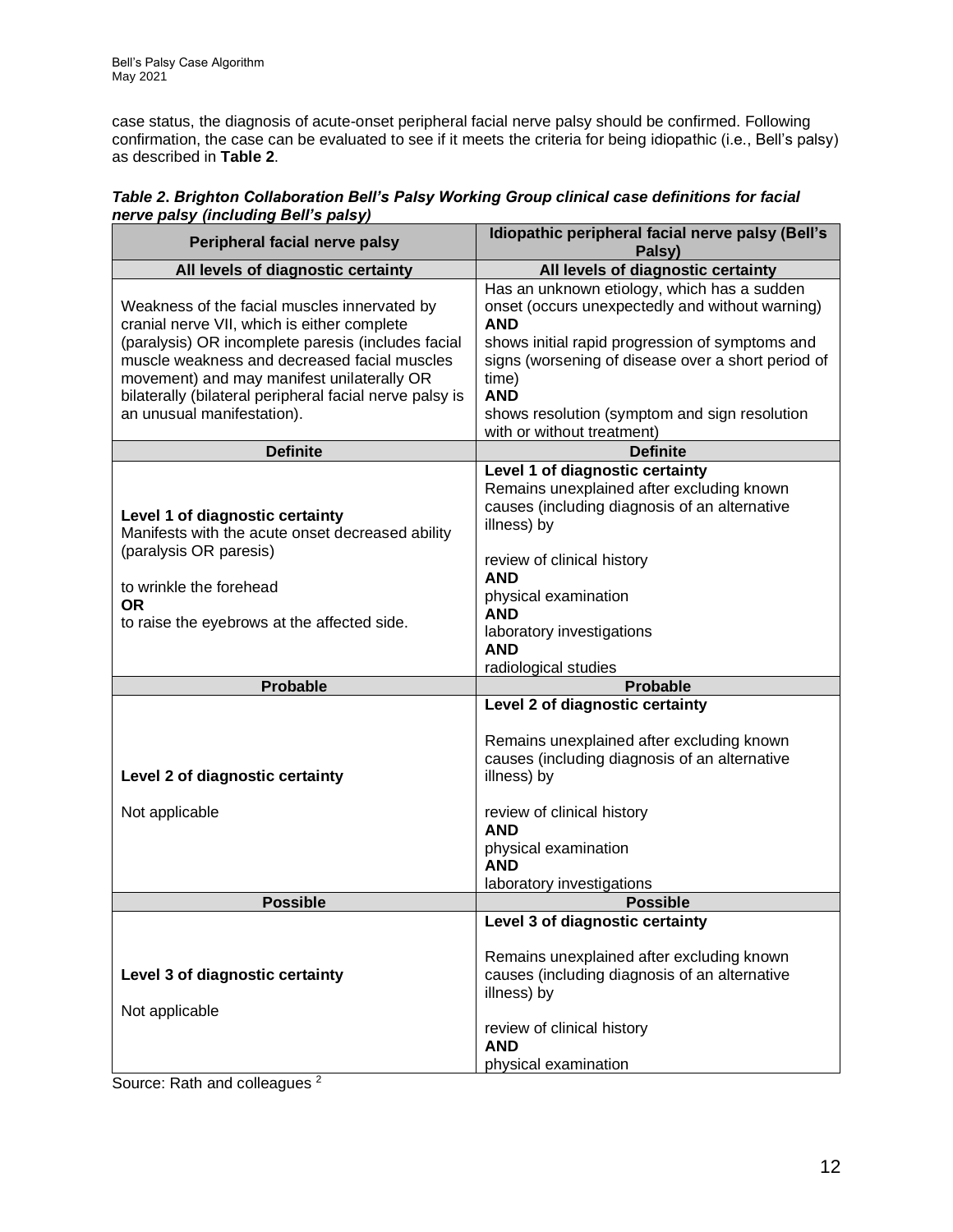case status, the diagnosis of acute-onset peripheral facial nerve palsy should be confirmed. Following confirmation, the case can be evaluated to see if it meets the criteria for being idiopathic (i.e., Bell's palsy) as described in **[Table 2](#page-11-0)**.

<span id="page-11-0"></span>

| Table 2. Brighton Collaboration Bell's Palsy Working Group clinical case definitions for facial |  |
|-------------------------------------------------------------------------------------------------|--|
| nerve palsy (including Bell's palsy)                                                            |  |

| Peripheral facial nerve palsy                                                                                                                                                                                                                                                                                                            | Idiopathic peripheral facial nerve palsy (Bell's<br>Palsy)                                                                                                                                                                                                                                                                  |  |  |  |
|------------------------------------------------------------------------------------------------------------------------------------------------------------------------------------------------------------------------------------------------------------------------------------------------------------------------------------------|-----------------------------------------------------------------------------------------------------------------------------------------------------------------------------------------------------------------------------------------------------------------------------------------------------------------------------|--|--|--|
| All levels of diagnostic certainty                                                                                                                                                                                                                                                                                                       | All levels of diagnostic certainty                                                                                                                                                                                                                                                                                          |  |  |  |
| Weakness of the facial muscles innervated by<br>cranial nerve VII, which is either complete<br>(paralysis) OR incomplete paresis (includes facial<br>muscle weakness and decreased facial muscles<br>movement) and may manifest unilaterally OR<br>bilaterally (bilateral peripheral facial nerve palsy is<br>an unusual manifestation). | Has an unknown etiology, which has a sudden<br>onset (occurs unexpectedly and without warning)<br><b>AND</b><br>shows initial rapid progression of symptoms and<br>signs (worsening of disease over a short period of<br>time)<br><b>AND</b><br>shows resolution (symptom and sign resolution<br>with or without treatment) |  |  |  |
| <b>Definite</b>                                                                                                                                                                                                                                                                                                                          | <b>Definite</b>                                                                                                                                                                                                                                                                                                             |  |  |  |
| Level 1 of diagnostic certainty<br>Manifests with the acute onset decreased ability<br>(paralysis OR paresis)<br>to wrinkle the forehead<br><b>OR</b><br>to raise the eyebrows at the affected side.                                                                                                                                     | Level 1 of diagnostic certainty<br>Remains unexplained after excluding known<br>causes (including diagnosis of an alternative<br>illness) by<br>review of clinical history<br><b>AND</b><br>physical examination<br><b>AND</b><br>laboratory investigations<br><b>AND</b>                                                   |  |  |  |
|                                                                                                                                                                                                                                                                                                                                          | radiological studies                                                                                                                                                                                                                                                                                                        |  |  |  |
| <b>Probable</b>                                                                                                                                                                                                                                                                                                                          | <b>Probable</b>                                                                                                                                                                                                                                                                                                             |  |  |  |
| Level 2 of diagnostic certainty<br>Not applicable                                                                                                                                                                                                                                                                                        | Level 2 of diagnostic certainty<br>Remains unexplained after excluding known<br>causes (including diagnosis of an alternative<br>illness) by<br>review of clinical history<br><b>AND</b><br>physical examination<br><b>AND</b><br>laboratory investigations                                                                 |  |  |  |
| <b>Possible</b>                                                                                                                                                                                                                                                                                                                          | <b>Possible</b>                                                                                                                                                                                                                                                                                                             |  |  |  |
| Level 3 of diagnostic certainty<br>Not applicable                                                                                                                                                                                                                                                                                        | Level 3 of diagnostic certainty<br>Remains unexplained after excluding known<br>causes (including diagnosis of an alternative<br>illness) by<br>review of clinical history<br><b>AND</b><br>physical examination                                                                                                            |  |  |  |

Source: Rath and colleagues<sup>2</sup>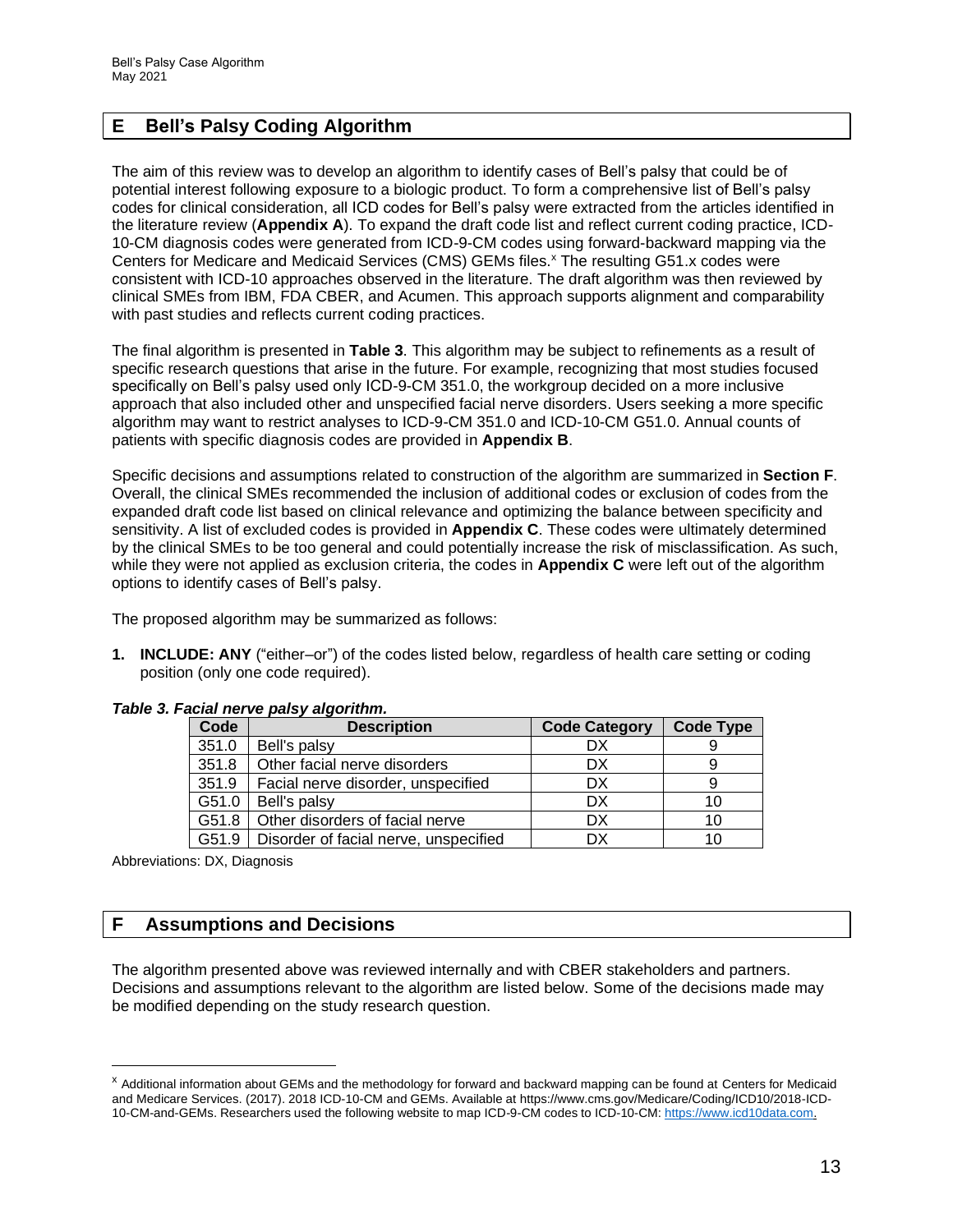# <span id="page-12-0"></span>**E Bell's Palsy Coding Algorithm**

The aim of this review was to develop an algorithm to identify cases of Bell's palsy that could be of potential interest following exposure to a biologic product. To form a comprehensive list of Bell's palsy codes for clinical consideration, all ICD codes for Bell's palsy were extracted from the articles identified in the literature review (**Appendix A**). To expand the draft code list and reflect current coding practice, ICD-10-CM diagnosis codes were generated from ICD-9-CM codes using forward-backward mapping via the Centers for Medicare and Medicaid Services (CMS) GEMs files.<sup>x</sup> The resulting G51.x codes were consistent with ICD-10 approaches observed in the literature. The draft algorithm was then reviewed by clinical SMEs from IBM, FDA CBER, and Acumen. This approach supports alignment and comparability with past studies and reflects current coding practices.

The final algorithm is presented in **[Table 3](#page-12-2)**. This algorithm may be subject to refinements as a result of specific research questions that arise in the future. For example, recognizing that most studies focused specifically on Bell's palsy used only ICD-9-CM 351.0, the workgroup decided on a more inclusive approach that also included other and unspecified facial nerve disorders. Users seeking a more specific algorithm may want to restrict analyses to ICD-9-CM 351.0 and ICD-10-CM G51.0. Annual counts of patients with specific diagnosis codes are provided in **Appendix B**.

Specific decisions and assumptions related to construction of the algorithm are summarized in **Section F**. Overall, the clinical SMEs recommended the inclusion of additional codes or exclusion of codes from the expanded draft code list based on clinical relevance and optimizing the balance between specificity and sensitivity. A list of excluded codes is provided in **Appendix C**. These codes were ultimately determined by the clinical SMEs to be too general and could potentially increase the risk of misclassification. As such, while they were not applied as exclusion criteria, the codes in **Appendix C** were left out of the algorithm options to identify cases of Bell's palsy.

The proposed algorithm may be summarized as follows:

**1. INCLUDE: ANY** ("either–or") of the codes listed below, regardless of health care setting or coding position (only one code required).

| Code  | <b>Description</b>                    | <b>Code Category</b> | <b>Code Type</b> |
|-------|---------------------------------------|----------------------|------------------|
| 351.0 | Bell's palsy                          | DX                   |                  |
| 351.8 | Other facial nerve disorders          | DX                   |                  |
| 351.9 | Facial nerve disorder, unspecified    | DX                   |                  |
| G51.0 | Bell's palsy                          | DX                   | 10               |
| G51.8 | Other disorders of facial nerve       | DX                   | 10               |
| G51.9 | Disorder of facial nerve, unspecified | nх                   | 10               |

#### <span id="page-12-2"></span>*Table 3. Facial nerve palsy algorithm.*

Abbreviations: DX, Diagnosis

#### <span id="page-12-1"></span>**F Assumptions and Decisions**

The algorithm presented above was reviewed internally and with CBER stakeholders and partners. Decisions and assumptions relevant to the algorithm are listed below. Some of the decisions made may be modified depending on the study research question.

<sup>x</sup> Additional information about GEMs and the methodology for forward and backward mapping can be found at Centers for Medicaid and Medicare Services. (2017). 2018 ICD-10-CM and GEMs. Available at https://www.cms.gov/Medicare/Coding/ICD10/2018-ICD-10-CM-and-GEMs. Researchers used the following website to map ICD-9-CM codes to ICD-10-CM[: https://www.icd10data.com.](https://www.icd10data.com/)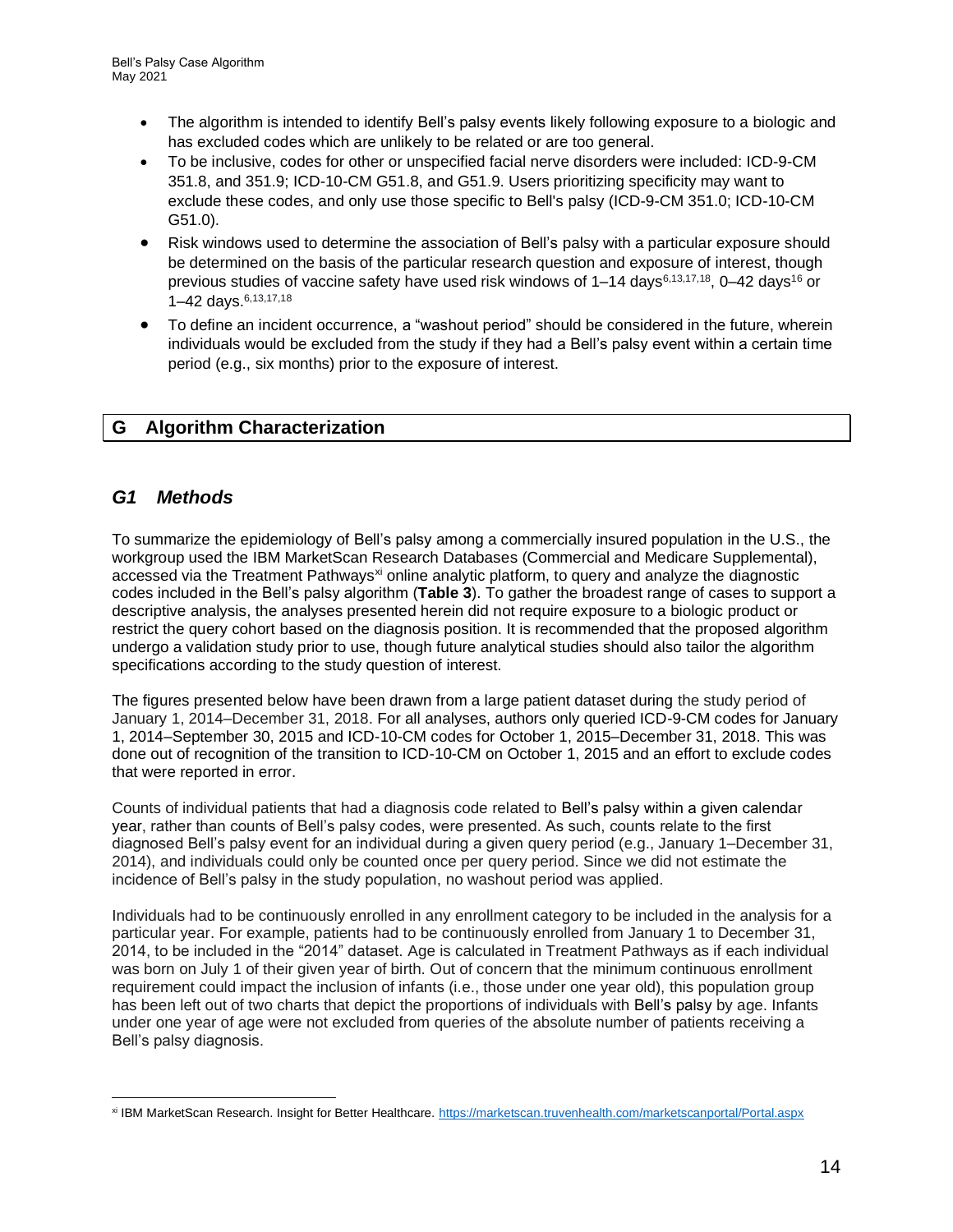- The algorithm is intended to identify Bell's palsy events likely following exposure to a biologic and has excluded codes which are unlikely to be related or are too general.
- To be inclusive, codes for other or unspecified facial nerve disorders were included: ICD-9-CM 351.8, and 351.9; ICD-10-CM G51.8, and G51.9. Users prioritizing specificity may want to exclude these codes, and only use those specific to Bell's palsy (ICD-9-CM 351.0; ICD-10-CM G51.0).
- Risk windows used to determine the association of Bell's palsy with a particular exposure should be determined on the basis of the particular research question and exposure of interest, though previous studies of vaccine safety have used risk windows of 1–14 days $6,13,17,18$ , 0–42 days $16$  or 1–42 days. 6,13,17,18
- To define an incident occurrence, a "washout period" should be considered in the future, wherein individuals would be excluded from the study if they had a Bell's palsy event within a certain time period (e.g., six months) prior to the exposure of interest.

## <span id="page-13-0"></span>**G Algorithm Characterization**

### <span id="page-13-1"></span>*G1 Methods*

To summarize the epidemiology of Bell's palsy among a commercially insured population in the U.S., the workgroup used the IBM MarketScan Research Databases (Commercial and Medicare Supplemental), accessed via the Treatment Pathways<sup>xi</sup> online analytic platform, to query and analyze the diagnostic codes included in the Bell's palsy algorithm (**[Table 3](#page-12-2)**). To gather the broadest range of cases to support a descriptive analysis, the analyses presented herein did not require exposure to a biologic product or restrict the query cohort based on the diagnosis position. It is recommended that the proposed algorithm undergo a validation study prior to use, though future analytical studies should also tailor the algorithm specifications according to the study question of interest.

The figures presented below have been drawn from a large patient dataset during the study period of January 1, 2014–December 31, 2018. For all analyses, authors only queried ICD-9-CM codes for January 1, 2014–September 30, 2015 and ICD-10-CM codes for October 1, 2015–December 31, 2018. This was done out of recognition of the transition to ICD-10-CM on October 1, 2015 and an effort to exclude codes that were reported in error.

Counts of individual patients that had a diagnosis code related to Bell's palsy within a given calendar year, rather than counts of Bell's palsy codes, were presented. As such, counts relate to the first diagnosed Bell's palsy event for an individual during a given query period (e.g., January 1–December 31, 2014), and individuals could only be counted once per query period. Since we did not estimate the incidence of Bell's palsy in the study population, no washout period was applied.

Individuals had to be continuously enrolled in any enrollment category to be included in the analysis for a particular year. For example, patients had to be continuously enrolled from January 1 to December 31, 2014, to be included in the "2014" dataset. Age is calculated in Treatment Pathways as if each individual was born on July 1 of their given year of birth. Out of concern that the minimum continuous enrollment requirement could impact the inclusion of infants (i.e., those under one year old), this population group has been left out of two charts that depict the proportions of individuals with Bell's palsy by age. Infants under one year of age were not excluded from queries of the absolute number of patients receiving a Bell's palsy diagnosis.

xi IBM MarketScan Research. Insight for Better Healthcare.<https://marketscan.truvenhealth.com/marketscanportal/Portal.aspx>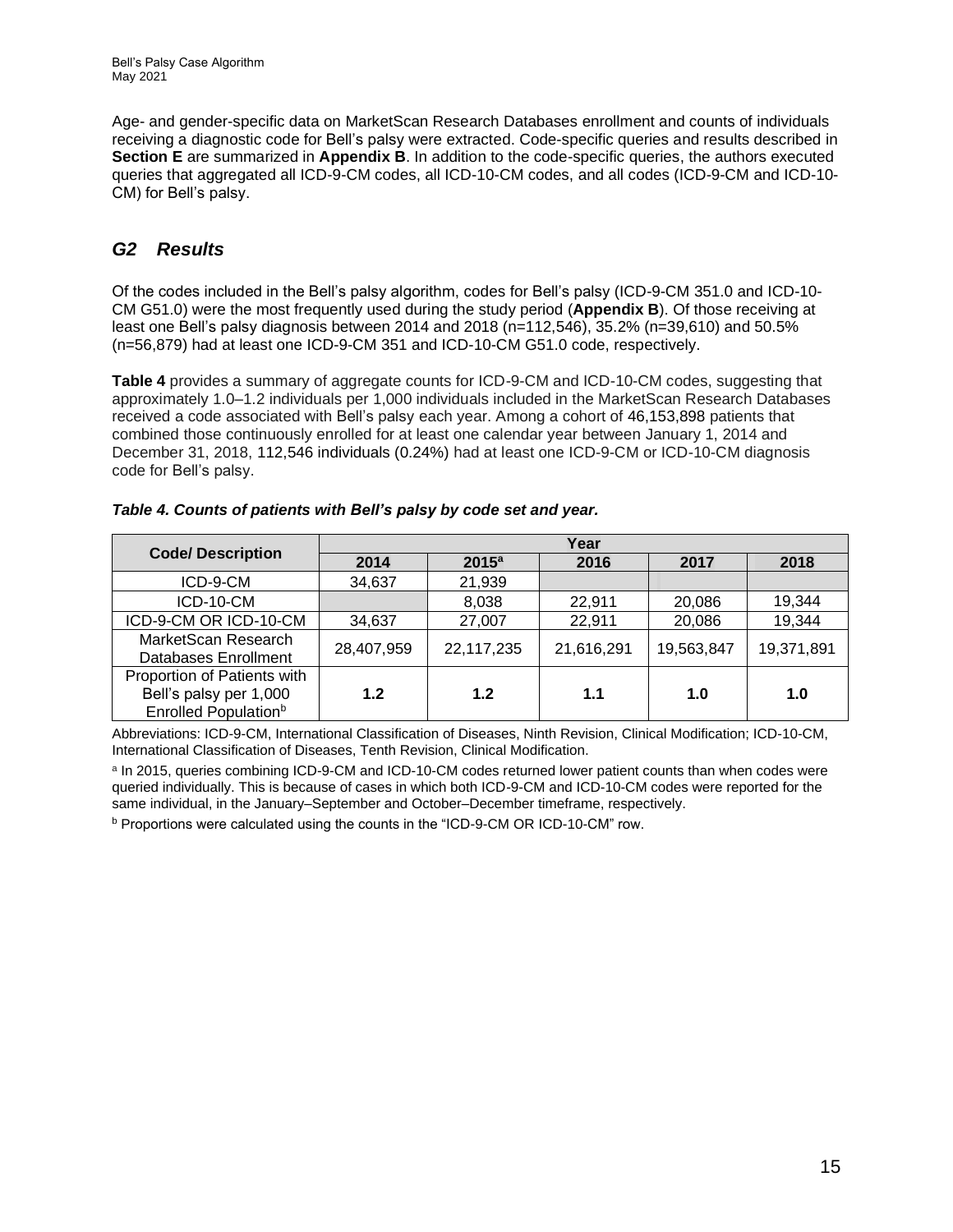Age- and gender-specific data on MarketScan Research Databases enrollment and counts of individuals receiving a diagnostic code for Bell's palsy were extracted. Code-specific queries and results described in **Section E** are summarized in **Appendix B**. In addition to the code-specific queries, the authors executed queries that aggregated all ICD-9-CM codes, all ICD-10-CM codes, and all codes (ICD-9-CM and ICD-10- CM) for Bell's palsy.

# <span id="page-14-0"></span>*G2 Results*

Of the codes included in the Bell's palsy algorithm, codes for Bell's palsy (ICD-9-CM 351.0 and ICD-10- CM G51.0) were the most frequently used during the study period (**Appendix B**). Of those receiving at least one Bell's palsy diagnosis between 2014 and 2018 (n=112,546), 35.2% (n=39,610) and 50.5% (n=56,879) had at least one ICD-9-CM 351 and ICD-10-CM G51.0 code, respectively.

**[Table 4](#page-14-1)** provides a summary of aggregate counts for ICD-9-CM and ICD-10-CM codes, suggesting that approximately 1.0–1.2 individuals per 1,000 individuals included in the MarketScan Research Databases received a code associated with Bell's palsy each year. Among a cohort of 46,153,898 patients that combined those continuously enrolled for at least one calendar year between January 1, 2014 and December 31, 2018, 112,546 individuals (0.24%) had at least one ICD-9-CM or ICD-10-CM diagnosis code for Bell's palsy.

|                                                                                           | Year       |                   |            |            |            |  |
|-------------------------------------------------------------------------------------------|------------|-------------------|------------|------------|------------|--|
| <b>Code/ Description</b>                                                                  | 2014       | 2015 <sup>a</sup> | 2016       | 2017       | 2018       |  |
| ICD-9-CM                                                                                  | 34,637     | 21,939            |            |            |            |  |
| ICD-10-CM                                                                                 |            | 8,038             | 22,911     | 20,086     | 19,344     |  |
| ICD-9-CM OR ICD-10-CM                                                                     | 34,637     | 27,007            | 22,911     | 20,086     | 19,344     |  |
| MarketScan Research<br>Databases Enrollment                                               | 28,407,959 | 22,117,235        | 21,616,291 | 19,563,847 | 19,371,891 |  |
| Proportion of Patients with<br>Bell's palsy per 1,000<br>Enrolled Population <sup>b</sup> | 1.2        | 1.2               | 1.1        | 1.0        | 1.0        |  |

#### <span id="page-14-1"></span>*Table 4. Counts of patients with Bell's palsy by code set and year.*

Abbreviations: ICD-9-CM, International Classification of Diseases, Ninth Revision, Clinical Modification; ICD-10-CM, International Classification of Diseases, Tenth Revision, Clinical Modification.

<sup>a</sup> In 2015, queries combining ICD-9-CM and ICD-10-CM codes returned lower patient counts than when codes were queried individually. This is because of cases in which both ICD-9-CM and ICD-10-CM codes were reported for the same individual, in the January–September and October–December timeframe, respectively.

b Proportions were calculated using the counts in the "ICD-9-CM OR ICD-10-CM" row.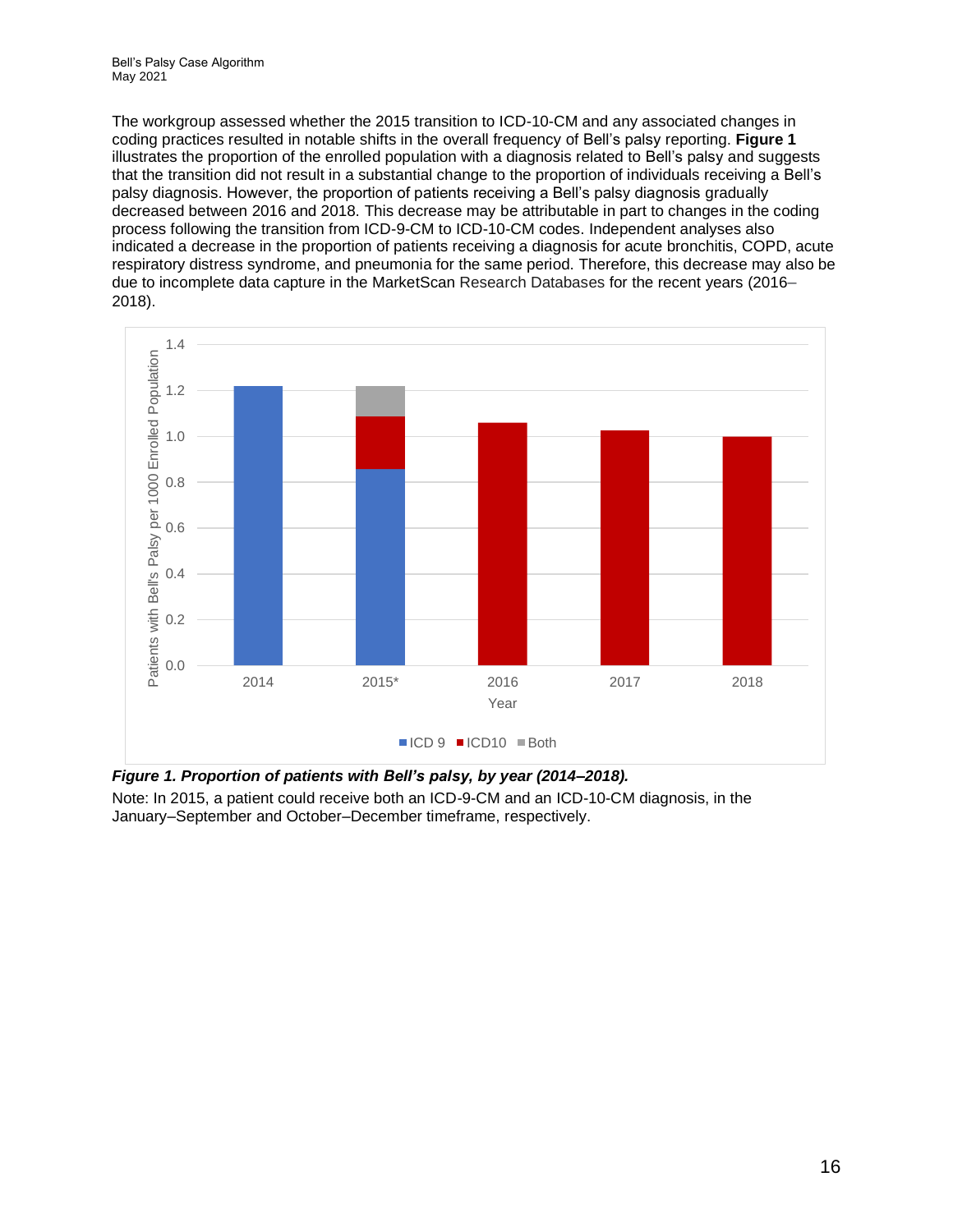The workgroup assessed whether the 2015 transition to ICD-10-CM and any associated changes in coding practices resulted in notable shifts in the overall frequency of Bell's palsy reporting. **[Figure 1](#page-15-0)** illustrates the proportion of the enrolled population with a diagnosis related to Bell's palsy and suggests that the transition did not result in a substantial change to the proportion of individuals receiving a Bell's palsy diagnosis. However, the proportion of patients receiving a Bell's palsy diagnosis gradually decreased between 2016 and 2018. This decrease may be attributable in part to changes in the coding process following the transition from ICD-9-CM to ICD-10-CM codes. Independent analyses also indicated a decrease in the proportion of patients receiving a diagnosis for acute bronchitis, COPD, acute respiratory distress syndrome, and pneumonia for the same period. Therefore, this decrease may also be due to incomplete data capture in the MarketScan Research Databases for the recent years (2016– 2018).



<span id="page-15-0"></span>*Figure 1. Proportion of patients with Bell's palsy, by year (2014–2018).*

Note: In 2015, a patient could receive both an ICD-9-CM and an ICD-10-CM diagnosis, in the January–September and October–December timeframe, respectively.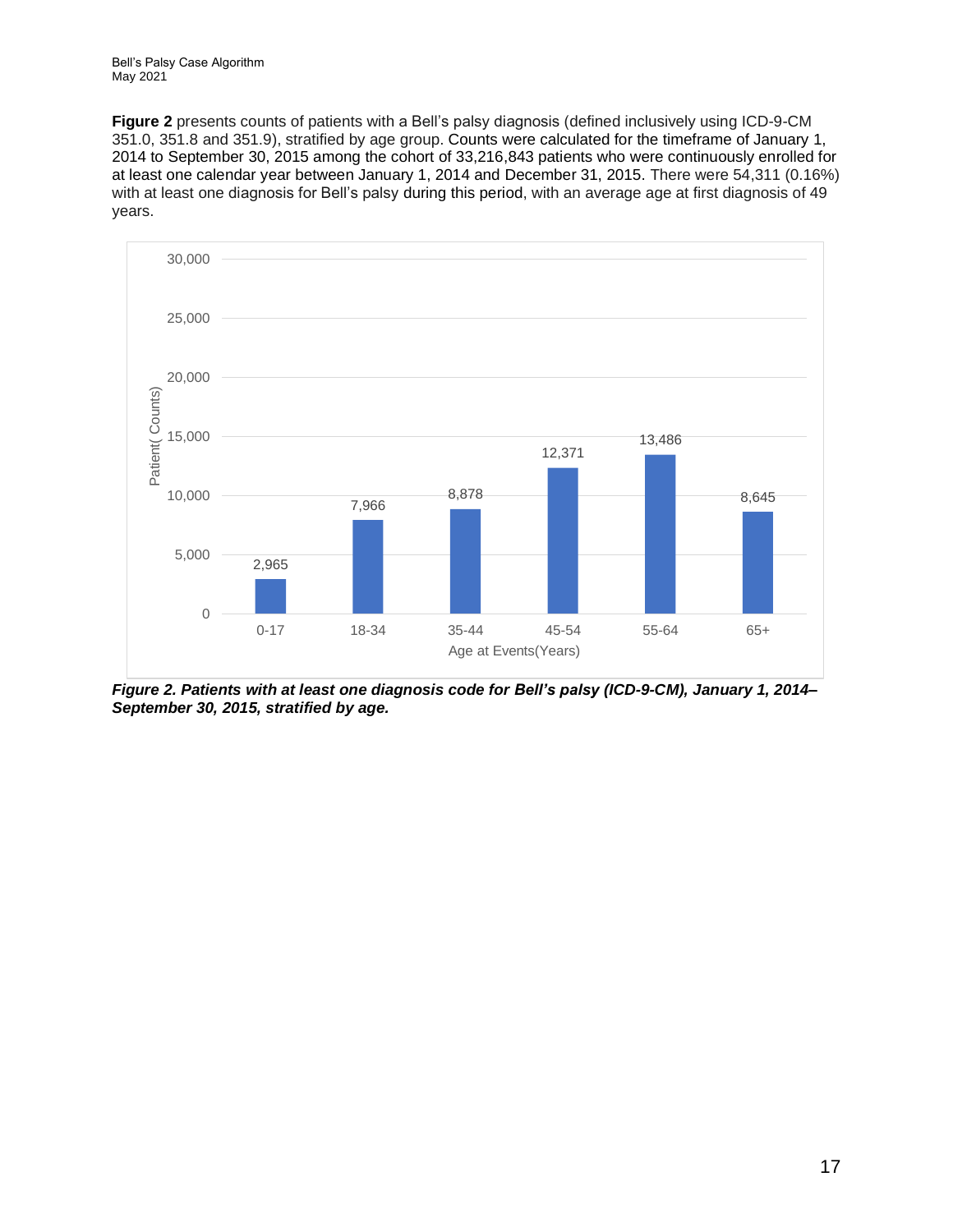**[Figure 2](#page-16-0)** presents counts of patients with a Bell's palsy diagnosis (defined inclusively using ICD-9-CM 351.0, 351.8 and 351.9), stratified by age group. Counts were calculated for the timeframe of January 1, 2014 to September 30, 2015 among the cohort of 33,216,843 patients who were continuously enrolled for at least one calendar year between January 1, 2014 and December 31, 2015. There were 54,311 (0.16%) with at least one diagnosis for Bell's palsy during this period, with an average age at first diagnosis of 49 years.



<span id="page-16-0"></span>*Figure 2. Patients with at least one diagnosis code for Bell's palsy (ICD-9-CM), January 1, 2014– September 30, 2015, stratified by age.*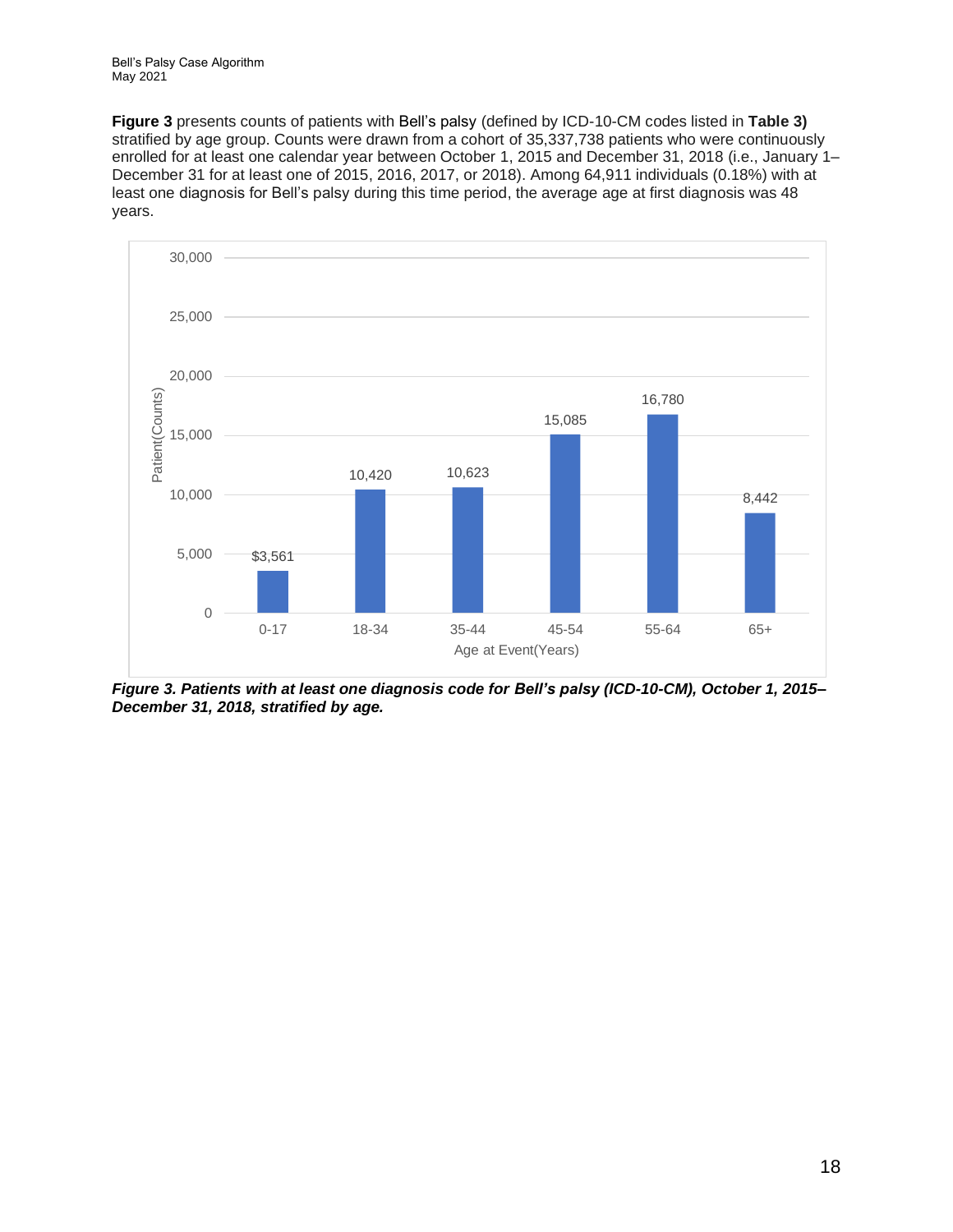Bell's Palsy Case Algorithm May 2021

**[Figure 3](#page-17-0)** presents counts of patients with Bell's palsy (defined by ICD-10-CM codes listed in **Table 3)** stratified by age group. Counts were drawn from a cohort of 35,337,738 patients who were continuously enrolled for at least one calendar year between October 1, 2015 and December 31, 2018 (i.e., January 1– December 31 for at least one of 2015, 2016, 2017, or 2018). Among 64,911 individuals (0.18%) with at least one diagnosis for Bell's palsy during this time period, the average age at first diagnosis was 48 years.



<span id="page-17-0"></span>*Figure 3. Patients with at least one diagnosis code for Bell's palsy (ICD-10-CM), October 1, 2015– December 31, 2018, stratified by age.*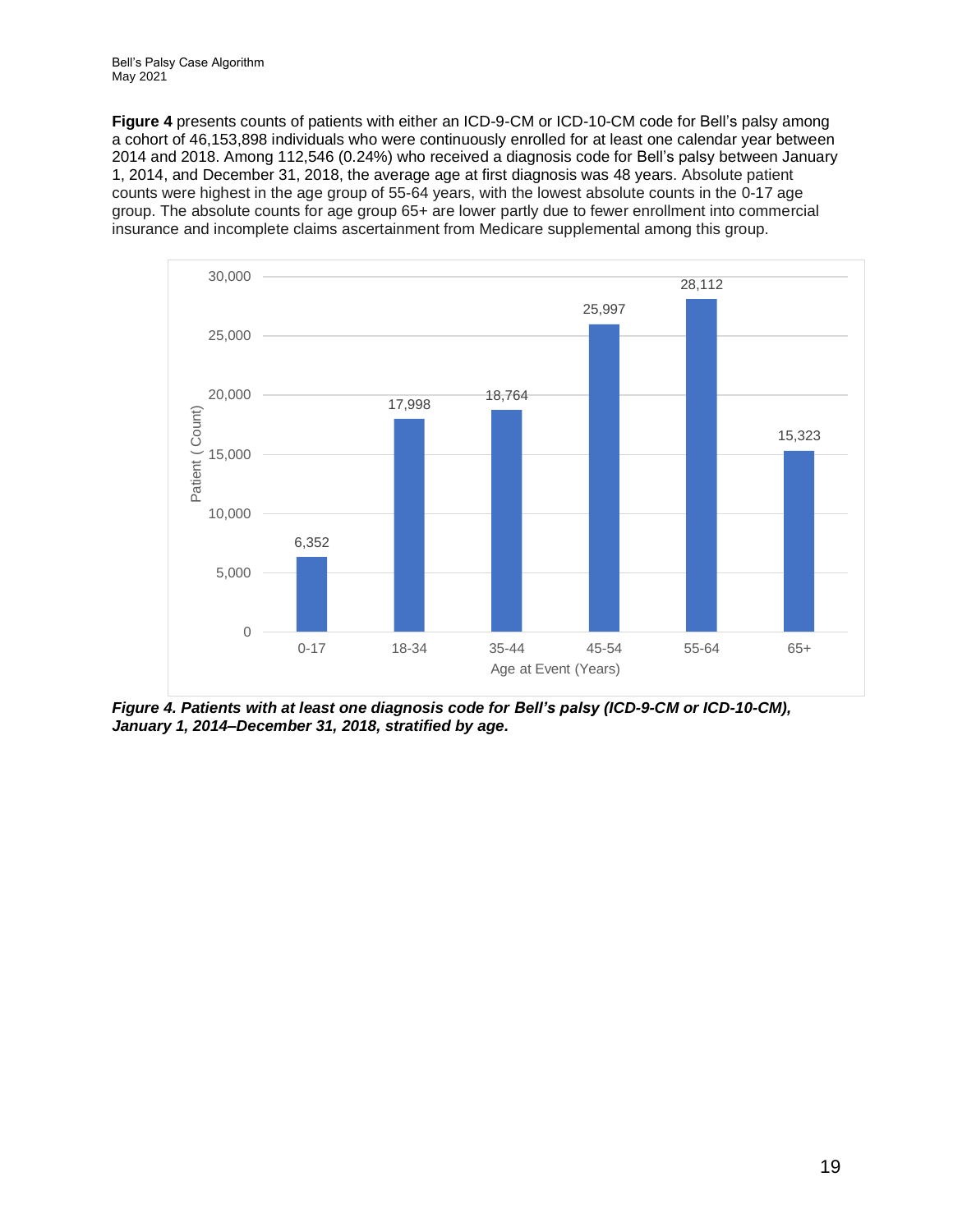Bell's Palsy Case Algorithm May 2021

**[Figure 4](#page-18-0)** presents counts of patients with either an ICD-9-CM or ICD-10-CM code for Bell's palsy among a cohort of 46,153,898 individuals who were continuously enrolled for at least one calendar year between 2014 and 2018. Among 112,546 (0.24%) who received a diagnosis code for Bell's palsy between January 1, 2014, and December 31, 2018, the average age at first diagnosis was 48 years. Absolute patient counts were highest in the age group of 55-64 years, with the lowest absolute counts in the 0-17 age group. The absolute counts for age group 65+ are lower partly due to fewer enrollment into commercial insurance and incomplete claims ascertainment from Medicare supplemental among this group.



<span id="page-18-0"></span>*Figure 4. Patients with at least one diagnosis code for Bell's palsy (ICD-9-CM or ICD-10-CM), January 1, 2014–December 31, 2018, stratified by age.*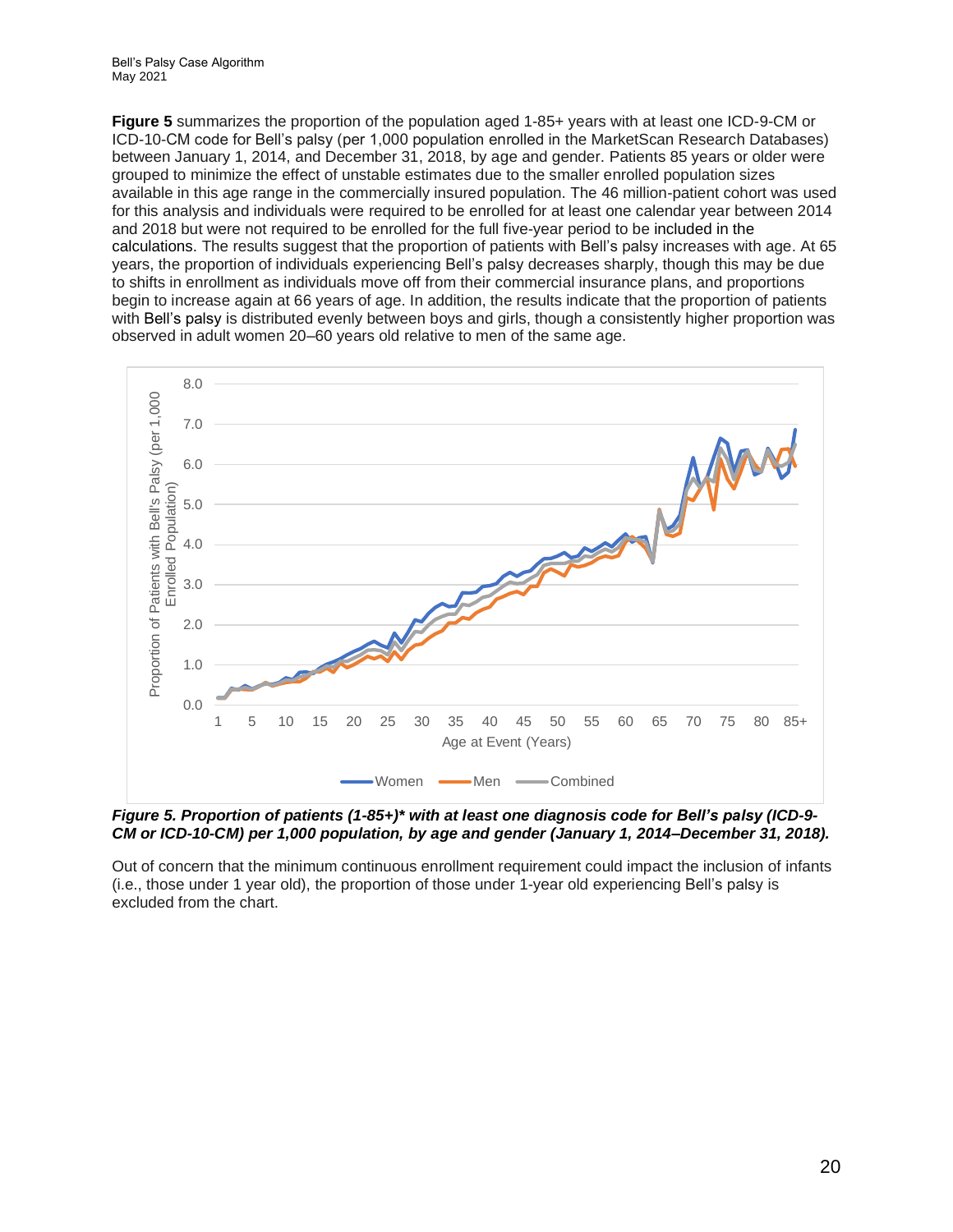**[Figure 5](#page-19-0)** summarizes the proportion of the population aged 1-85+ years with at least one ICD-9-CM or ICD-10-CM code for Bell's palsy (per 1,000 population enrolled in the MarketScan Research Databases) between January 1, 2014, and December 31, 2018, by age and gender. Patients 85 years or older were grouped to minimize the effect of unstable estimates due to the smaller enrolled population sizes available in this age range in the commercially insured population. The 46 million-patient cohort was used for this analysis and individuals were required to be enrolled for at least one calendar year between 2014 and 2018 but were not required to be enrolled for the full five-year period to be included in the calculations. The results suggest that the proportion of patients with Bell's palsy increases with age. At 65 years, the proportion of individuals experiencing Bell's palsy decreases sharply, though this may be due to shifts in enrollment as individuals move off from their commercial insurance plans, and proportions begin to increase again at 66 years of age. In addition, the results indicate that the proportion of patients with Bell's palsy is distributed evenly between boys and girls, though a consistently higher proportion was observed in adult women 20–60 years old relative to men of the same age.



<span id="page-19-0"></span>*Figure 5. Proportion of patients (1-85+)\* with at least one diagnosis code for Bell's palsy (ICD-9- CM or ICD-10-CM) per 1,000 population, by age and gender (January 1, 2014–December 31, 2018).*

Out of concern that the minimum continuous enrollment requirement could impact the inclusion of infants (i.e., those under 1 year old), the proportion of those under 1-year old experiencing Bell's palsy is excluded from the chart.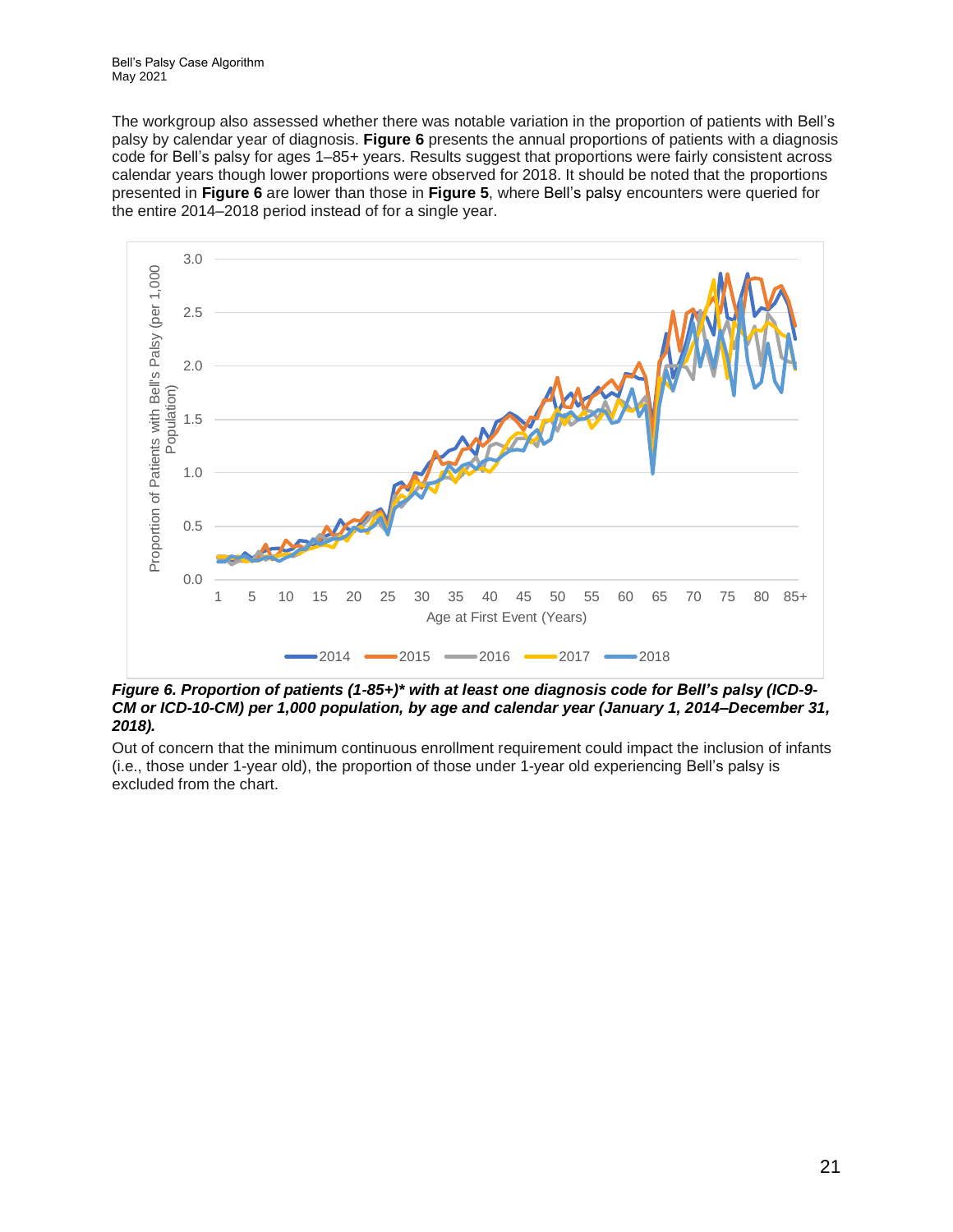The workgroup also assessed whether there was notable variation in the proportion of patients with Bell's palsy by calendar year of diagnosis. **[Figure 6](#page-20-0)** presents the annual proportions of patients with a diagnosis code for Bell's palsy for ages 1–85+ years. Results suggest that proportions were fairly consistent across calendar years though lower proportions were observed for 2018. It should be noted that the proportions presented in **[Figure 6](#page-20-0)** are lower than those in **[Figure 5](#page-19-0)**, where Bell's palsy encounters were queried for the entire 2014–2018 period instead of for a single year.



<span id="page-20-0"></span>*Figure 6. Proportion of patients (1-85+)\* with at least one diagnosis code for Bell's palsy (ICD-9- CM or ICD-10-CM) per 1,000 population, by age and calendar year (January 1, 2014–December 31, 2018).*

Out of concern that the minimum continuous enrollment requirement could impact the inclusion of infants (i.e., those under 1-year old), the proportion of those under 1-year old experiencing Bell's palsy is excluded from the chart.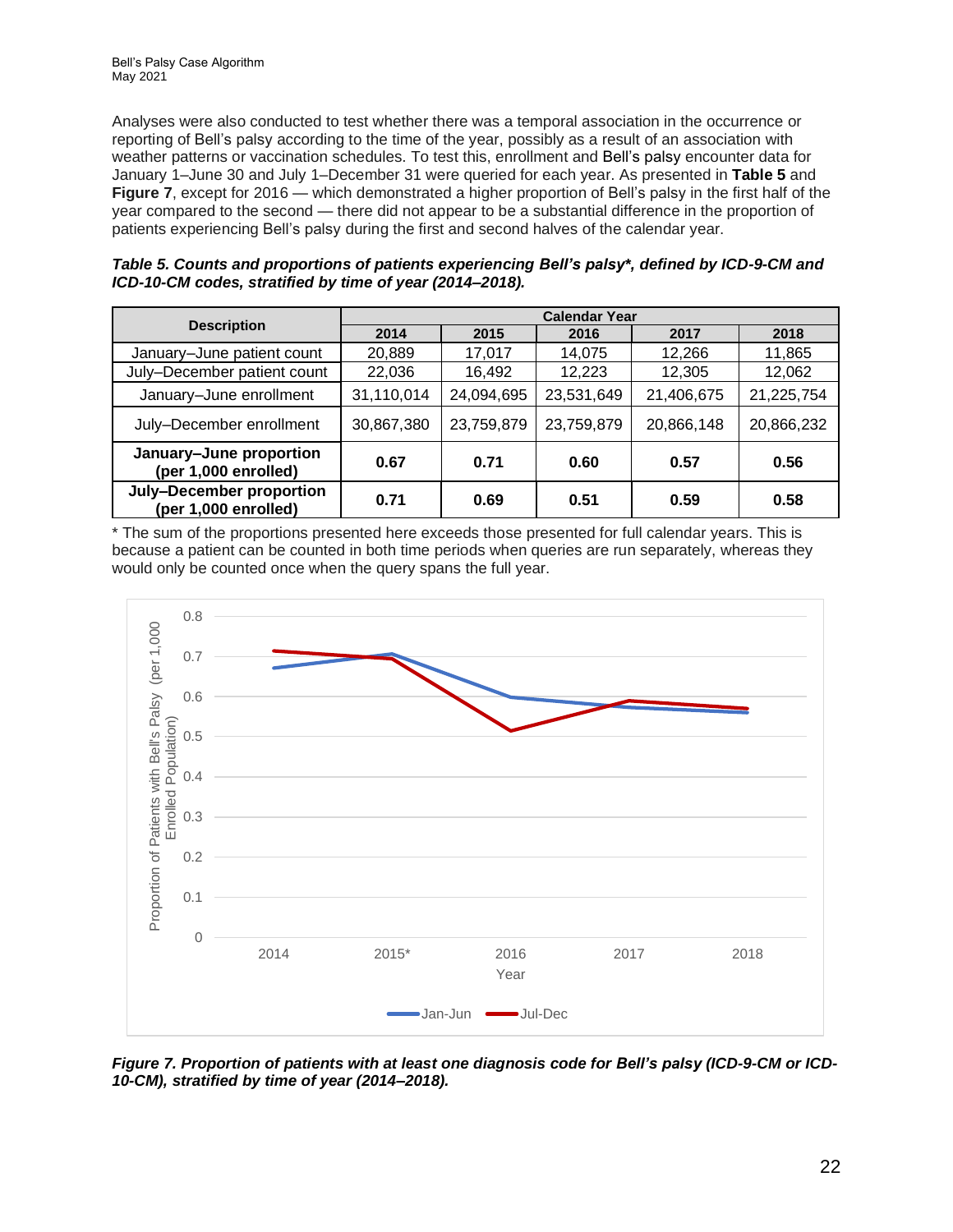Analyses were also conducted to test whether there was a temporal association in the occurrence or reporting of Bell's palsy according to the time of the year, possibly as a result of an association with weather patterns or vaccination schedules. To test this, enrollment and Bell's palsy encounter data for January 1–June 30 and July 1–December 31 were queried for each year. As presented in **[Table 5](#page-21-0)** and **Figure 7**, except for 2016 — which demonstrated a higher proportion of Bell's palsy in the first half of the year compared to the second — there did not appear to be a substantial difference in the proportion of patients experiencing Bell's palsy during the first and second halves of the calendar year.

<span id="page-21-0"></span>*Table 5. Counts and proportions of patients experiencing Bell's palsy\*, defined by ICD-9-CM and ICD-10-CM codes, stratified by time of year (2014–2018).*

| <b>Description</b>                               | <b>Calendar Year</b> |            |            |            |            |
|--------------------------------------------------|----------------------|------------|------------|------------|------------|
|                                                  | 2014                 | 2015       | 2016       | 2017       | 2018       |
| January-June patient count                       | 20,889               | 17,017     | 14,075     | 12,266     | 11,865     |
| July-December patient count                      | 22,036               | 16,492     | 12,223     | 12,305     | 12,062     |
| January-June enrollment                          | 31,110,014           | 24,094,695 | 23,531,649 | 21,406,675 | 21,225,754 |
| July-December enrollment                         | 30,867,380           | 23,759,879 | 23,759,879 | 20,866,148 | 20,866,232 |
| January-June proportion<br>(per 1,000 enrolled)  | 0.67                 | 0.71       | 0.60       | 0.57       | 0.56       |
| July-December proportion<br>(per 1,000 enrolled) | 0.71                 | 0.69       | 0.51       | 0.59       | 0.58       |

\* The sum of the proportions presented here exceeds those presented for full calendar years. This is because a patient can be counted in both time periods when queries are run separately, whereas they would only be counted once when the query spans the full year.



<span id="page-21-1"></span>*Figure 7. Proportion of patients with at least one diagnosis code for Bell's palsy (ICD-9-CM or ICD-10-CM), stratified by time of year (2014–2018).*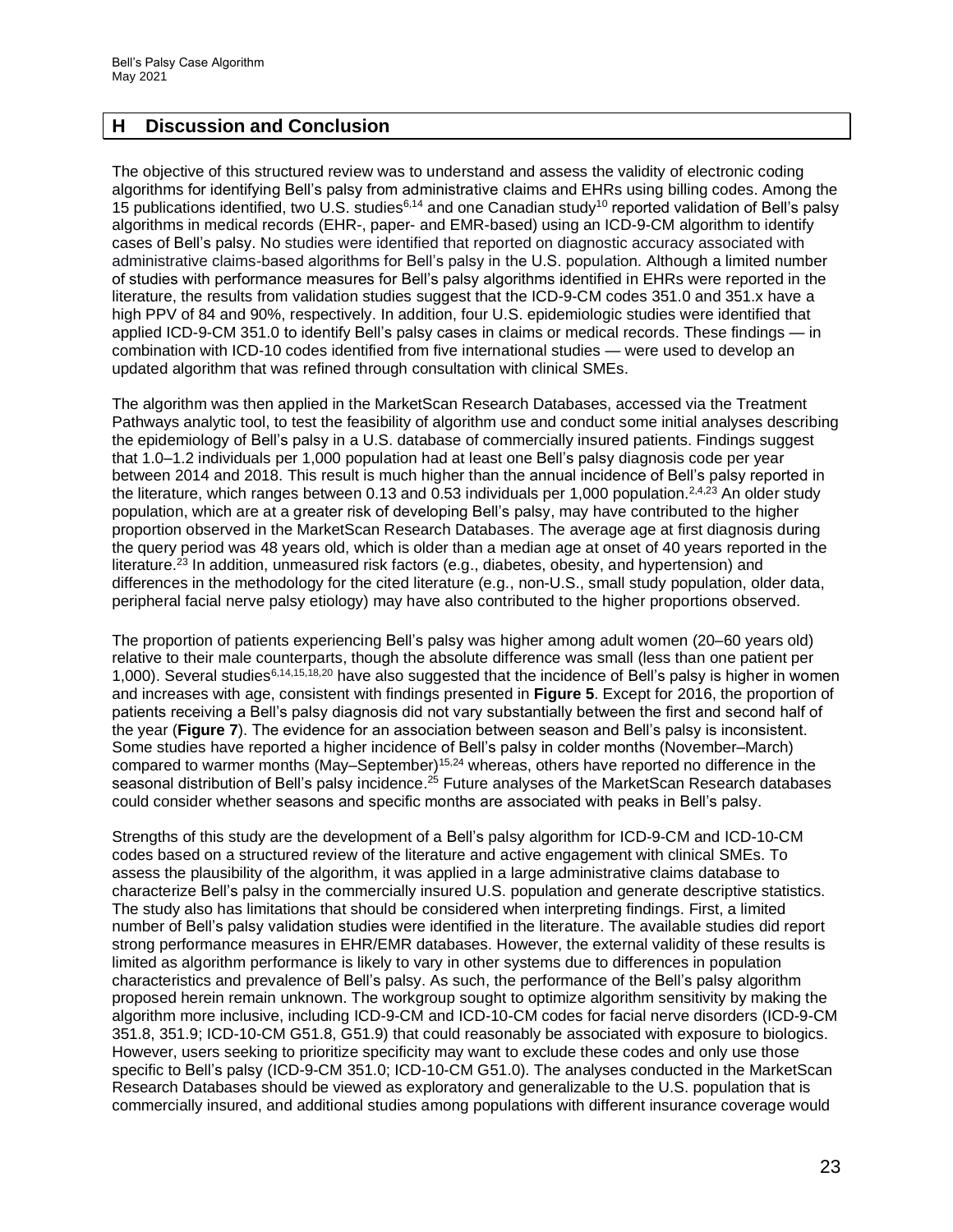## <span id="page-22-0"></span>**H Discussion and Conclusion**

The objective of this structured review was to understand and assess the validity of electronic coding algorithms for identifying Bell's palsy from administrative claims and EHRs using billing codes. Among the 15 publications identified, two U.S. studies<sup>6,14</sup> and one Canadian study<sup>10</sup> reported validation of Bell's palsy algorithms in medical records (EHR-, paper- and EMR-based) using an ICD-9-CM algorithm to identify cases of Bell's palsy. No studies were identified that reported on diagnostic accuracy associated with administrative claims-based algorithms for Bell's palsy in the U.S. population. Although a limited number of studies with performance measures for Bell's palsy algorithms identified in EHRs were reported in the literature, the results from validation studies suggest that the ICD-9-CM codes 351.0 and 351.x have a high PPV of 84 and 90%, respectively. In addition, four U.S. epidemiologic studies were identified that applied ICD-9-CM 351.0 to identify Bell's palsy cases in claims or medical records. These findings — in combination with ICD-10 codes identified from five international studies — were used to develop an updated algorithm that was refined through consultation with clinical SMEs.

The algorithm was then applied in the MarketScan Research Databases, accessed via the Treatment Pathways analytic tool, to test the feasibility of algorithm use and conduct some initial analyses describing the epidemiology of Bell's palsy in a U.S. database of commercially insured patients. Findings suggest that 1.0–1.2 individuals per 1,000 population had at least one Bell's palsy diagnosis code per year between 2014 and 2018. This result is much higher than the annual incidence of Bell's palsy reported in the literature, which ranges between 0.13 and 0.53 individuals per 1,000 population.<sup>2,4,23</sup> An older study population, which are at a greater risk of developing Bell's palsy, may have contributed to the higher proportion observed in the MarketScan Research Databases. The average age at first diagnosis during the query period was 48 years old, which is older than a median age at onset of 40 years reported in the literature.<sup>23</sup> In addition, unmeasured risk factors (e.g., diabetes, obesity, and hypertension) and differences in the methodology for the cited literature (e.g., non-U.S., small study population, older data, peripheral facial nerve palsy etiology) may have also contributed to the higher proportions observed.

The proportion of patients experiencing Bell's palsy was higher among adult women (20–60 years old) relative to their male counterparts, though the absolute difference was small (less than one patient per 1,000). Several studies6,14,15,18,20 have also suggested that the incidence of Bell's palsy is higher in women and increases with age, consistent with findings presented in **[Figure 5](#page-19-0)**. Except for 2016, the proportion of patients receiving a Bell's palsy diagnosis did not vary substantially between the first and second half of the year (**Figure 7**). The evidence for an association between season and Bell's palsy is inconsistent. Some studies have reported a higher incidence of Bell's palsy in colder months (November–March) compared to warmer months (May–September)<sup>15,24</sup> whereas, others have reported no difference in the seasonal distribution of Bell's palsy incidence.<sup>25</sup> Future analyses of the MarketScan Research databases could consider whether seasons and specific months are associated with peaks in Bell's palsy.

Strengths of this study are the development of a Bell's palsy algorithm for ICD-9-CM and ICD-10-CM codes based on a structured review of the literature and active engagement with clinical SMEs. To assess the plausibility of the algorithm, it was applied in a large administrative claims database to characterize Bell's palsy in the commercially insured U.S. population and generate descriptive statistics. The study also has limitations that should be considered when interpreting findings. First, a limited number of Bell's palsy validation studies were identified in the literature. The available studies did report strong performance measures in EHR/EMR databases. However, the external validity of these results is limited as algorithm performance is likely to vary in other systems due to differences in population characteristics and prevalence of Bell's palsy. As such, the performance of the Bell's palsy algorithm proposed herein remain unknown. The workgroup sought to optimize algorithm sensitivity by making the algorithm more inclusive, including ICD-9-CM and ICD-10-CM codes for facial nerve disorders (ICD-9-CM 351.8, 351.9; ICD-10-CM G51.8, G51.9) that could reasonably be associated with exposure to biologics. However, users seeking to prioritize specificity may want to exclude these codes and only use those specific to Bell's palsy (ICD-9-CM 351.0; ICD-10-CM G51.0). The analyses conducted in the MarketScan Research Databases should be viewed as exploratory and generalizable to the U.S. population that is commercially insured, and additional studies among populations with different insurance coverage would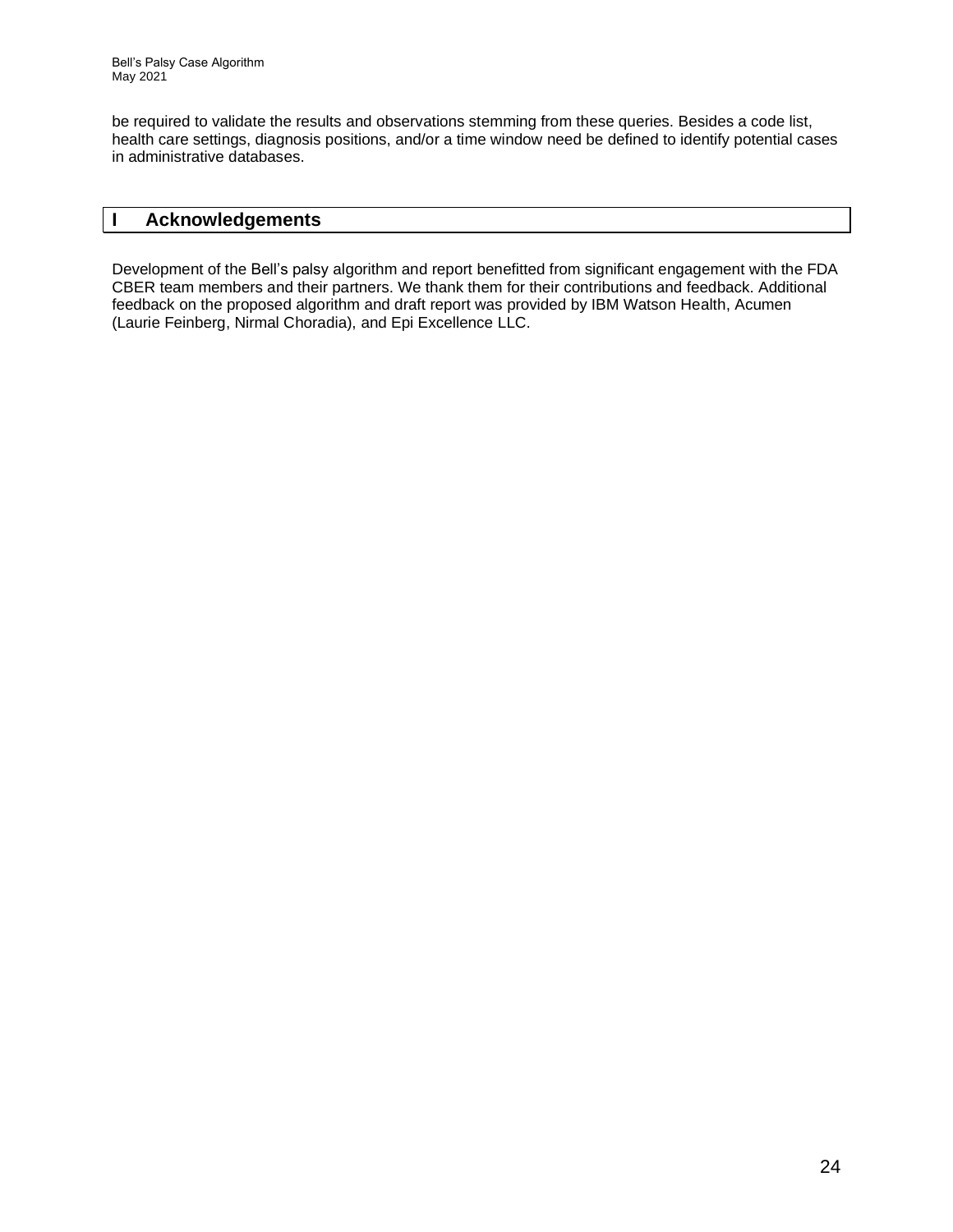be required to validate the results and observations stemming from these queries. Besides a code list, health care settings, diagnosis positions, and/or a time window need be defined to identify potential cases in administrative databases.

#### <span id="page-23-0"></span>**I Acknowledgements**

Development of the Bell's palsy algorithm and report benefitted from significant engagement with the FDA CBER team members and their partners. We thank them for their contributions and feedback. Additional feedback on the proposed algorithm and draft report was provided by IBM Watson Health, Acumen (Laurie Feinberg, Nirmal Choradia), and Epi Excellence LLC.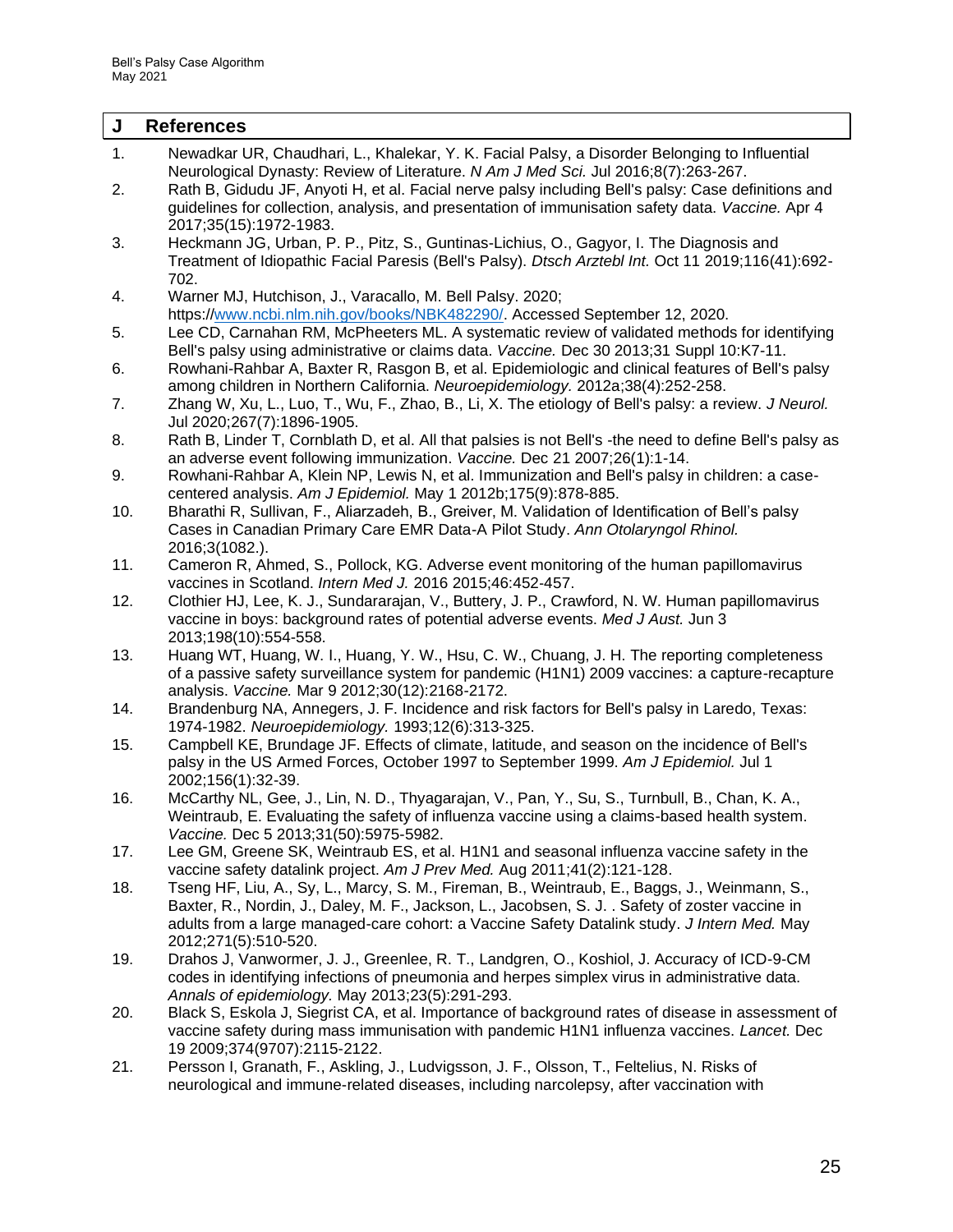<span id="page-24-0"></span>

| J   | <b>References</b>                                                                                                                                                                                                                                                                                                        |
|-----|--------------------------------------------------------------------------------------------------------------------------------------------------------------------------------------------------------------------------------------------------------------------------------------------------------------------------|
| 1.  | Newadkar UR, Chaudhari, L., Khalekar, Y. K. Facial Palsy, a Disorder Belonging to Influential<br>Neurological Dynasty: Review of Literature. N Am J Med Sci. Jul 2016;8(7):263-267.                                                                                                                                      |
| 2.  | Rath B, Gidudu JF, Anyoti H, et al. Facial nerve palsy including Bell's palsy: Case definitions and<br>guidelines for collection, analysis, and presentation of immunisation safety data. Vaccine. Apr 4<br>2017;35(15):1972-1983.                                                                                       |
| 3.  | Heckmann JG, Urban, P. P., Pitz, S., Guntinas-Lichius, O., Gagyor, I. The Diagnosis and<br>Treatment of Idiopathic Facial Paresis (Bell's Palsy). Dtsch Arztebl Int. Oct 11 2019;116(41):692-<br>702.                                                                                                                    |
| 4.  | Warner MJ, Hutchison, J., Varacallo, M. Bell Palsy. 2020;<br>https://www.ncbi.nlm.nih.gov/books/NBK482290/. Accessed September 12, 2020.                                                                                                                                                                                 |
| 5.  | Lee CD, Carnahan RM, McPheeters ML. A systematic review of validated methods for identifying<br>Bell's palsy using administrative or claims data. Vaccine. Dec 30 2013;31 Suppl 10:K7-11.                                                                                                                                |
| 6.  | Rowhani-Rahbar A, Baxter R, Rasgon B, et al. Epidemiologic and clinical features of Bell's palsy<br>among children in Northern California. Neuroepidemiology. 2012a;38(4):252-258.                                                                                                                                       |
| 7.  | Zhang W, Xu, L., Luo, T., Wu, F., Zhao, B., Li, X. The etiology of Bell's palsy: a review. J Neurol.<br>Jul 2020;267(7):1896-1905.                                                                                                                                                                                       |
| 8.  | Rath B, Linder T, Cornblath D, et al. All that palsies is not Bell's -the need to define Bell's palsy as<br>an adverse event following immunization. Vaccine. Dec 21 2007;26(1):1-14.                                                                                                                                    |
| 9.  | Rowhani-Rahbar A, Klein NP, Lewis N, et al. Immunization and Bell's palsy in children: a case-<br>centered analysis. Am J Epidemiol. May 1 2012b;175(9):878-885.                                                                                                                                                         |
| 10. | Bharathi R, Sullivan, F., Aliarzadeh, B., Greiver, M. Validation of Identification of Bell's palsy<br>Cases in Canadian Primary Care EMR Data-A Pilot Study. Ann Otolaryngol Rhinol.<br>2016;3(1082.).                                                                                                                   |
| 11. | Cameron R, Ahmed, S., Pollock, KG. Adverse event monitoring of the human papillomavirus<br>vaccines in Scotland. Intern Med J. 2016 2015;46:452-457.                                                                                                                                                                     |
| 12. | Clothier HJ, Lee, K. J., Sundararajan, V., Buttery, J. P., Crawford, N. W. Human papillomavirus<br>vaccine in boys: background rates of potential adverse events. Med J Aust. Jun 3<br>2013;198(10):554-558.                                                                                                             |
| 13. | Huang WT, Huang, W. I., Huang, Y. W., Hsu, C. W., Chuang, J. H. The reporting completeness<br>of a passive safety surveillance system for pandemic (H1N1) 2009 vaccines: a capture-recapture<br>analysis. Vaccine. Mar 9 2012;30(12):2168-2172.                                                                          |
| 14. | Brandenburg NA, Annegers, J. F. Incidence and risk factors for Bell's palsy in Laredo, Texas:<br>1974-1982. Neuroepidemiology. 1993;12(6):313-325.                                                                                                                                                                       |
| 15. | Campbell KE, Brundage JF. Effects of climate, latitude, and season on the incidence of Bell's<br>palsy in the US Armed Forces, October 1997 to September 1999. Am J Epidemiol. Jul 1<br>2002;156(1):32-39.                                                                                                               |
| 16. | McCarthy NL, Gee, J., Lin, N. D., Thyagarajan, V., Pan, Y., Su, S., Turnbull, B., Chan, K. A.,<br>Weintraub, E. Evaluating the safety of influenza vaccine using a claims-based health system.<br>Vaccine. Dec 5 2013;31(50):5975-5982.                                                                                  |
| 17. | Lee GM, Greene SK, Weintraub ES, et al. H1N1 and seasonal influenza vaccine safety in the<br>vaccine safety datalink project. Am J Prev Med. Aug 2011;41(2):121-128.                                                                                                                                                     |
| 18. | Tseng HF, Liu, A., Sy, L., Marcy, S. M., Fireman, B., Weintraub, E., Baggs, J., Weinmann, S.,<br>Baxter, R., Nordin, J., Daley, M. F., Jackson, L., Jacobsen, S. J. . Safety of zoster vaccine in<br>adults from a large managed-care cohort: a Vaccine Safety Datalink study. J Intern Med. May<br>2012;271(5):510-520. |
| 19. | Drahos J, Vanwormer, J. J., Greenlee, R. T., Landgren, O., Koshiol, J. Accuracy of ICD-9-CM<br>codes in identifying infections of pneumonia and herpes simplex virus in administrative data.<br>Annals of epidemiology. May 2013;23(5):291-293.                                                                          |
| 20. | Black S, Eskola J, Siegrist CA, et al. Importance of background rates of disease in assessment of<br>vaccine safety during mass immunisation with pandemic H1N1 influenza vaccines. Lancet. Dec<br>19 2009;374(9707):2115-2122.                                                                                          |
| 21. | Persson I, Granath, F., Askling, J., Ludvigsson, J. F., Olsson, T., Feltelius, N. Risks of<br>neurological and immune-related diseases, including narcolepsy, after vaccination with                                                                                                                                     |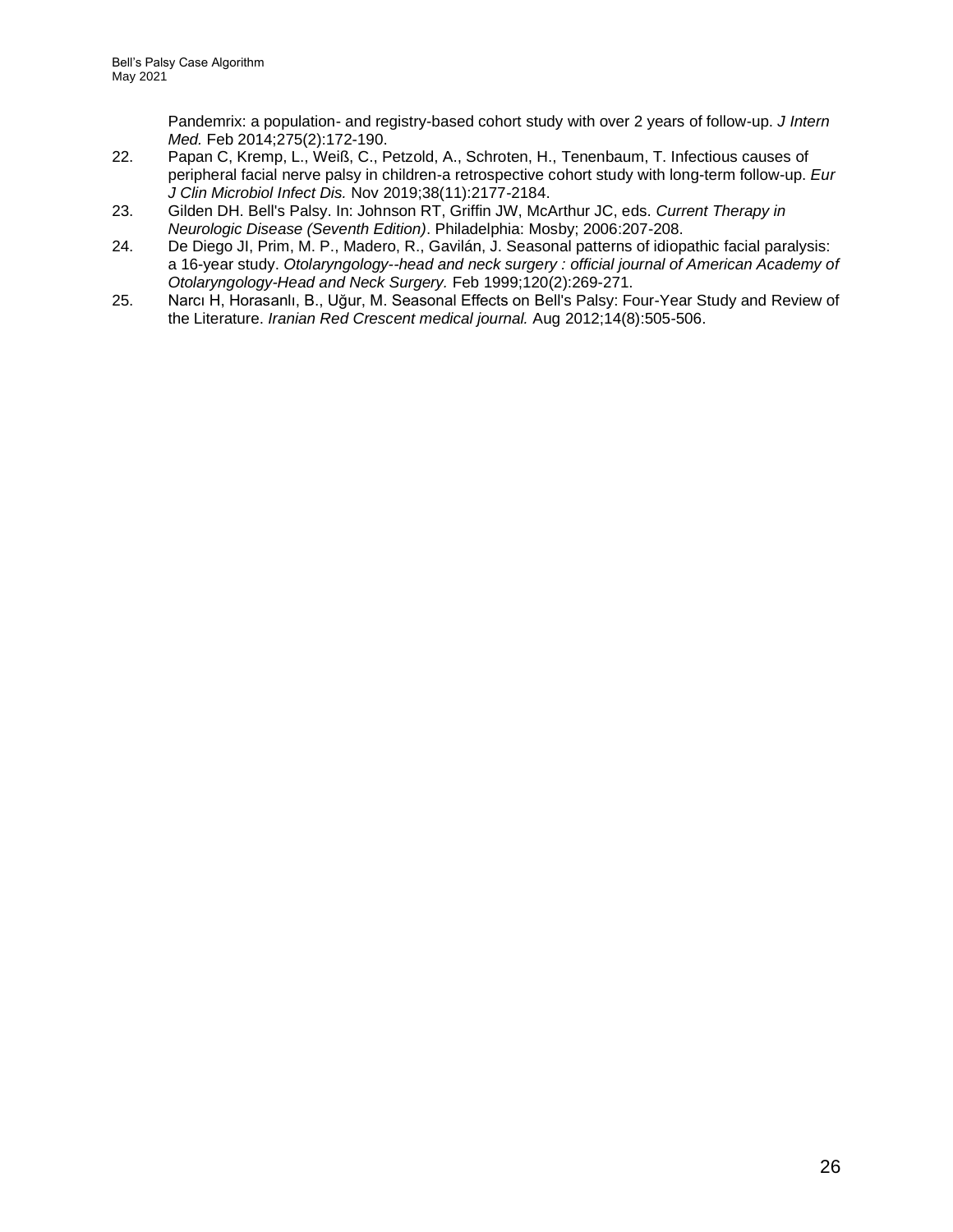Pandemrix: a population- and registry-based cohort study with over 2 years of follow-up. *J Intern Med.* Feb 2014;275(2):172-190.

- 22. Papan C, Kremp, L., Weiß, C., Petzold, A., Schroten, H., Tenenbaum, T. Infectious causes of peripheral facial nerve palsy in children-a retrospective cohort study with long-term follow-up. *Eur J Clin Microbiol Infect Dis.* Nov 2019;38(11):2177-2184.
- 23. Gilden DH. Bell's Palsy. In: Johnson RT, Griffin JW, McArthur JC, eds. *Current Therapy in Neurologic Disease (Seventh Edition)*. Philadelphia: Mosby; 2006:207-208.
- 24. De Diego JI, Prim, M. P., Madero, R., Gavilán, J. Seasonal patterns of idiopathic facial paralysis: a 16-year study. *Otolaryngology--head and neck surgery : official journal of American Academy of Otolaryngology-Head and Neck Surgery.* Feb 1999;120(2):269-271.
- 25. Narcı H, Horasanlı, B., Uğur, M. Seasonal Effects on Bell's Palsy: Four-Year Study and Review of the Literature. *Iranian Red Crescent medical journal.* Aug 2012;14(8):505-506.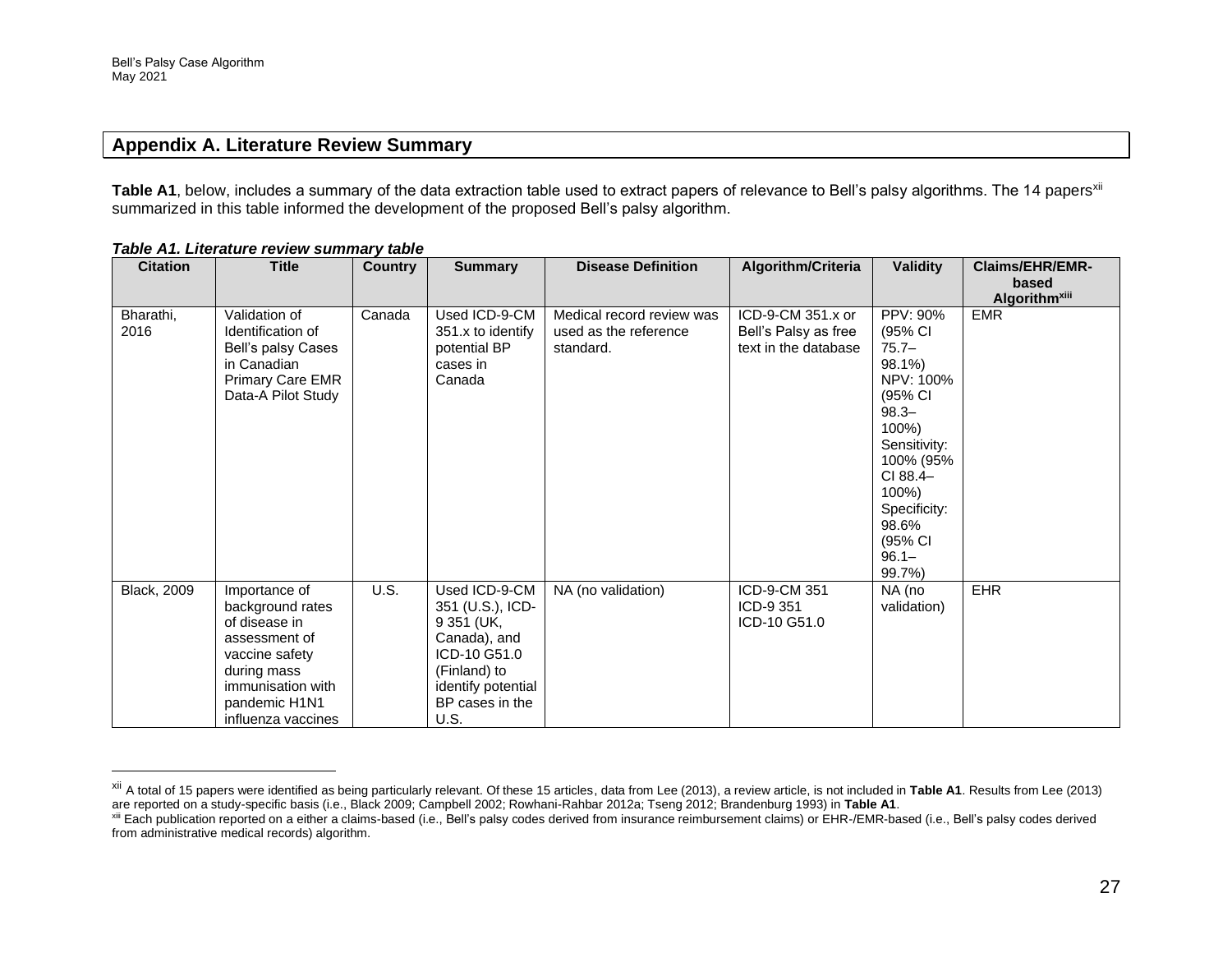#### **Appendix A. Literature Review Summary**

[Table A1](#page-26-2), below, includes a summary of the data extraction table used to extract papers of relevance to Bell's palsy algorithms. The 14 papers<sup>xii</sup> summarized in this table informed the development of the proposed Bell's palsy algorithm.

<span id="page-26-1"></span><span id="page-26-0"></span>

| <b>Citation</b>    | <b>Title</b>                                                                                                                                                     | <b>Country</b> | <b>Summary</b>                                                                                                                                   | <b>Disease Definition</b>                                       | Algorithm/Criteria                                                | <b>Validity</b>                                                                                                                                                                                    | <b>Claims/EHR/EMR-</b><br>based |
|--------------------|------------------------------------------------------------------------------------------------------------------------------------------------------------------|----------------|--------------------------------------------------------------------------------------------------------------------------------------------------|-----------------------------------------------------------------|-------------------------------------------------------------------|----------------------------------------------------------------------------------------------------------------------------------------------------------------------------------------------------|---------------------------------|
|                    |                                                                                                                                                                  |                |                                                                                                                                                  |                                                                 |                                                                   |                                                                                                                                                                                                    | <b>Algorithmxill</b>            |
| Bharathi,<br>2016  | Validation of<br>Identification of<br>Bell's palsy Cases<br>in Canadian<br>Primary Care EMR<br>Data-A Pilot Study                                                | Canada         | Used ICD-9-CM<br>351.x to identify<br>potential BP<br>cases in<br>Canada                                                                         | Medical record review was<br>used as the reference<br>standard. | ICD-9-CM 351.x or<br>Bell's Palsy as free<br>text in the database | PPV: 90%<br>(95% CI<br>$75.7 -$<br>98.1%)<br>NPV: 100%<br>(95% CI<br>$98.3 -$<br>100%)<br>Sensitivity:<br>100% (95%<br>CI 88.4-<br>100%)<br>Specificity:<br>98.6%<br>(95% CI<br>$96.1 -$<br>99.7%) | <b>EMR</b>                      |
| <b>Black, 2009</b> | Importance of<br>background rates<br>of disease in<br>assessment of<br>vaccine safety<br>during mass<br>immunisation with<br>pandemic H1N1<br>influenza vaccines | U.S.           | Used ICD-9-CM<br>351 (U.S.), ICD-<br>9 351 (UK,<br>Canada), and<br>ICD-10 G51.0<br>(Finland) to<br>identify potential<br>BP cases in the<br>U.S. | NA (no validation)                                              | ICD-9-CM 351<br>ICD-9 351<br>ICD-10 G51.0                         | NA (no<br>validation)                                                                                                                                                                              | <b>EHR</b>                      |

<span id="page-26-2"></span>*Table A1. Literature review summary table*

xii A total of 15 papers were identified as being particularly relevant. Of these 15 articles, data from Lee (2013), a review article, is not included in **Table A1**. Results from Lee (2013) are reported on a study-specific basis (i.e., Black 2009; Campbell 2002; Rowhani-Rahbar 2012a; Tseng 2012; Brandenburg 1993) in Table A1.

xiii Each publication reported on a either a claims-based (i.e., Bell's palsy codes derived from insurance reimbursement claims) or EHR-/EMR-based (i.e., Bell's palsy codes derived from administrative medical records) algorithm.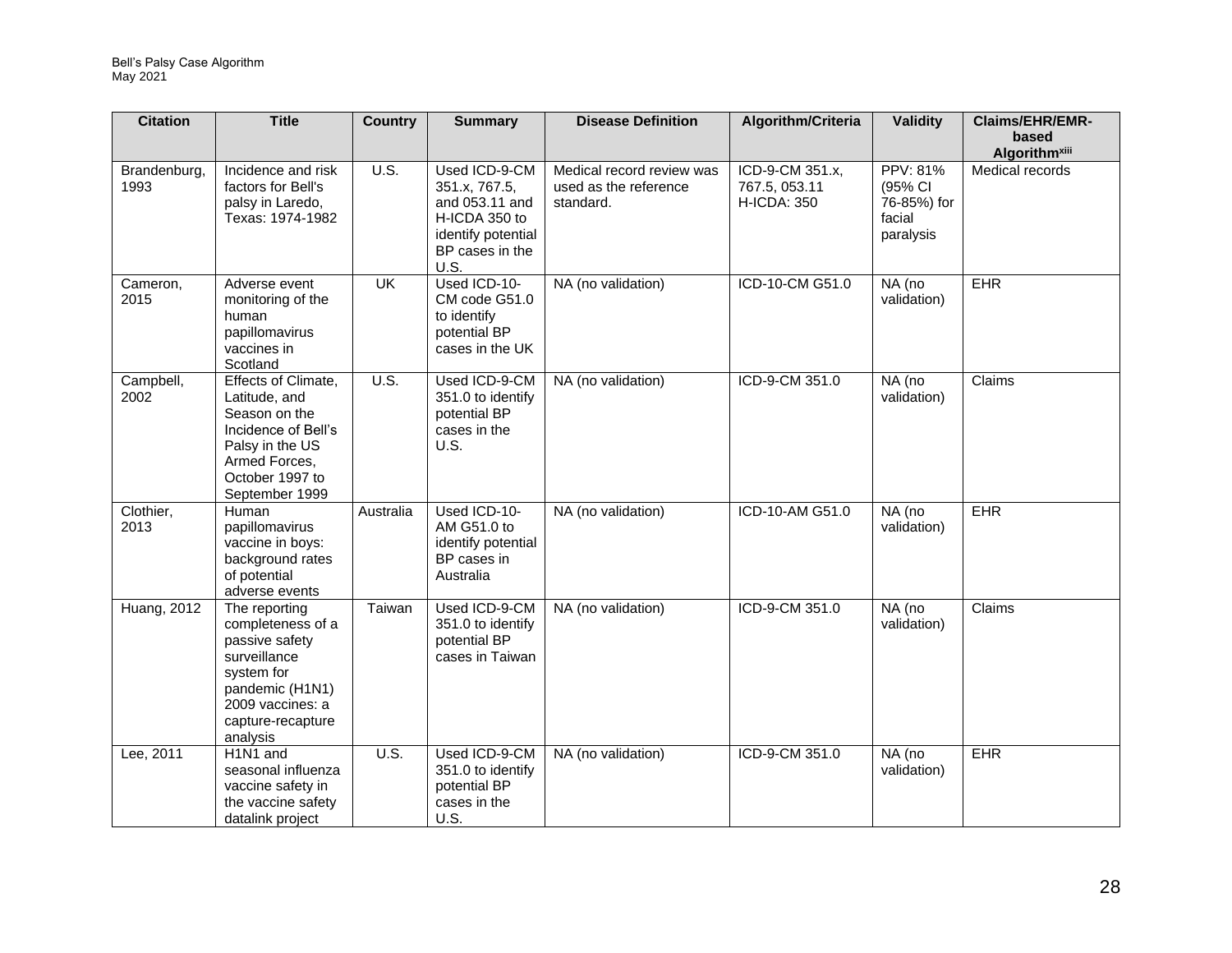| <b>Citation</b>      | <b>Title</b>                                                                                                                                               | <b>Country</b>            | <b>Summary</b>                                                                                                     | <b>Disease Definition</b>                                       | Algorithm/Criteria                                     | Validity                                                  | Claims/EHR/EMR-               |
|----------------------|------------------------------------------------------------------------------------------------------------------------------------------------------------|---------------------------|--------------------------------------------------------------------------------------------------------------------|-----------------------------------------------------------------|--------------------------------------------------------|-----------------------------------------------------------|-------------------------------|
|                      |                                                                                                                                                            |                           |                                                                                                                    |                                                                 |                                                        |                                                           | based<br><b>Algorithmxill</b> |
| Brandenburg,<br>1993 | Incidence and risk<br>factors for Bell's<br>palsy in Laredo,<br>Texas: 1974-1982                                                                           | U.S.                      | Used ICD-9-CM<br>351.x, 767.5,<br>and 053.11 and<br>H-ICDA 350 to<br>identify potential<br>BP cases in the<br>U.S. | Medical record review was<br>used as the reference<br>standard. | ICD-9-CM 351.x,<br>767.5, 053.11<br><b>H-ICDA: 350</b> | PPV: 81%<br>(95% CI<br>76-85%) for<br>facial<br>paralysis | Medical records               |
| Cameron,<br>2015     | Adverse event<br>monitoring of the<br>human<br>papillomavirus<br>vaccines in<br>Scotland                                                                   | $\overline{\mathsf{U}}$ K | Used ICD-10-<br>CM code G51.0<br>to identify<br>potential BP<br>cases in the UK                                    | NA (no validation)                                              | ICD-10-CM G51.0                                        | NA (no<br>validation)                                     | <b>EHR</b>                    |
| Campbell,<br>2002    | Effects of Climate,<br>Latitude, and<br>Season on the<br>Incidence of Bell's<br>Palsy in the US<br>Armed Forces,<br>October 1997 to<br>September 1999      | U.S.                      | Used ICD-9-CM<br>351.0 to identify<br>potential BP<br>cases in the<br>U.S.                                         | NA (no validation)                                              | ICD-9-CM 351.0                                         | NA (no<br>validation)                                     | Claims                        |
| Clothier,<br>2013    | Human<br>papillomavirus<br>vaccine in boys:<br>background rates<br>of potential<br>adverse events                                                          | Australia                 | Used ICD-10-<br>AM G51.0 to<br>identify potential<br>BP cases in<br>Australia                                      | NA (no validation)                                              | ICD-10-AM G51.0                                        | NA (no<br>validation)                                     | <b>EHR</b>                    |
| <b>Huang, 2012</b>   | The reporting<br>completeness of a<br>passive safety<br>surveillance<br>system for<br>pandemic (H1N1)<br>2009 vaccines: a<br>capture-recapture<br>analysis | Taiwan                    | Used ICD-9-CM<br>351.0 to identify<br>potential BP<br>cases in Taiwan                                              | NA (no validation)                                              | ICD-9-CM 351.0                                         | NA (no<br>validation)                                     | Claims                        |
| Lee, 2011            | H <sub>1</sub> N <sub>1</sub> and<br>seasonal influenza<br>vaccine safety in<br>the vaccine safety<br>datalink project                                     | U.S.                      | Used ICD-9-CM<br>351.0 to identify<br>potential BP<br>cases in the<br>U.S.                                         | NA (no validation)                                              | ICD-9-CM 351.0                                         | NA (no<br>validation)                                     | <b>EHR</b>                    |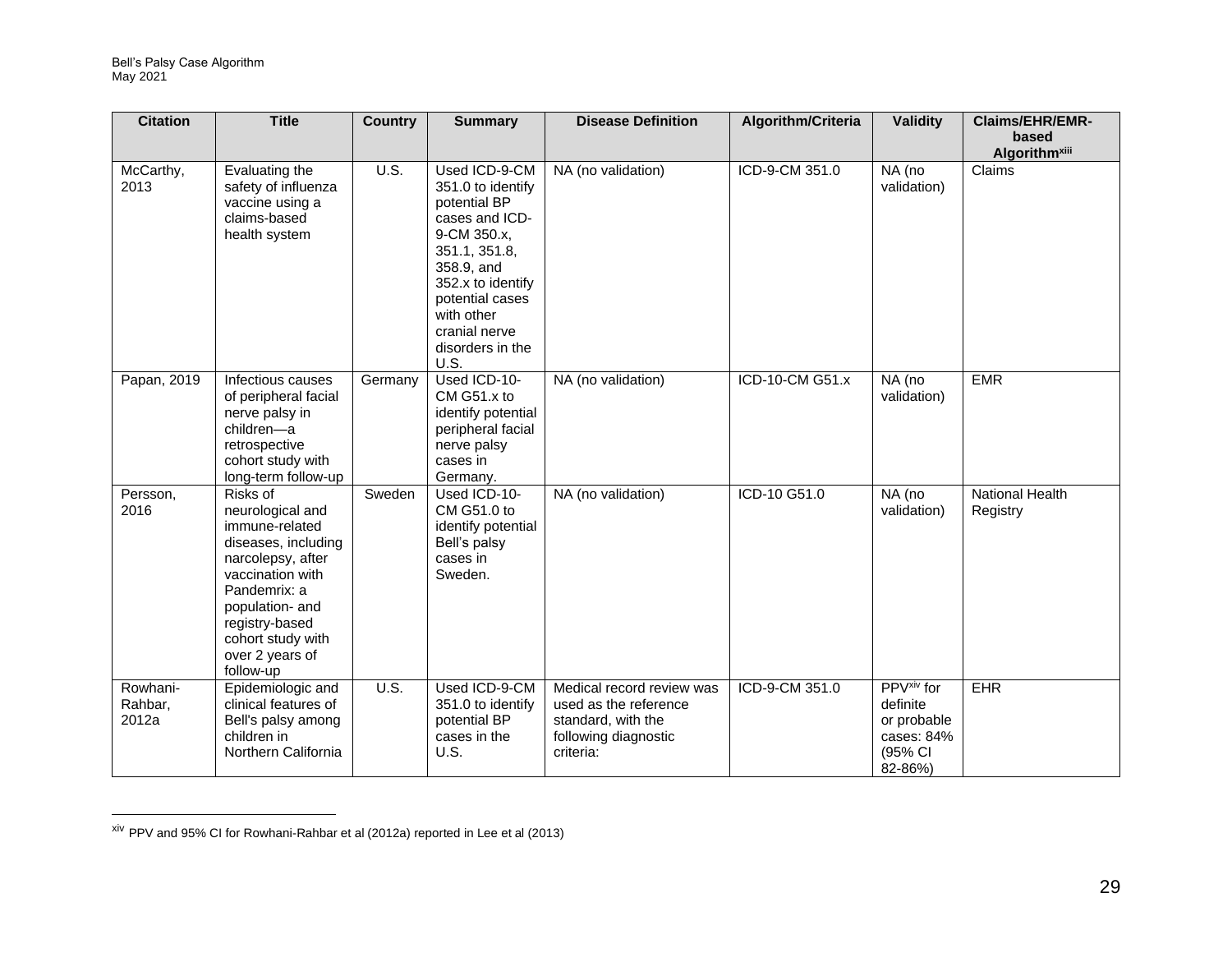| <b>Citation</b>              | <b>Title</b>                                                                                                                                                                                                             | <b>Country</b>    | <b>Summary</b>                                                                                                                                                                                                        | <b>Disease Definition</b>                                                                                     | Algorithm/Criteria | <b>Validity</b>                                                                       | <b>Claims/EHR/EMR-</b><br>based<br><b>Algorithmxill</b> |
|------------------------------|--------------------------------------------------------------------------------------------------------------------------------------------------------------------------------------------------------------------------|-------------------|-----------------------------------------------------------------------------------------------------------------------------------------------------------------------------------------------------------------------|---------------------------------------------------------------------------------------------------------------|--------------------|---------------------------------------------------------------------------------------|---------------------------------------------------------|
| McCarthy,<br>2013            | Evaluating the<br>safety of influenza<br>vaccine using a<br>claims-based<br>health system                                                                                                                                | $\overline{U.S.}$ | Used ICD-9-CM<br>351.0 to identify<br>potential BP<br>cases and ICD-<br>9-CM 350.x,<br>351.1, 351.8,<br>358.9, and<br>352.x to identify<br>potential cases<br>with other<br>cranial nerve<br>disorders in the<br>U.S. | NA (no validation)                                                                                            | ICD-9-CM 351.0     | NA (no<br>validation)                                                                 | Claims                                                  |
| Papan, 2019                  | Infectious causes<br>of peripheral facial<br>nerve palsy in<br>children-a<br>retrospective<br>cohort study with<br>long-term follow-up                                                                                   | Germany           | Used ICD-10-<br>CM G51.x to<br>identify potential<br>peripheral facial<br>nerve palsy<br>cases in<br>Germany.                                                                                                         | NA (no validation)                                                                                            | ICD-10-CM G51.x    | NA (no<br>validation)                                                                 | <b>EMR</b>                                              |
| Persson,<br>2016             | Risks of<br>neurological and<br>immune-related<br>diseases, including<br>narcolepsy, after<br>vaccination with<br>Pandemrix: a<br>population- and<br>registry-based<br>cohort study with<br>over 2 years of<br>follow-up | Sweden            | Used ICD-10-<br>CM G51.0 to<br>identify potential<br>Bell's palsy<br>cases in<br>Sweden.                                                                                                                              | NA (no validation)                                                                                            | ICD-10 G51.0       | NA (no<br>validation)                                                                 | National Health<br>Registry                             |
| Rowhani-<br>Rahbar,<br>2012a | Epidemiologic and<br>clinical features of<br>Bell's palsy among<br>children in<br>Northern California                                                                                                                    | U.S.              | Used ICD-9-CM<br>351.0 to identify<br>potential BP<br>cases in the<br>U.S.                                                                                                                                            | Medical record review was<br>used as the reference<br>standard, with the<br>following diagnostic<br>criteria: | ICD-9-CM 351.0     | PPV <sup>xiv</sup> for<br>definite<br>or probable<br>cases: 84%<br>(95% CI<br>82-86%) | EHR                                                     |

xiv PPV and 95% CI for Rowhani-Rahbar et al (2012a) reported in Lee et al (2013)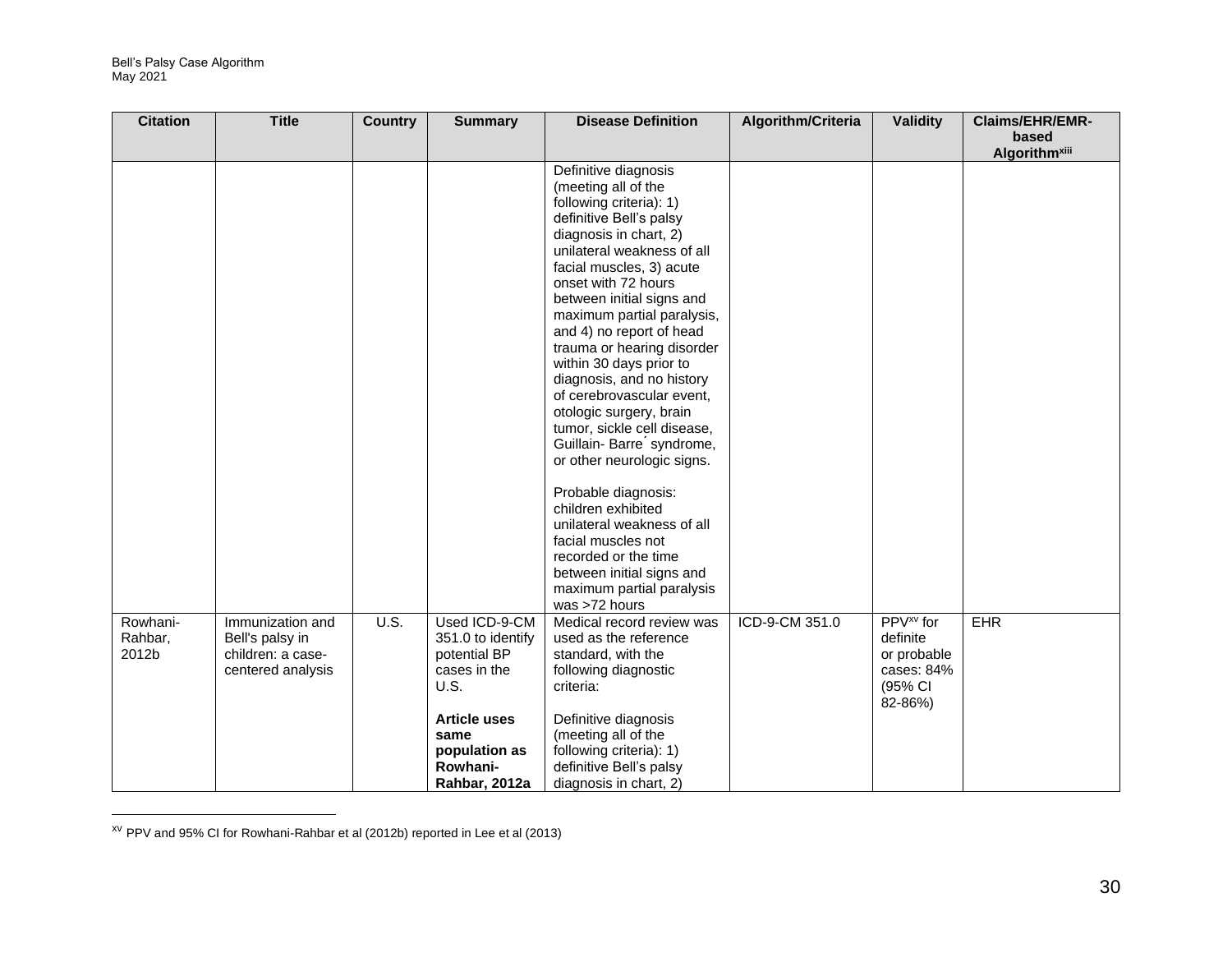| <b>Citation</b>              | <b>Title</b>                                                                  | <b>Country</b> | <b>Summary</b>                                                                                                                                          | <b>Disease Definition</b>                                                                                                                                                                                                                                                                                                                                                                                                                                                                                                                                                                                                                                                                                                                       | Algorithm/Criteria | <b>Validity</b>                                                                      | Claims/EHR/EMR-<br>based |
|------------------------------|-------------------------------------------------------------------------------|----------------|---------------------------------------------------------------------------------------------------------------------------------------------------------|-------------------------------------------------------------------------------------------------------------------------------------------------------------------------------------------------------------------------------------------------------------------------------------------------------------------------------------------------------------------------------------------------------------------------------------------------------------------------------------------------------------------------------------------------------------------------------------------------------------------------------------------------------------------------------------------------------------------------------------------------|--------------------|--------------------------------------------------------------------------------------|--------------------------|
|                              |                                                                               |                |                                                                                                                                                         |                                                                                                                                                                                                                                                                                                                                                                                                                                                                                                                                                                                                                                                                                                                                                 |                    |                                                                                      | <b>Algorithmxill</b>     |
|                              |                                                                               |                |                                                                                                                                                         | Definitive diagnosis<br>(meeting all of the<br>following criteria): 1)<br>definitive Bell's palsy<br>diagnosis in chart, 2)<br>unilateral weakness of all<br>facial muscles, 3) acute<br>onset with 72 hours<br>between initial signs and<br>maximum partial paralysis,<br>and 4) no report of head<br>trauma or hearing disorder<br>within 30 days prior to<br>diagnosis, and no history<br>of cerebrovascular event,<br>otologic surgery, brain<br>tumor, sickle cell disease,<br>Guillain- Barre syndrome,<br>or other neurologic signs.<br>Probable diagnosis:<br>children exhibited<br>unilateral weakness of all<br>facial muscles not<br>recorded or the time<br>between initial signs and<br>maximum partial paralysis<br>was >72 hours |                    |                                                                                      |                          |
| Rowhani-<br>Rahbar,<br>2012b | Immunization and<br>Bell's palsy in<br>children: a case-<br>centered analysis | U.S.           | Used ICD-9-CM<br>351.0 to identify<br>potential BP<br>cases in the<br>U.S.<br><b>Article uses</b><br>same<br>population as<br>Rowhani-<br>Rahbar, 2012a | Medical record review was<br>used as the reference<br>standard, with the<br>following diagnostic<br>criteria:<br>Definitive diagnosis<br>(meeting all of the<br>following criteria): 1)<br>definitive Bell's palsy<br>diagnosis in chart, 2)                                                                                                                                                                                                                                                                                                                                                                                                                                                                                                    | ICD-9-CM 351.0     | PPV <sup>xv</sup> for<br>definite<br>or probable<br>cases: 84%<br>(95% CI<br>82-86%) | <b>EHR</b>               |

xv PPV and 95% CI for Rowhani-Rahbar et al (2012b) reported in Lee et al (2013)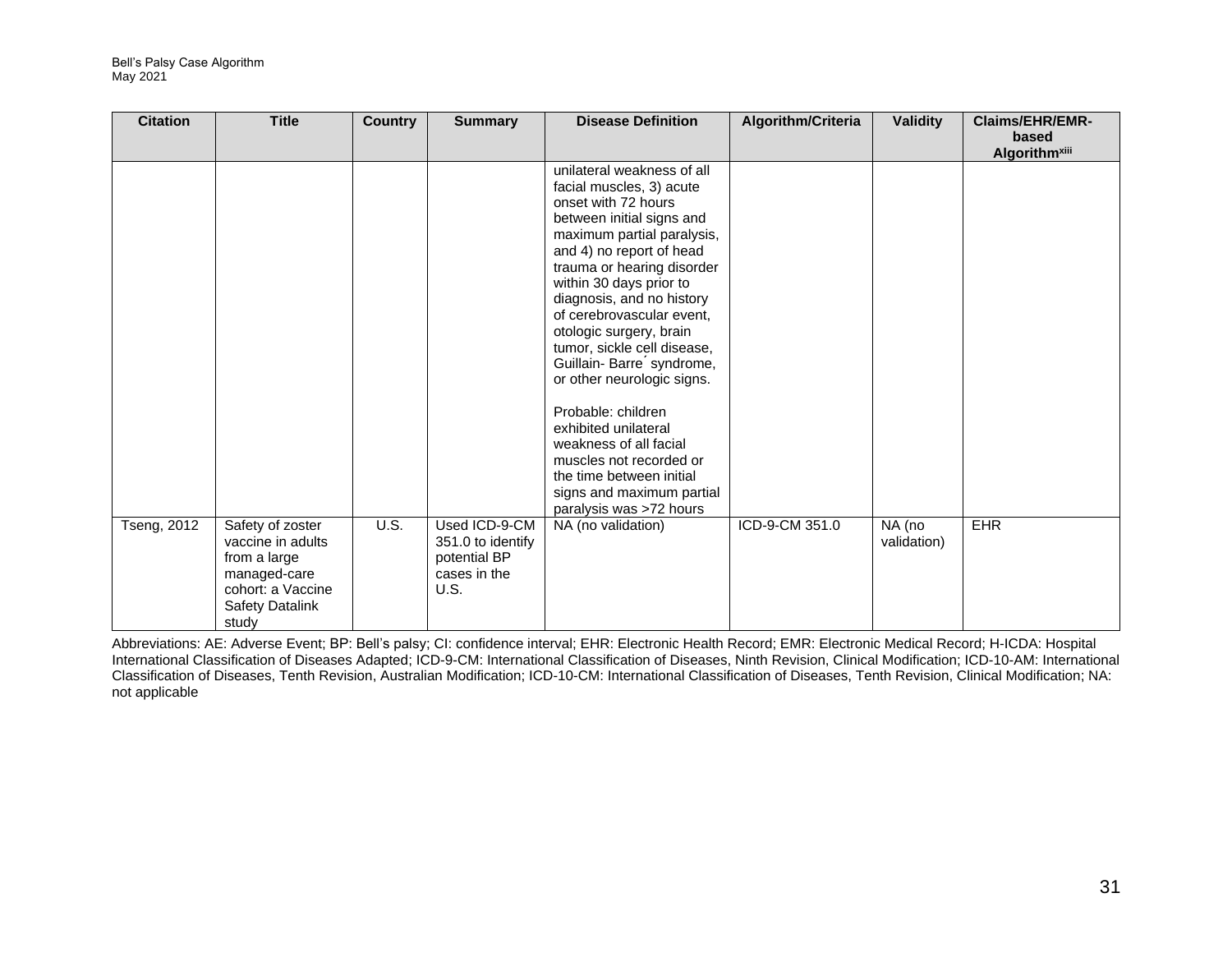| <b>Citation</b> | <b>Title</b>                      | <b>Country</b> | <b>Summary</b>                    | <b>Disease Definition</b>                            | Algorithm/Criteria | <b>Validity</b> | <b>Claims/EHR/EMR-</b><br>based |
|-----------------|-----------------------------------|----------------|-----------------------------------|------------------------------------------------------|--------------------|-----------------|---------------------------------|
|                 |                                   |                |                                   |                                                      |                    |                 | <b>Algorithmxill</b>            |
|                 |                                   |                |                                   | unilateral weakness of all                           |                    |                 |                                 |
|                 |                                   |                |                                   | facial muscles, 3) acute                             |                    |                 |                                 |
|                 |                                   |                |                                   | onset with 72 hours                                  |                    |                 |                                 |
|                 |                                   |                |                                   | between initial signs and                            |                    |                 |                                 |
|                 |                                   |                |                                   | maximum partial paralysis,                           |                    |                 |                                 |
|                 |                                   |                |                                   | and 4) no report of head                             |                    |                 |                                 |
|                 |                                   |                |                                   | trauma or hearing disorder                           |                    |                 |                                 |
|                 |                                   |                |                                   | within 30 days prior to<br>diagnosis, and no history |                    |                 |                                 |
|                 |                                   |                |                                   | of cerebrovascular event,                            |                    |                 |                                 |
|                 |                                   |                |                                   | otologic surgery, brain                              |                    |                 |                                 |
|                 |                                   |                |                                   | tumor, sickle cell disease,                          |                    |                 |                                 |
|                 |                                   |                |                                   | Guillain- Barre syndrome,                            |                    |                 |                                 |
|                 |                                   |                |                                   | or other neurologic signs.                           |                    |                 |                                 |
|                 |                                   |                |                                   | Probable: children                                   |                    |                 |                                 |
|                 |                                   |                |                                   | exhibited unilateral                                 |                    |                 |                                 |
|                 |                                   |                |                                   | weakness of all facial                               |                    |                 |                                 |
|                 |                                   |                |                                   | muscles not recorded or                              |                    |                 |                                 |
|                 |                                   |                |                                   | the time between initial                             |                    |                 |                                 |
|                 |                                   |                |                                   | signs and maximum partial                            |                    |                 |                                 |
|                 |                                   |                |                                   | paralysis was >72 hours                              |                    |                 |                                 |
| Tseng, 2012     | Safety of zoster                  | U.S.           | Used ICD-9-CM                     | NA (no validation)                                   | ICD-9-CM 351.0     | NA (no          | <b>EHR</b>                      |
|                 | vaccine in adults<br>from a large |                | 351.0 to identify<br>potential BP |                                                      |                    | validation)     |                                 |
|                 | managed-care                      |                | cases in the                      |                                                      |                    |                 |                                 |
|                 | cohort: a Vaccine                 |                | U.S.                              |                                                      |                    |                 |                                 |
|                 | Safety Datalink                   |                |                                   |                                                      |                    |                 |                                 |
|                 | study                             |                |                                   |                                                      |                    |                 |                                 |

Abbreviations: AE: Adverse Event; BP: Bell's palsy; CI: confidence interval; EHR: Electronic Health Record; EMR: Electronic Medical Record; H-ICDA: Hospital International Classification of Diseases Adapted; ICD-9-CM: International Classification of Diseases, Ninth Revision, Clinical Modification; ICD-10-AM: International Classification of Diseases, Tenth Revision, Australian Modification; ICD-10-CM: International Classification of Diseases, Tenth Revision, Clinical Modification; NA: not applicable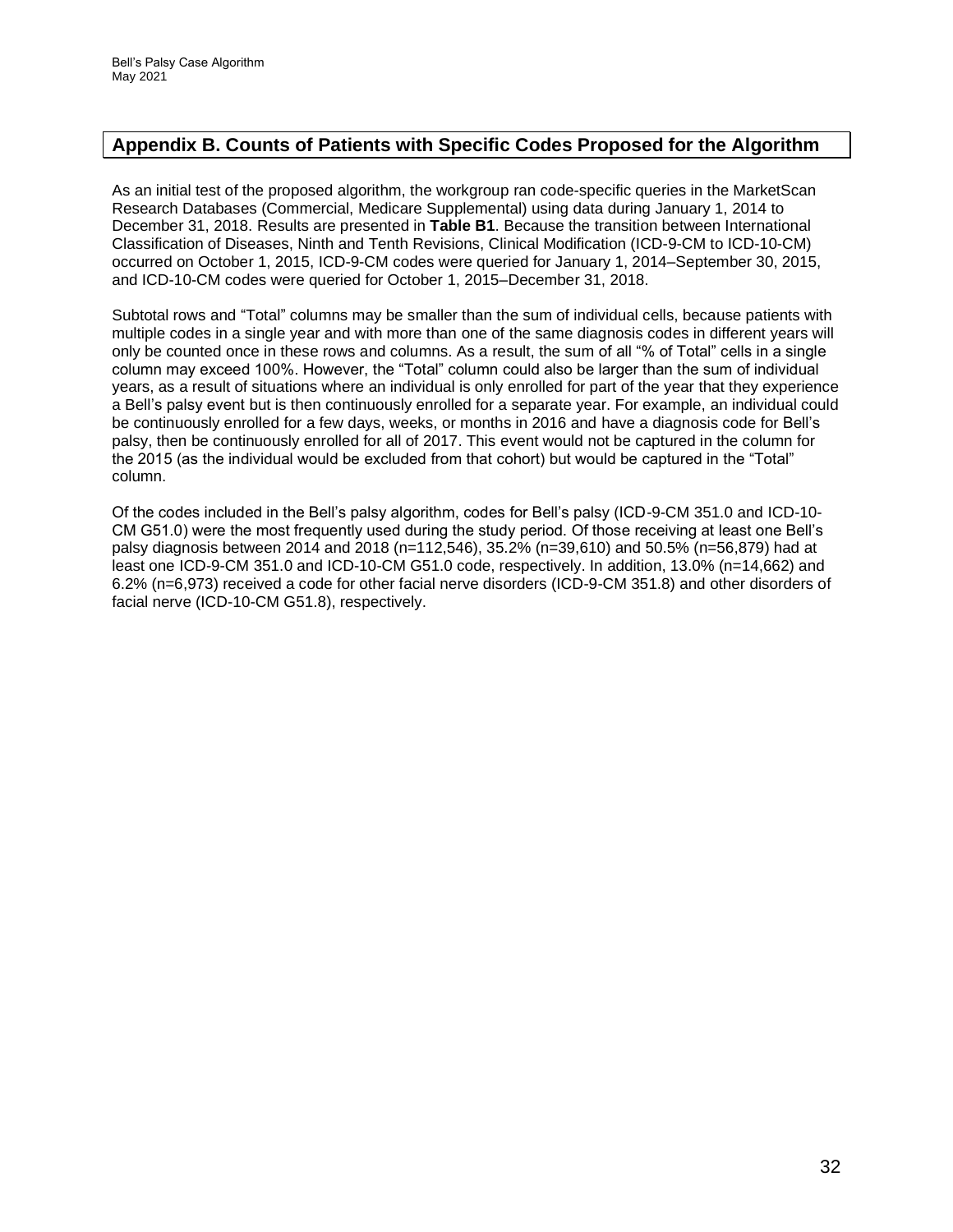### <span id="page-31-0"></span>**Appendix B. Counts of Patients with Specific Codes Proposed for the Algorithm**

As an initial test of the proposed algorithm, the workgroup ran code-specific queries in the MarketScan Research Databases (Commercial, Medicare Supplemental) using data during January 1, 2014 to December 31, 2018. Results are presented in **[Table B1](#page-32-0)**. Because the transition between International Classification of Diseases, Ninth and Tenth Revisions, Clinical Modification (ICD-9-CM to ICD-10-CM) occurred on October 1, 2015, ICD-9-CM codes were queried for January 1, 2014–September 30, 2015, and ICD-10-CM codes were queried for October 1, 2015–December 31, 2018.

Subtotal rows and "Total" columns may be smaller than the sum of individual cells, because patients with multiple codes in a single year and with more than one of the same diagnosis codes in different years will only be counted once in these rows and columns. As a result, the sum of all "% of Total" cells in a single column may exceed 100%. However, the "Total" column could also be larger than the sum of individual years, as a result of situations where an individual is only enrolled for part of the year that they experience a Bell's palsy event but is then continuously enrolled for a separate year. For example, an individual could be continuously enrolled for a few days, weeks, or months in 2016 and have a diagnosis code for Bell's palsy, then be continuously enrolled for all of 2017. This event would not be captured in the column for the 2015 (as the individual would be excluded from that cohort) but would be captured in the "Total" column.

Of the codes included in the Bell's palsy algorithm, codes for Bell's palsy (ICD-9-CM 351.0 and ICD-10- CM G51.0) were the most frequently used during the study period. Of those receiving at least one Bell's palsy diagnosis between 2014 and 2018 (n=112,546), 35.2% (n=39,610) and 50.5% (n=56,879) had at least one ICD-9-CM 351.0 and ICD-10-CM G51.0 code, respectively. In addition, 13.0% (n=14,662) and 6.2% (n=6,973) received a code for other facial nerve disorders (ICD-9-CM 351.8) and other disorders of facial nerve (ICD-10-CM G51.8), respectively.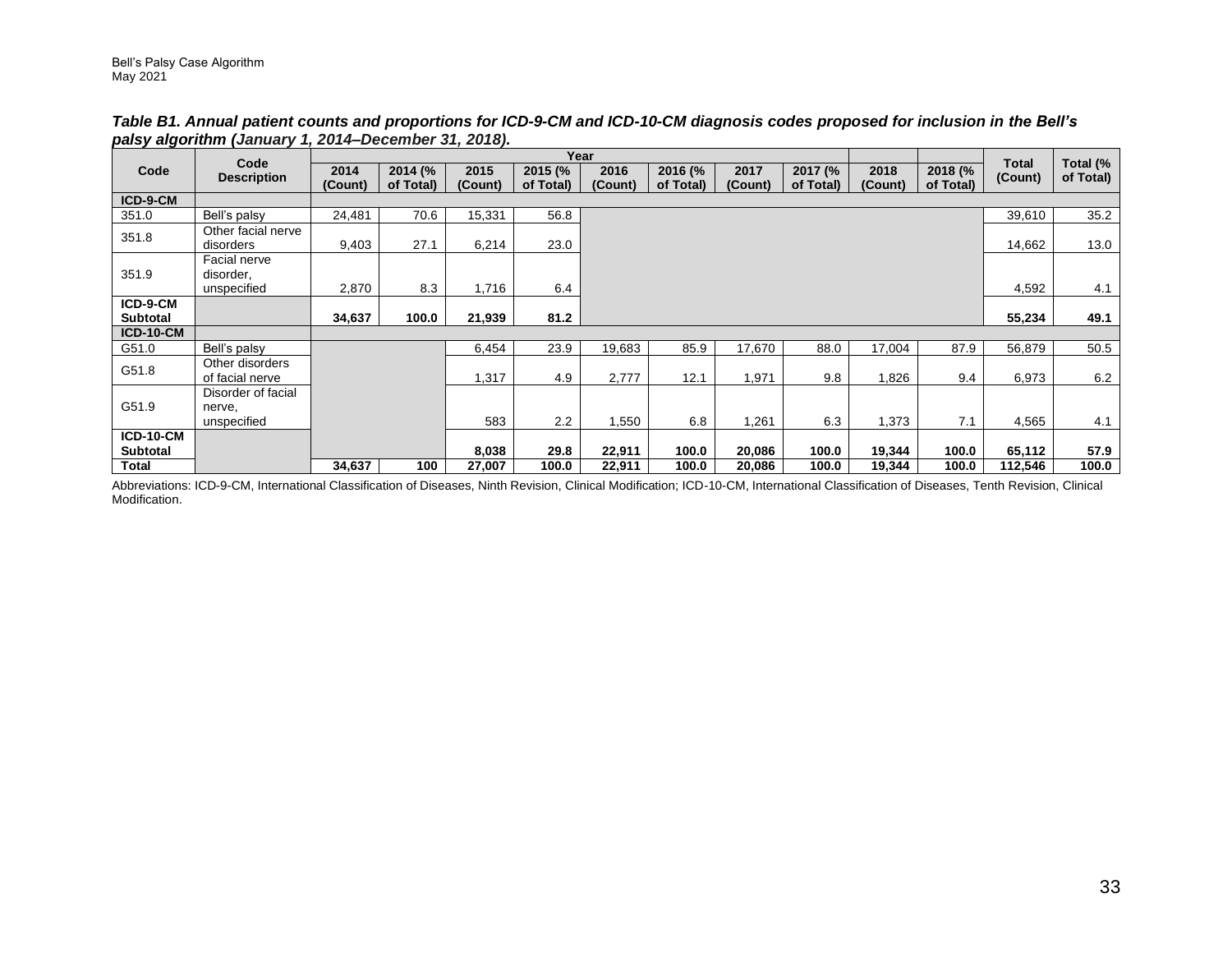|  |                                                      |  | Table B1. Annual patient counts and proportions for ICD-9-CM and ICD-10-CM diagnosis codes proposed for inclusion in the Bell's |  |
|--|------------------------------------------------------|--|---------------------------------------------------------------------------------------------------------------------------------|--|
|  | palsy algorithm (January 1, 2014–December 31, 2018). |  |                                                                                                                                 |  |

|                                     | Code                                        |                 |                      |                 |                      | Year            |                      |                 |                      |                 |                      | <b>Total</b> | Total (%  |
|-------------------------------------|---------------------------------------------|-----------------|----------------------|-----------------|----------------------|-----------------|----------------------|-----------------|----------------------|-----------------|----------------------|--------------|-----------|
| Code                                | <b>Description</b>                          | 2014<br>(Count) | 2014 (%<br>of Total) | 2015<br>(Count) | 2015 (%<br>of Total) | 2016<br>(Count) | 2016 (%<br>of Total) | 2017<br>(Count) | 2017 (%<br>of Total) | 2018<br>(Count) | 2018 (%<br>of Total) | (Count)      | of Total) |
| ICD-9-CM                            |                                             |                 |                      |                 |                      |                 |                      |                 |                      |                 |                      |              |           |
| 351.0                               | Bell's palsy                                | 24,481          | 70.6                 | 15,331          | 56.8                 |                 |                      |                 |                      |                 |                      | 39,610       | 35.2      |
| 351.8                               | Other facial nerve<br>disorders             | 9,403           | 27.1                 | 6,214           | 23.0                 |                 |                      |                 |                      |                 |                      | 14,662       | 13.0      |
| 351.9                               | Facial nerve<br>disorder.                   |                 | 8.3                  |                 | 6.4                  |                 |                      |                 |                      |                 |                      |              |           |
| ICD-9-CM                            | unspecified                                 | 2,870           |                      | 1,716           |                      |                 |                      |                 |                      |                 |                      | 4,592        | 4.1       |
| <b>Subtotal</b>                     |                                             | 34,637          | 100.0                | 21,939          | 81.2                 |                 |                      |                 |                      |                 |                      | 55,234       | 49.1      |
| <b>ICD-10-CM</b>                    |                                             |                 |                      |                 |                      |                 |                      |                 |                      |                 |                      |              |           |
| G51.0                               | Bell's palsy                                |                 |                      | 6,454           | 23.9                 | 19,683          | 85.9                 | 17,670          | 88.0                 | 17,004          | 87.9                 | 56,879       | 50.5      |
| G51.8                               | Other disorders<br>of facial nerve          |                 |                      | 1,317           | 4.9                  | 2,777           | 12.1                 | 1,971           | 9.8                  | 1,826           | 9.4                  | 6,973        | 6.2       |
| G51.9                               | Disorder of facial<br>nerve,<br>unspecified |                 |                      | 583             | 2.2                  | 1,550           | 6.8                  | 1,261           | 6.3                  | 1,373           | 7.1                  | 4,565        | 4.1       |
| <b>ICD-10-CM</b><br><b>Subtotal</b> |                                             |                 |                      | 8,038           | 29.8                 | 22,911          | 100.0                | 20,086          | 100.0                | 19,344          | 100.0                | 65,112       | 57.9      |
| <b>Total</b>                        |                                             | 34,637          | 100                  | 27,007          | 100.0                | 22,911          | 100.0                | 20,086          | 100.0                | 19,344          | 100.0                | 112,546      | 100.0     |

<span id="page-32-0"></span>Abbreviations: ICD-9-CM, International Classification of Diseases, Ninth Revision, Clinical Modification; ICD-10-CM, International Classification of Diseases, Tenth Revision, Clinical Modification.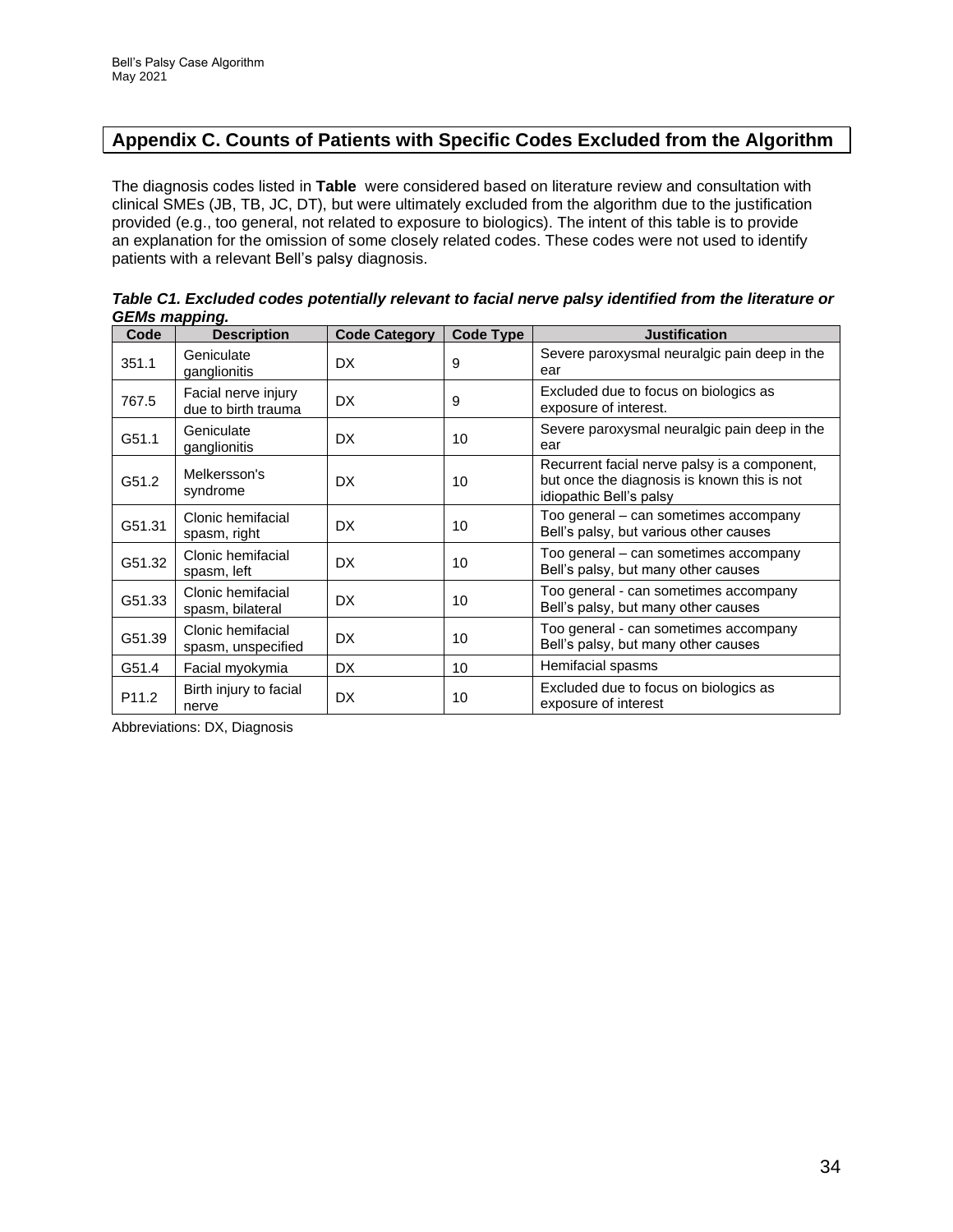# <span id="page-33-0"></span>**Appendix C. Counts of Patients with Specific Codes Excluded from the Algorithm**

The diagnosis codes listed in **[Table](#page-33-1)** were considered based on literature review and consultation with clinical SMEs (JB, TB, JC, DT), but were ultimately excluded from the algorithm due to the justification provided (e.g., too general, not related to exposure to biologics). The intent of this table is to provide an explanation for the omission of some closely related codes. These codes were not used to identify patients with a relevant Bell's palsy diagnosis.

<span id="page-33-1"></span>

|                      | Table C1. Excluded codes potentially relevant to facial nerve palsy identified from the literature or |  |  |  |
|----------------------|-------------------------------------------------------------------------------------------------------|--|--|--|
| <b>GEMs mapping.</b> |                                                                                                       |  |  |  |
|                      |                                                                                                       |  |  |  |

| Code              | <b>Description</b>                         | <b>Code Category</b> | <b>Code Type</b> | <b>Justification</b>                                                                                                   |
|-------------------|--------------------------------------------|----------------------|------------------|------------------------------------------------------------------------------------------------------------------------|
| 351.1             | Geniculate<br>ganglionitis                 | DX                   | 9                | Severe paroxysmal neuralgic pain deep in the<br>ear                                                                    |
| 767.5             | Facial nerve injury<br>due to birth trauma | DX                   | 9                | Excluded due to focus on biologics as<br>exposure of interest.                                                         |
| G51.1             | Geniculate<br>ganglionitis                 | DX                   | 10               | Severe paroxysmal neuralgic pain deep in the<br>ear                                                                    |
| G51.2             | Melkersson's<br>syndrome                   | DX                   | 10               | Recurrent facial nerve palsy is a component,<br>but once the diagnosis is known this is not<br>idiopathic Bell's palsy |
| G51.31            | Clonic hemifacial<br>spasm, right          | DX                   | 10               | Too general - can sometimes accompany<br>Bell's palsy, but various other causes                                        |
| G51.32            | Clonic hemifacial<br>spasm, left           | DX                   | 10               | Too general – can sometimes accompany<br>Bell's palsy, but many other causes                                           |
| G51.33            | Clonic hemifacial<br>spasm, bilateral      | DX                   | 10               | Too general - can sometimes accompany<br>Bell's palsy, but many other causes                                           |
| G51.39            | Clonic hemifacial<br>spasm, unspecified    | DX                   | 10               | Too general - can sometimes accompany<br>Bell's palsy, but many other causes                                           |
| G51.4             | Facial myokymia                            | <b>DX</b>            | 10               | Hemifacial spasms                                                                                                      |
| P <sub>11.2</sub> | Birth injury to facial<br>nerve            | DX                   | 10               | Excluded due to focus on biologics as<br>exposure of interest                                                          |

Abbreviations: DX, Diagnosis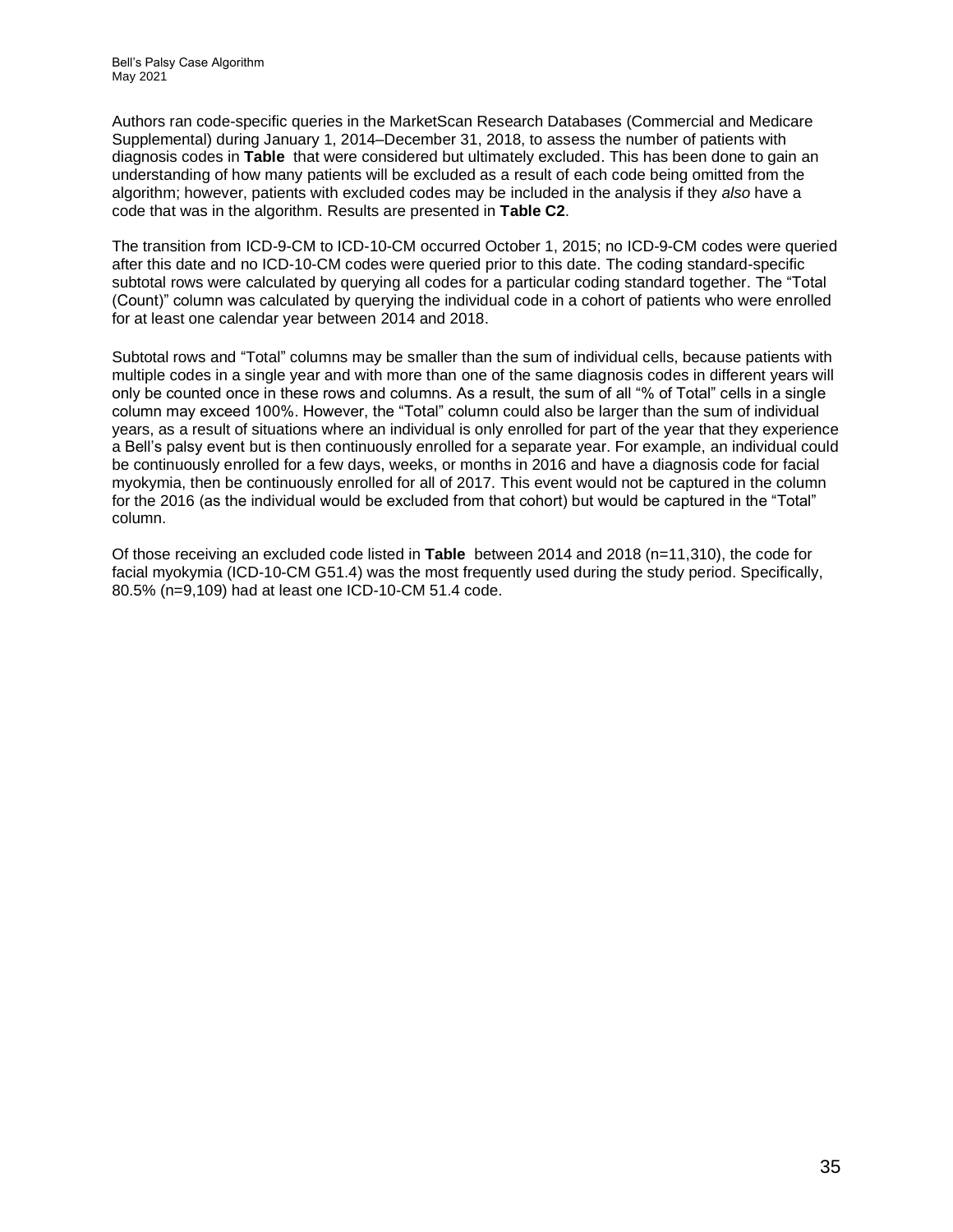Authors ran code-specific queries in the MarketScan Research Databases (Commercial and Medicare Supplemental) during January 1, 2014–December 31, 2018, to assess the number of patients with diagnosis codes in **[Table](#page-33-1)** that were considered but ultimately excluded. This has been done to gain an understanding of how many patients will be excluded as a result of each code being omitted from the algorithm; however, patients with excluded codes may be included in the analysis if they *also* have a code that was in the algorithm. Results are presented in **[Table C2](#page-35-0)**.

The transition from ICD-9-CM to ICD-10-CM occurred October 1, 2015; no ICD-9-CM codes were queried after this date and no ICD-10-CM codes were queried prior to this date. The coding standard-specific subtotal rows were calculated by querying all codes for a particular coding standard together. The "Total (Count)" column was calculated by querying the individual code in a cohort of patients who were enrolled for at least one calendar year between 2014 and 2018.

Subtotal rows and "Total" columns may be smaller than the sum of individual cells, because patients with multiple codes in a single year and with more than one of the same diagnosis codes in different years will only be counted once in these rows and columns. As a result, the sum of all "% of Total" cells in a single column may exceed 100%. However, the "Total" column could also be larger than the sum of individual years, as a result of situations where an individual is only enrolled for part of the year that they experience a Bell's palsy event but is then continuously enrolled for a separate year. For example, an individual could be continuously enrolled for a few days, weeks, or months in 2016 and have a diagnosis code for facial myokymia, then be continuously enrolled for all of 2017. This event would not be captured in the column for the 2016 (as the individual would be excluded from that cohort) but would be captured in the "Total" column.

Of those receiving an excluded code listed in **[Table](#page-33-1)** between 2014 and 2018 (n=11,310), the code for facial myokymia (ICD-10-CM G51.4) was the most frequently used during the study period. Specifically, 80.5% (n=9,109) had at least one ICD-10-CM 51.4 code.